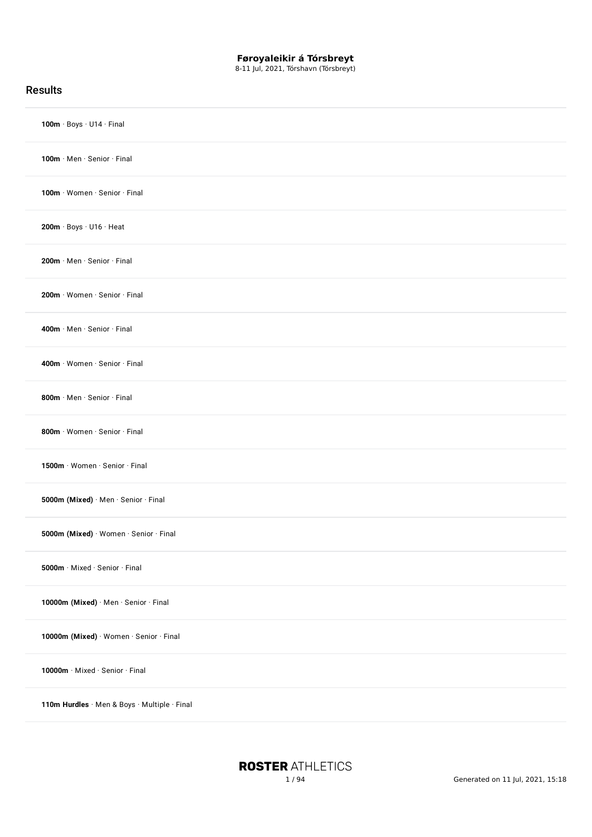8-11 Jul, 2021, Tórshavn (Tórsbreyt)

| <b>Results</b> |                                                             |
|----------------|-------------------------------------------------------------|
|                | 100 $m \cdot$ Boys $\cdot$ U14 $\cdot$ Final                |
|                | 100m · Men · Senior · Final                                 |
|                | 100m · Women · Senior · Final                               |
|                | $200m \cdot \text{Boys} \cdot \text{U16} \cdot \text{Heat}$ |
|                | 200m · Men · Senior · Final                                 |
|                | 200m · Women · Senior · Final                               |
|                | 400m · Men · Senior · Final                                 |
|                | 400m · Women · Senior · Final                               |
|                | 800m · Men · Senior · Final                                 |
|                | 800m · Women · Senior · Final                               |
|                | 1500m · Women · Senior · Final                              |
|                | 5000m (Mixed) · Men · Senior · Final                        |
|                | 5000m (Mixed) · Women · Senior · Final                      |
|                | 5000m · Mixed · Senior · Final                              |
|                | 10000m (Mixed) · Men · Senior · Final                       |
|                | 10000m (Mixed) · Women · Senior · Final                     |
|                | 10000m · Mixed · Senior · Final                             |
|                | 110m Hurdles · Men & Boys · Multiple · Final                |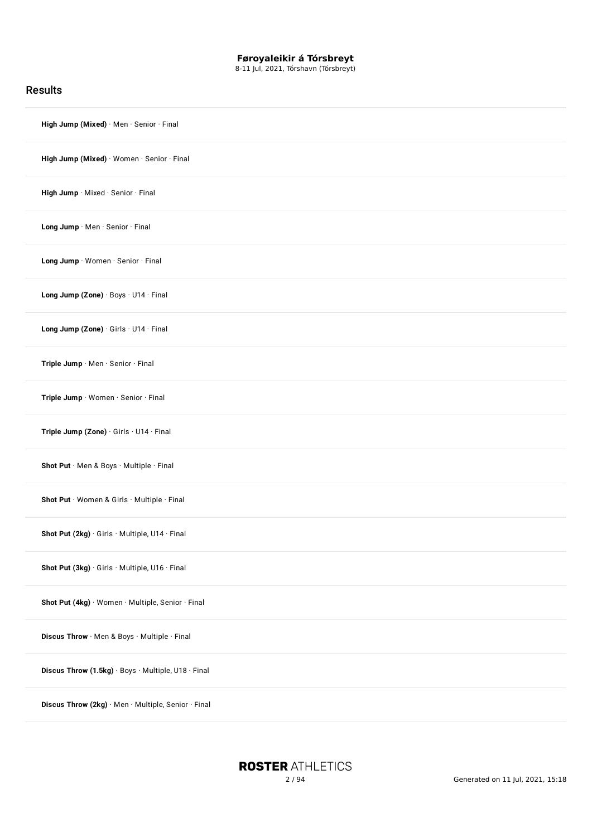8-11 Jul, 2021, Tórshavn (Tórsbreyt)

### Results

| High Jump (Mixed) · Men · Senior · Final            |
|-----------------------------------------------------|
| High Jump (Mixed) · Women · Senior · Final          |
| High Jump · Mixed · Senior · Final                  |
| Long Jump . Men . Senior . Final                    |
| Long Jump · Women · Senior · Final                  |
| Long Jump (Zone) · Boys · U14 · Final               |
| Long Jump (Zone) · Girls · U14 · Final              |
| Triple Jump · Men · Senior · Final                  |
| Triple Jump · Women · Senior · Final                |
| Triple Jump (Zone) · Girls · U14 · Final            |
| Shot Put · Men & Boys · Multiple · Final            |
| Shot Put · Women & Girls · Multiple · Final         |
| Shot Put (2kg) · Girls · Multiple, U14 · Final      |
| Shot Put (3kg) · Girls · Multiple, U16 · Final      |
| Shot Put (4kg) · Women · Multiple, Senior · Final   |
| Discus Throw · Men & Boys · Multiple · Final        |
| Discus Throw (1.5kg) · Boys · Multiple, U18 · Final |
| Discus Throw (2kg) · Men · Multiple, Senior · Final |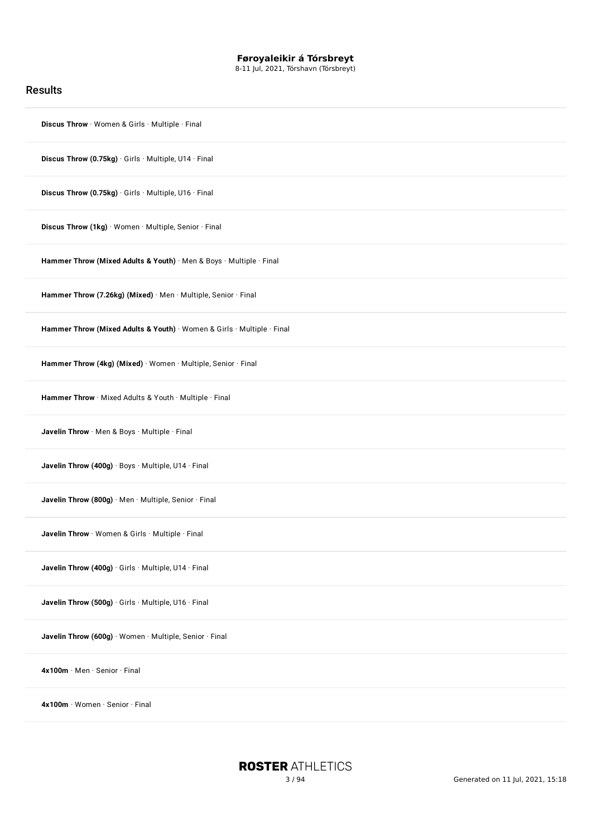8-11 Jul, 2021, Tórshavn (Tórsbreyt)

#### **Results**

**Discus Throw** · Women & Girls · Multiple · Final

**Discus Throw (0.75kg)** · Girls · Multiple, U14 · Final

**Discus Throw (0.75kg)** · Girls · Multiple, U16 · Final

**Discus Throw (1kg)** · Women · Multiple, Senior · Final

**Hammer Throw (Mixed Adults & Youth)** · Men & Boys · Multiple · Final

**Hammer Throw (7.26kg) (Mixed)** · Men · Multiple, Senior · Final

**Hammer Throw (Mixed Adults & Youth)** · Women & Girls · Multiple · Final

**Hammer Throw (4kg) (Mixed)** · Women · Multiple, Senior · Final

**Hammer Throw** · Mixed Adults & Youth · Multiple · Final

**Javelin Throw** · Men & Boys · Multiple · Final

**Javelin Throw (400g)** · Boys · Multiple, U14 · Final

**Javelin Throw (800g)** · Men · Multiple, Senior · Final

**Javelin Throw** · Women & Girls · Multiple · Final

**Javelin Throw (400g)** · Girls · Multiple, U14 · Final

**Javelin Throw (500g)** · Girls · Multiple, U16 · Final

**Javelin Throw (600g)** · Women · Multiple, Senior · Final

**4x100m** · Men · Senior · Final

**4x100m** · Women · Senior · Final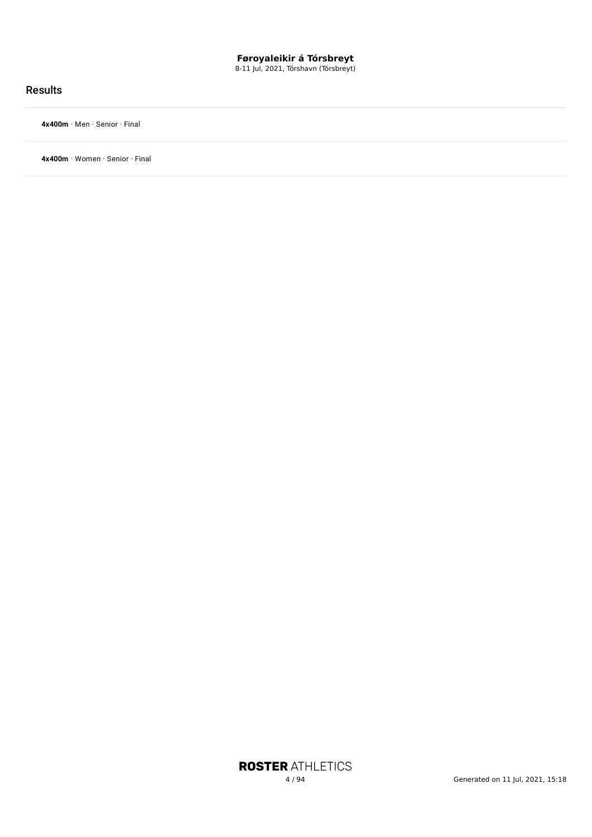8-11 Jul, 2021, Tórshavn (Tórsbreyt)

### Results

**4x400m** · Men · Senior · Final

**4x400m** · Women · Senior · Final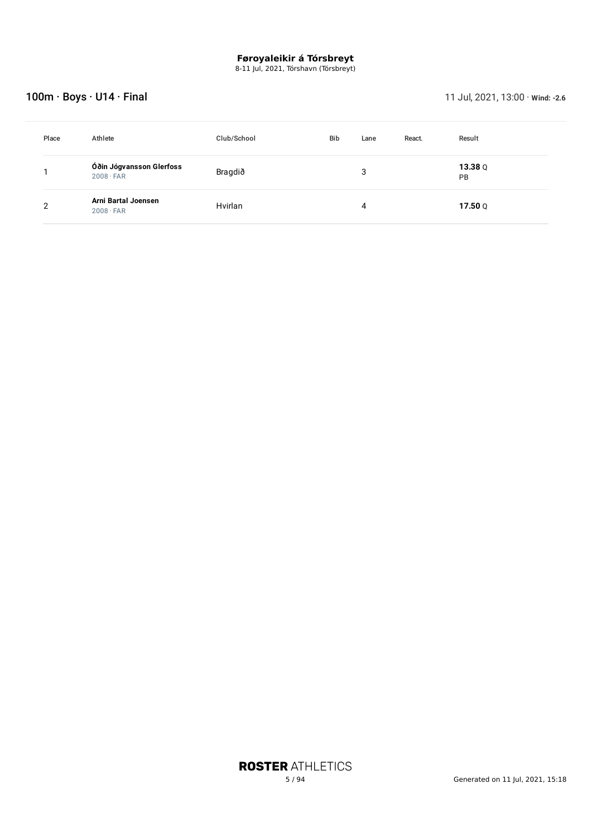8-11 Jul, 2021, Tórshavn (Tórsbreyt)

## 100m · Boys · U14 · Final **100m · Boys · U14 · Final 11 Jul**, 2021, 13:00 · **Wind:** -2.6

| Place | Athlete                                      | Club/School | <b>Bib</b> | Lane | React. | Result                 |
|-------|----------------------------------------------|-------------|------------|------|--------|------------------------|
|       | Óðin Jógvansson Glerfoss<br>$2008 \cdot FAR$ | Bragdið     |            | 3    |        | 13.38 $Q$<br><b>PB</b> |
| 2     | Arni Bartal Joensen<br>$2008 \cdot FAR$      | Hvirlan     |            | 4    |        | 17.50 $Q$              |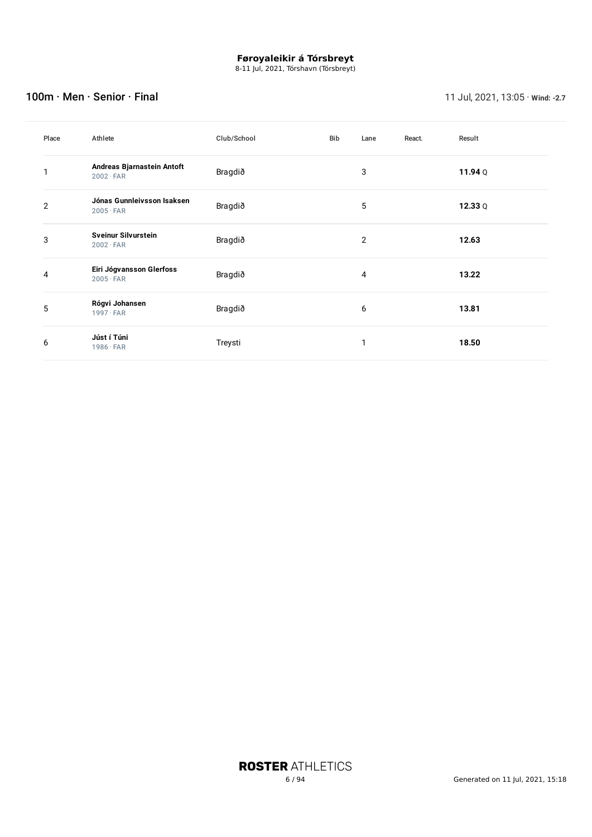8-11 Jul, 2021, Tórshavn (Tórsbreyt)

## 100m · Men · Senior · Final 11 Jul, 2021, 13:05 · **Wind: -2.7**

| Place          | Athlete                                        | Club/School | Bib | Lane | React. | Result    |
|----------------|------------------------------------------------|-------------|-----|------|--------|-----------|
|                | Andreas Bjarnastein Antoft<br>$2002 \cdot FAR$ | Bragdið     |     | 3    |        | 11.94 $Q$ |
| $\overline{2}$ | Jónas Gunnleivsson Isaksen<br>$2005 \cdot FAR$ | Bragdið     |     | 5    |        | 12.33Q    |
| 3              | <b>Sveinur Silvurstein</b><br>$2002 \cdot FAR$ | Bragdið     |     | 2    |        | 12.63     |
| 4              | Eiri Jógvansson Glerfoss<br>$2005 \cdot FAR$   | Bragdið     |     | 4    |        | 13.22     |
| 5              | Rógvi Johansen<br>$1997 \cdot FAR$             | Bragdið     |     | 6    |        | 13.81     |
| 6              | Júst í Túni<br>$1986 \cdot FAR$                | Treysti     |     | 1    |        | 18.50     |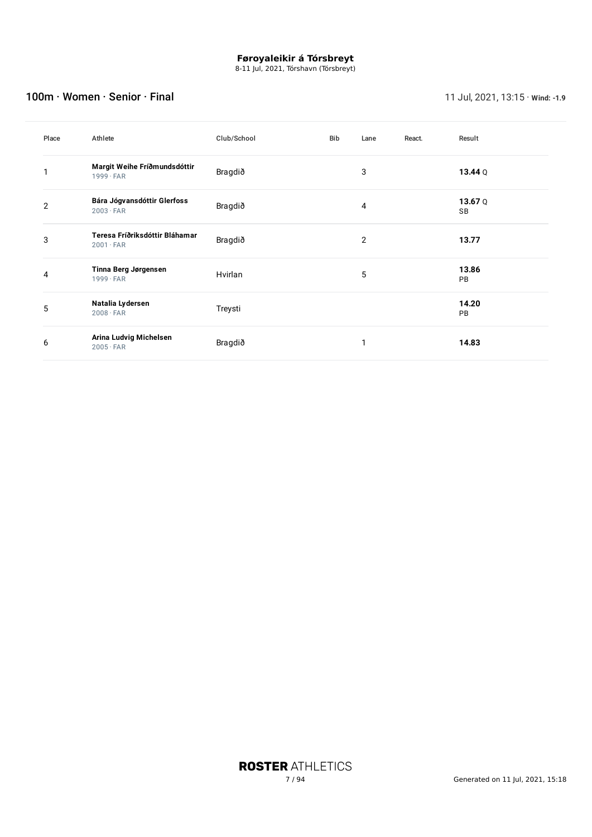8-11 Jul, 2021, Tórshavn (Tórsbreyt)

### 100m · Women · Senior · Final **100m · Women · Senior · Final** 2021, 13:15 · **Wind:** -1.9

| Place | Athlete                                            | Club/School | <b>Bib</b> | Lane           | React. | Result             |
|-------|----------------------------------------------------|-------------|------------|----------------|--------|--------------------|
| 1     | Margit Weihe Fríðmundsdóttir<br>$1999 \cdot FAR$   | Bragdið     |            | 3              |        | 13.44 $Q$          |
| 2     | Bára Jógvansdóttir Glerfoss<br>$2003 \cdot FAR$    | Bragdið     |            | 4              |        | 13.67 $Q$<br>SB    |
| 3     | Teresa Fríðriksdóttir Bláhamar<br>$2001 \cdot FAR$ | Bragdið     |            | $\overline{2}$ |        | 13.77              |
| 4     | Tinna Berg Jørgensen<br>$1999 \cdot FAR$           | Hvirlan     |            | 5              |        | 13.86<br><b>PB</b> |
| 5     | Natalia Lydersen<br>$2008 \cdot FAR$               | Treysti     |            |                |        | 14.20<br><b>PB</b> |
| 6     | Arina Ludvig Michelsen<br>$2005 \cdot FAR$         | Bragdið     |            | 1              |        | 14.83              |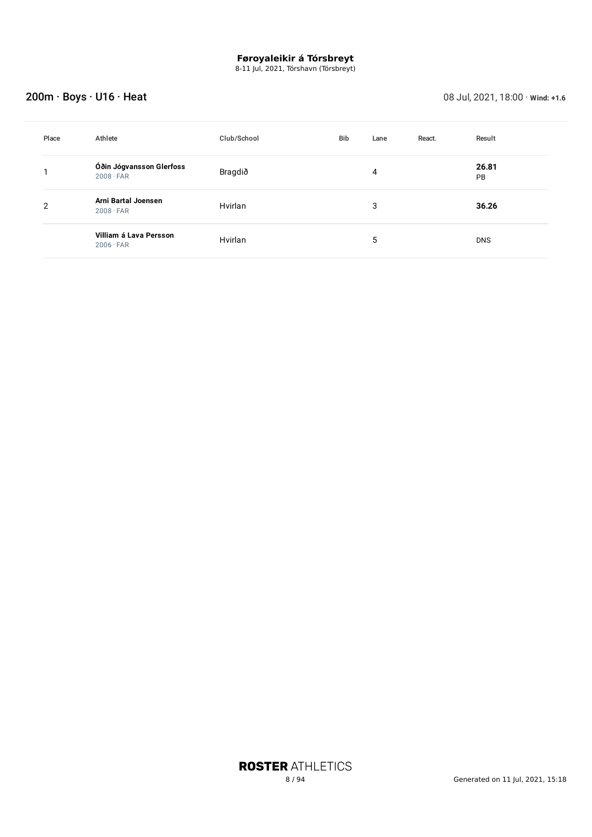8-11 Jul, 2021, Tórshavn (Tórsbreyt)

## 200m · Boys · U16 · Heat 08 Jul, 2021, 18:00 · **Wind: +1.6**

| Place | Athlete                                      | Club/School | Bib | Lane | React. | Result      |
|-------|----------------------------------------------|-------------|-----|------|--------|-------------|
|       | Óðin Jógvansson Glerfoss<br>$2008 \cdot FAR$ | Bragdið     |     | 4    |        | 26.81<br>PB |
| 2     | Arni Bartal Joensen<br>$2008 \cdot FAR$      | Hvirlan     |     | 3    |        | 36.26       |
|       | Villiam á Lava Persson<br>$2006 \cdot FAR$   | Hvirlan     |     | 5    |        | <b>DNS</b>  |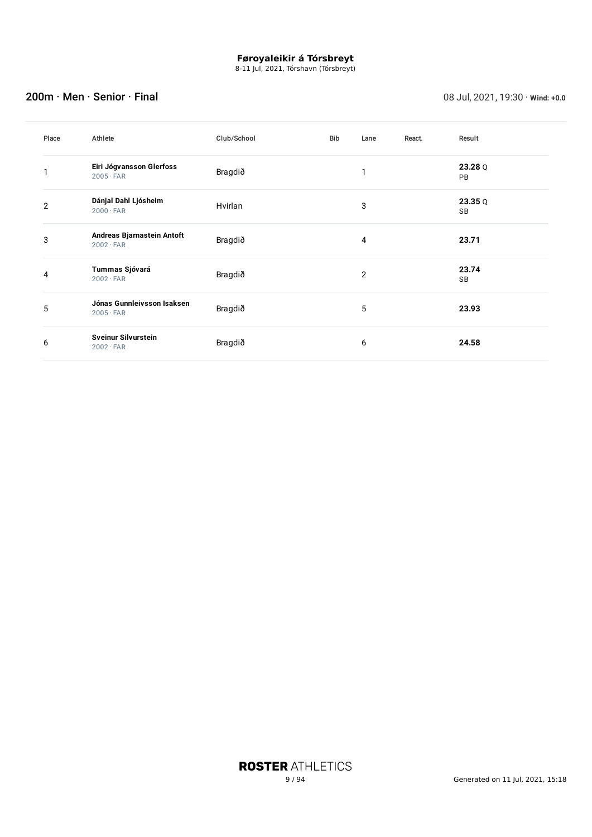8-11 Jul, 2021, Tórshavn (Tórsbreyt)

### 200m · Men · Senior · Final 08 Jul, 2021, 19:30 · **Wind: +0.0**

| Place          | Athlete                                        | Club/School | Bib | Lane           | React. | Result                 |
|----------------|------------------------------------------------|-------------|-----|----------------|--------|------------------------|
|                | Eiri Jógvansson Glerfoss<br>$2005 \cdot FAR$   | Bragdið     |     | 1              |        | 23.28 $Q$<br><b>PB</b> |
| $\overline{2}$ | Dánjal Dahl Ljósheim<br>$2000 \cdot FAR$       | Hvirlan     |     | 3              |        | 23.35Q<br>SB           |
| 3              | Andreas Bjarnastein Antoft<br>$2002 \cdot FAR$ | Bragdið     |     | 4              |        | 23.71                  |
| 4              | Tummas Sjóvará<br>$2002 \cdot FAR$             | Bragdið     |     | $\overline{2}$ |        | 23.74<br><b>SB</b>     |
| 5              | Jónas Gunnleivsson Isaksen<br>$2005 \cdot FAR$ | Bragdið     |     | 5              |        | 23.93                  |
| 6              | <b>Sveinur Silvurstein</b><br>$2002 \cdot FAR$ | Bragdið     |     | 6              |        | 24.58                  |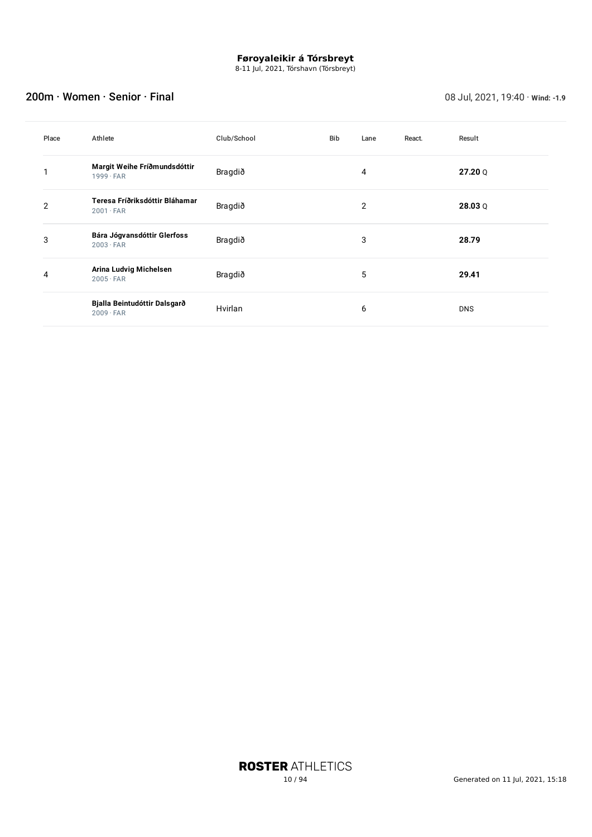8-11 Jul, 2021, Tórshavn (Tórsbreyt)

### 200m · Women · Senior · Final 08 Jul, 2021, 19:40 · **Wind: -1.9**

| Place          | Athlete                                            | Club/School | Bib | Lane           | React. | Result     |
|----------------|----------------------------------------------------|-------------|-----|----------------|--------|------------|
|                | Margit Weihe Fríðmundsdóttir<br>$1999 \cdot FAR$   | Bragdið     |     | 4              |        | $27.20$ Q  |
| $\overline{2}$ | Teresa Fríðriksdóttir Bláhamar<br>$2001 \cdot FAR$ | Bragdið     |     | $\overline{2}$ |        | $28.03$ Q  |
| 3              | Bára Jógvansdóttir Glerfoss<br>$2003 \cdot FAR$    | Bragdið     |     | 3              |        | 28.79      |
| 4              | Arina Ludvig Michelsen<br>$2005 \cdot FAR$         | Bragdið     |     | 5              |        | 29.41      |
|                | Bjalla Beintudóttir Dalsgarð<br>$2009 \cdot FAR$   | Hvirlan     |     | 6              |        | <b>DNS</b> |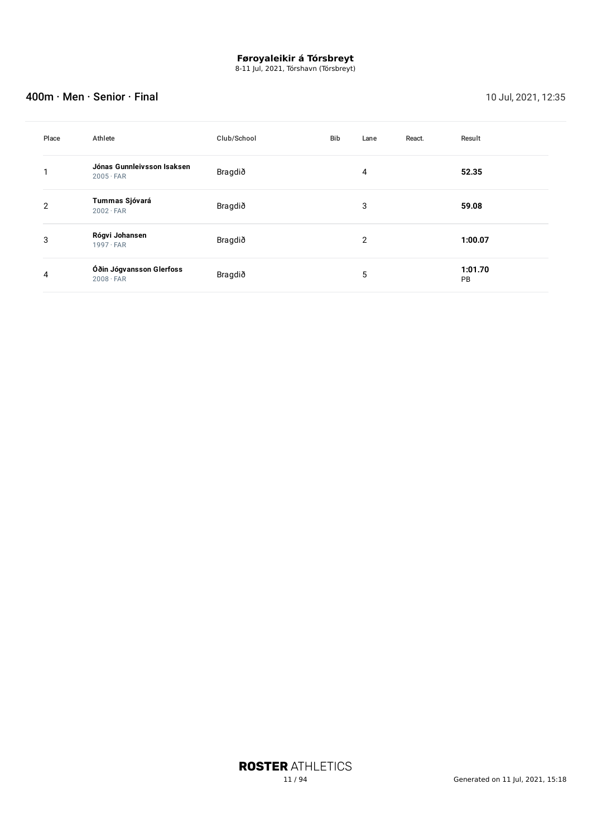8-11 Jul, 2021, Tórshavn (Tórsbreyt)

### **400m · Men · Senior · Final 10 July 2021, 12:35**

| Place          | Athlete                                        | Club/School | <b>Bib</b> | Lane           | React. | Result        |
|----------------|------------------------------------------------|-------------|------------|----------------|--------|---------------|
|                | Jónas Gunnleivsson Isaksen<br>$2005 \cdot FAR$ | Bragdið     |            | 4              |        | 52.35         |
| $\overline{2}$ | Tummas Sjóvará<br>$2002 \cdot FAR$             | Bragdið     |            | 3              |        | 59.08         |
| 3              | Rógvi Johansen<br>$1997 \cdot FAR$             | Bragdið     |            | $\overline{2}$ |        | 1:00.07       |
| 4              | Óðin Jógvansson Glerfoss<br>$2008 \cdot FAR$   | Bragdið     |            | 5              |        | 1:01.70<br>PB |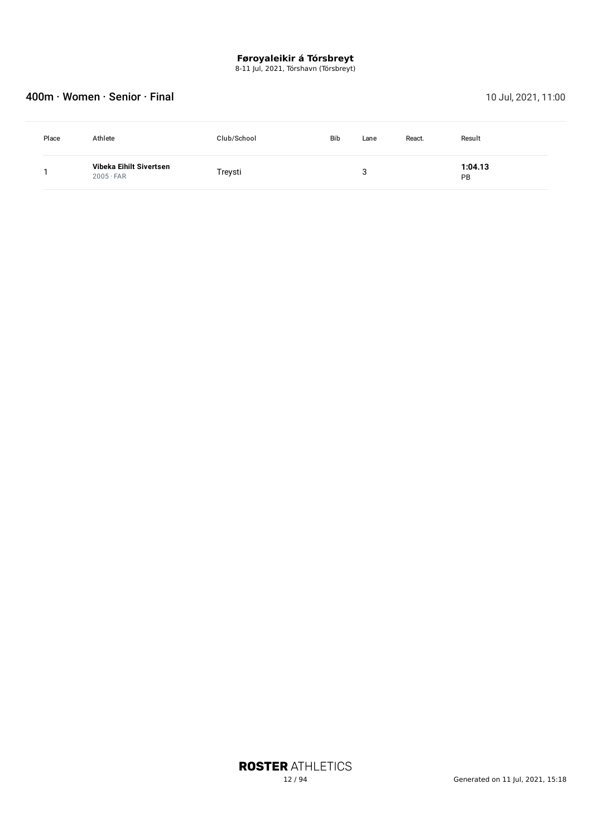8-11 Jul, 2021, Tórshavn (Tórsbreyt)

### Allah · Women · Senior · Final 10 Jul, 2021, 11:00

| Place | Athlete                                     | Club/School | <b>Bib</b> | Lane | React. | Result               |
|-------|---------------------------------------------|-------------|------------|------|--------|----------------------|
|       | Vibeka Eihilt Sivertsen<br>$2005 \cdot FAR$ | Treysti     |            | ັ    |        | 1:04.13<br><b>PB</b> |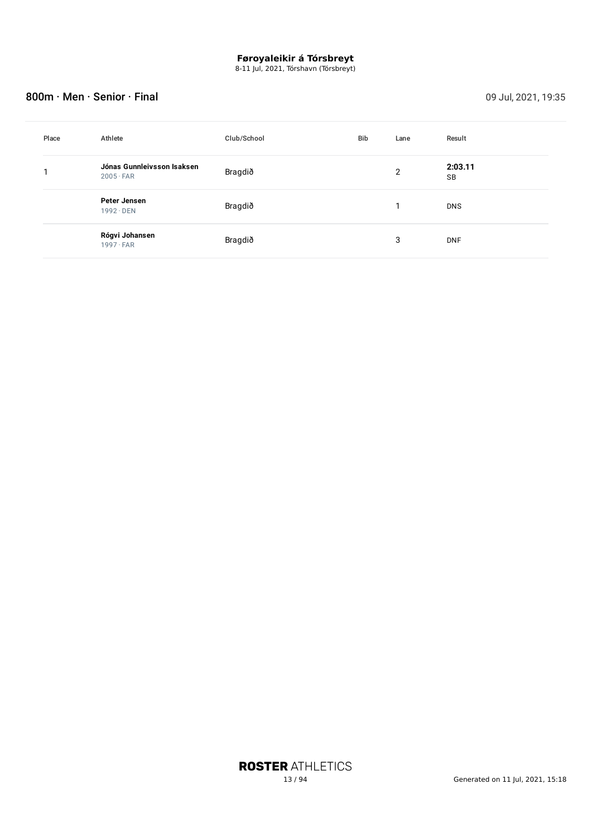8-11 Jul, 2021, Tórshavn (Tórsbreyt)

## 800m · Men · Senior · Final 2021, 19:35

| Place | Athlete                                        | Club/School | Bib | Lane | Result        |
|-------|------------------------------------------------|-------------|-----|------|---------------|
|       | Jónas Gunnleivsson Isaksen<br>$2005 \cdot FAR$ | Bragdið     |     | 2    | 2:03.11<br>SB |
|       | Peter Jensen<br>$1992 \cdot$ DEN               | Bragdið     |     |      | <b>DNS</b>    |
|       | Rógvi Johansen<br>$1997 \cdot FAR$             | Bragdið     |     | 3    | <b>DNF</b>    |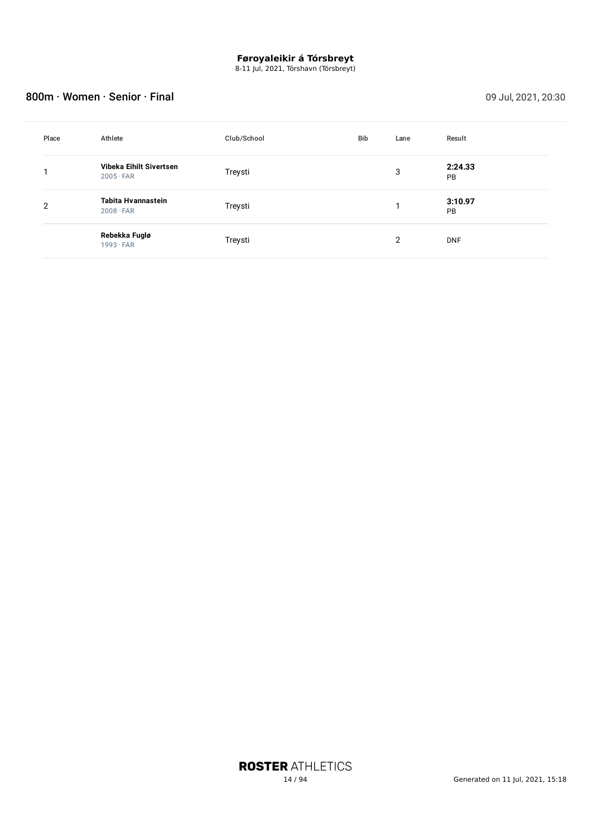8-11 Jul, 2021, Tórshavn (Tórsbreyt)

## 800m · Women · Senior · Final 09 Jul, 2021, 20:30

| Place | Athlete                                     | Club/School | <b>Bib</b> | Lane | Result               |
|-------|---------------------------------------------|-------------|------------|------|----------------------|
|       | Vibeka Eihilt Sivertsen<br>$2005 \cdot FAR$ | Treysti     |            | 3    | 2:24.33<br><b>PB</b> |
| 2     | Tabita Hvannastein<br>$2008 \cdot FAR$      | Treysti     |            | и    | 3:10.97<br><b>PB</b> |
|       | Rebekka Fuglø<br>$1993 \cdot FAR$           | Treysti     |            | 2    | <b>DNF</b>           |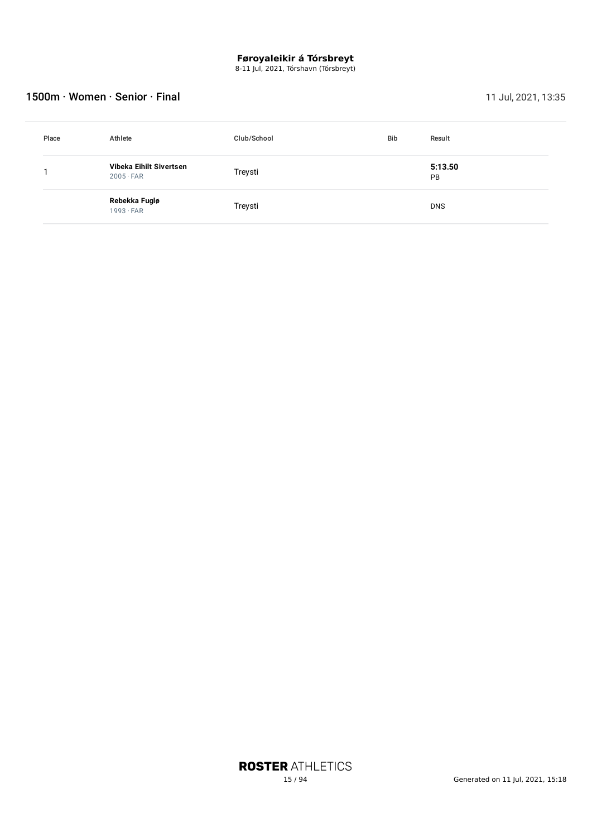8-11 Jul, 2021, Tórshavn (Tórsbreyt)

### 1500m · Women · Senior · Final 1500m · 11 Jul, 2021, 13:35

| Place | Athlete                                     | Club/School | <b>Bib</b> | Result        |
|-------|---------------------------------------------|-------------|------------|---------------|
|       | Vibeka Eihilt Sivertsen<br>$2005 \cdot FAR$ | Treysti     |            | 5:13.50<br>PB |
|       | Rebekka Fuglø<br>$1993 \cdot FAR$           | Treysti     |            | <b>DNS</b>    |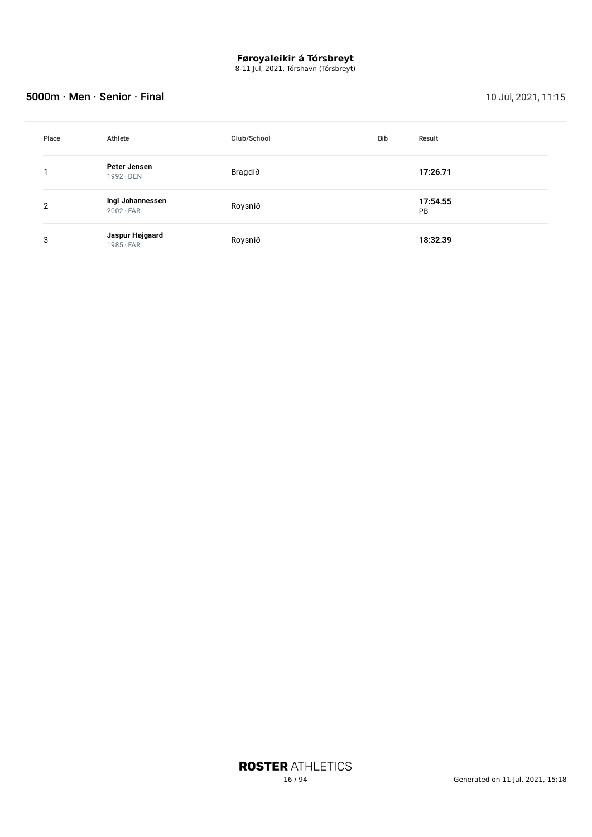8-11 Jul, 2021, Tórshavn (Tórsbreyt)

### **5000m · Men · Senior · Final 10 July 2021, 11:15**

| Place | Athlete                              | Club/School | <b>Bib</b> | Result         |
|-------|--------------------------------------|-------------|------------|----------------|
|       | Peter Jensen<br>$1992 \cdot$ DEN     | Bragdið     |            | 17:26.71       |
| 2     | Ingi Johannessen<br>$2002 \cdot FAR$ | Roysnið     |            | 17:54.55<br>PB |
| 3     | Jaspur Højgaard<br>$1985 \cdot FAR$  | Roysnið     |            | 18:32.39       |

**ROSTER ATHLETICS**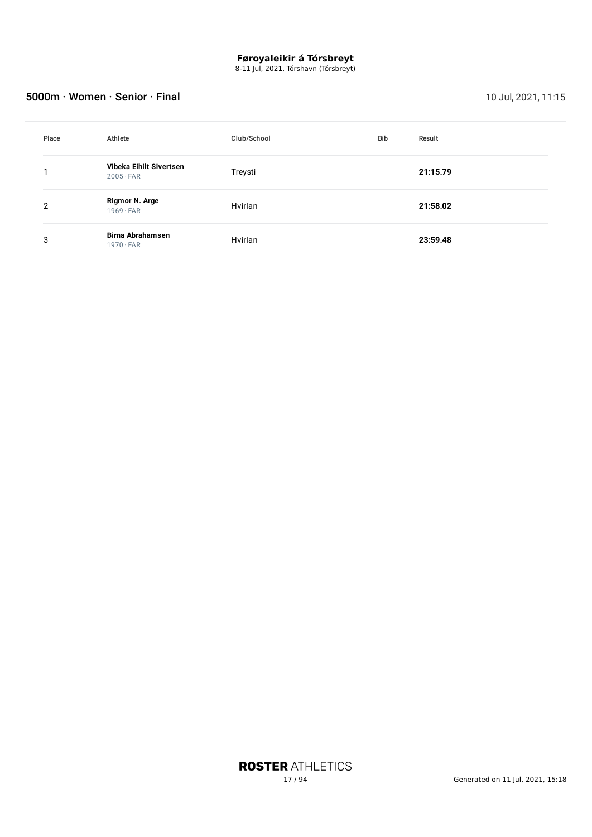8-11 Jul, 2021, Tórshavn (Tórsbreyt)

### **5000m · Women · Senior · Final 10 July 2021, 11:15**

| Place | Athlete                                     | Club/School | <b>Bib</b> | Result   |
|-------|---------------------------------------------|-------------|------------|----------|
|       | Vibeka Eihilt Sivertsen<br>$2005 \cdot FAR$ | Treysti     |            | 21:15.79 |
| 2     | Rigmor N. Arge<br>$1969 \cdot FAR$          | Hvirlan     |            | 21:58.02 |
| 3     | Birna Abrahamsen<br>$1970 \cdot FAR$        | Hvirlan     |            | 23:59.48 |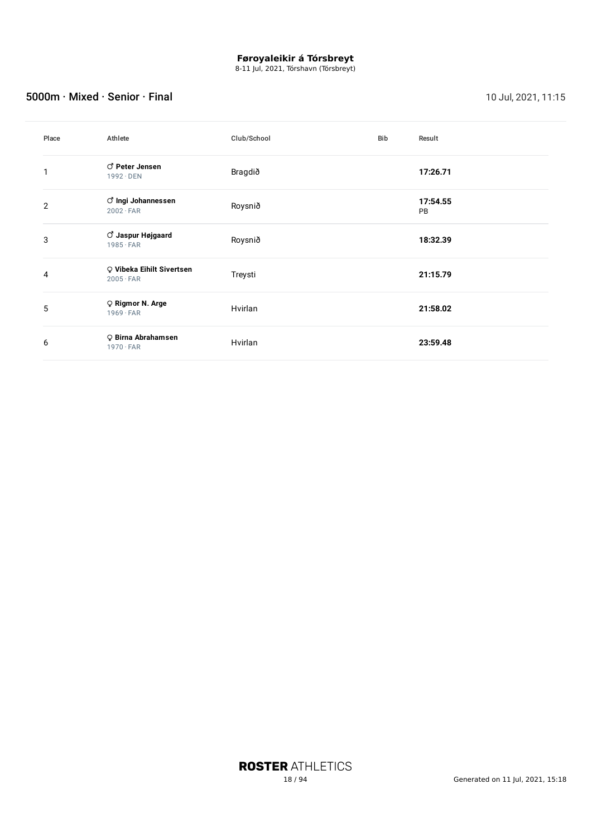8-11 Jul, 2021, Tórshavn (Tórsbreyt)

### **5000m · Mixed · Senior · Final 10 July 2021, 11:15**

| Place | Athlete                                             | Club/School | Bib | Result         |
|-------|-----------------------------------------------------|-------------|-----|----------------|
|       | C Peter Jensen<br>$1992 \cdot$ DEN                  | Bragdið     |     | 17:26.71       |
| 2     | ් Ingi Johannessen<br>$2002 \cdot FAR$              | Roysnið     |     | 17:54.55<br>PB |
| 3     | <b><i>O</i></b> Jaspur Højgaard<br>$1985 \cdot FAR$ | Roysnið     |     | 18:32.39       |
| 4     | Q Vibeka Eihilt Sivertsen<br>$2005 \cdot FAR$       | Treysti     |     | 21:15.79       |
| 5     | Q Rigmor N. Arge<br>$1969 \cdot FAR$                | Hvirlan     |     | 21:58.02       |
| 6     | ♀ Birna Abrahamsen<br>$1970 \cdot FAR$              | Hvirlan     |     | 23:59.48       |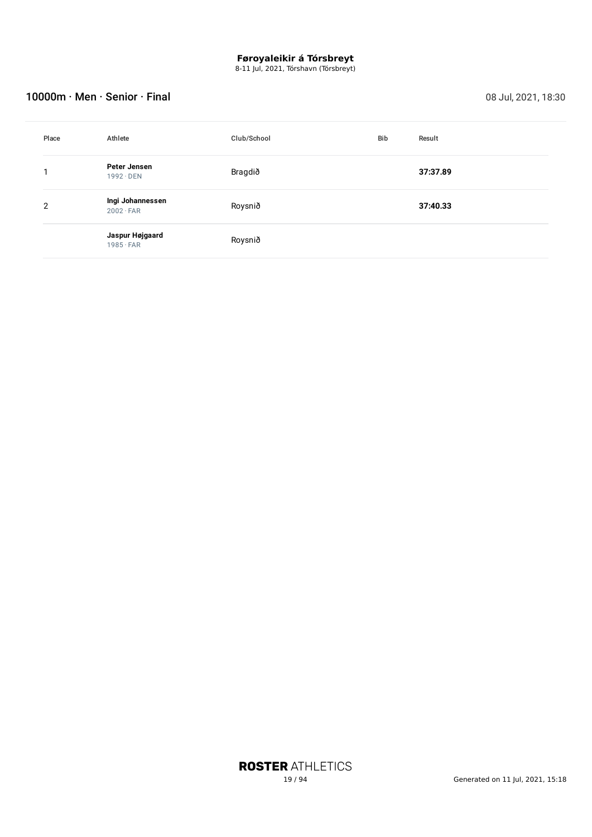8-11 Jul, 2021, Tórshavn (Tórsbreyt)

### 10000m · Men · Senior · Final 2021, 18:30

| Place | Athlete                              | Club/School | Bib | Result   |
|-------|--------------------------------------|-------------|-----|----------|
|       | Peter Jensen<br>$1992 \cdot$ DEN     | Bragdið     |     | 37:37.89 |
| 2     | Ingi Johannessen<br>$2002 \cdot FAR$ | Roysnið     |     | 37:40.33 |
|       | Jaspur Højgaard<br>$1985 \cdot FAR$  | Roysnið     |     |          |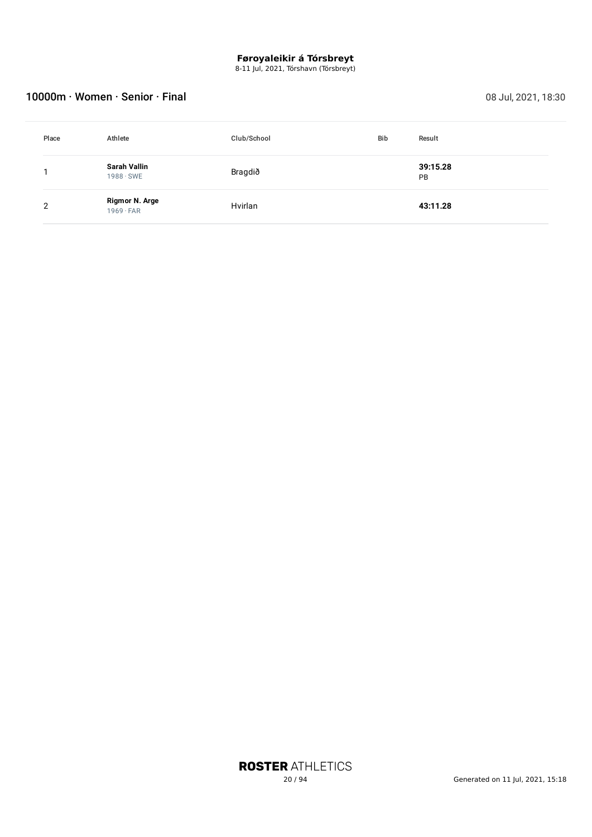8-11 Jul, 2021, Tórshavn (Tórsbreyt)

### 10000m · Women · Senior · Final 2021, 18:30

| Place | Athlete                            | Club/School | <b>Bib</b> | Result                |
|-------|------------------------------------|-------------|------------|-----------------------|
|       | Sarah Vallin<br>$1988 \cdot$ SWE   | Bragdið     |            | 39:15.28<br><b>PB</b> |
| っ     | Rigmor N. Arge<br>$1969 \cdot FAR$ | Hvirlan     |            | 43:11.28              |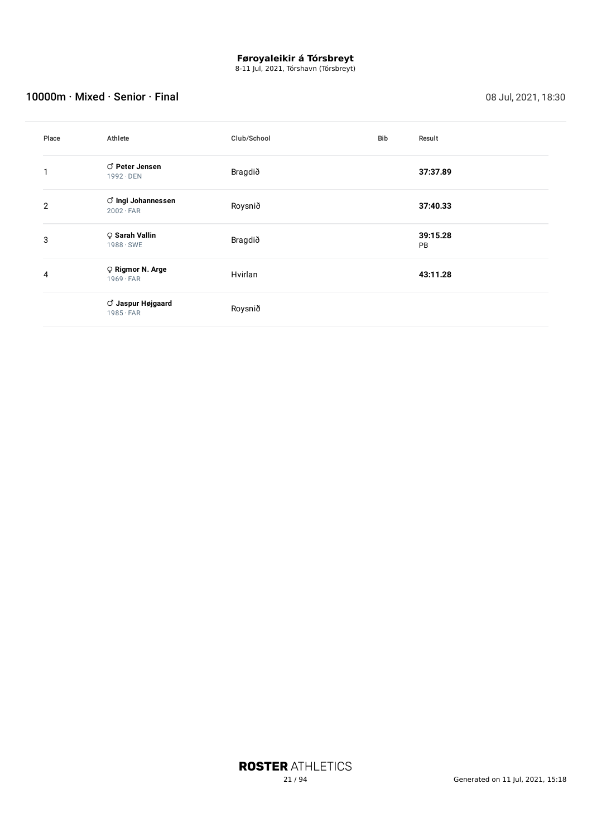8-11 Jul, 2021, Tórshavn (Tórsbreyt)

### 10000m · Mixed · Senior · Final 2021, 18:30

| Place          | Athlete                                             | Club/School | Bib | Result                |
|----------------|-----------------------------------------------------|-------------|-----|-----------------------|
|                | C Peter Jensen<br>$1992 \cdot$ DEN                  | Bragdið     |     | 37:37.89              |
| $\overline{2}$ | ් Ingi Johannessen<br>$2002 \cdot FAR$              | Roysnið     |     | 37:40.33              |
| 3              | ♀ Sarah Vallin<br>$1988 \cdot$ SWE                  | Bragdið     |     | 39:15.28<br><b>PB</b> |
| 4              | Q Rigmor N. Arge<br>$1969 \cdot FAR$                | Hvirlan     |     | 43:11.28              |
|                | <b><i>O</i></b> Jaspur Højgaard<br>$1985 \cdot FAR$ | Roysnið     |     |                       |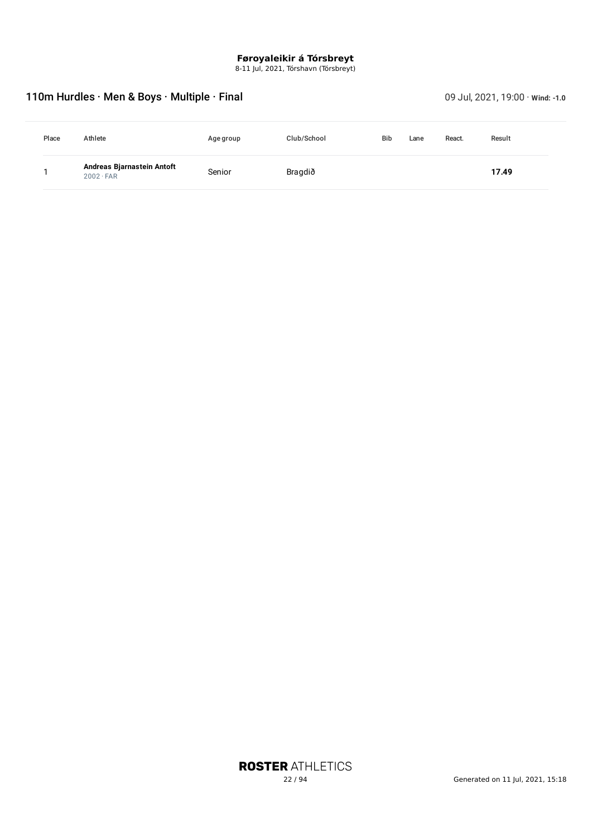8-11 Jul, 2021, Tórshavn (Tórsbreyt)

## 110m Hurdles · Men & Boys · Multiple · Final 09 Jul, 2021, 19:00 · wind: -1.0

| Place | Athlete                                        | Agegroup | Club/School | <b>Bib</b> | Lane | React. | Result |
|-------|------------------------------------------------|----------|-------------|------------|------|--------|--------|
|       | Andreas Bjarnastein Antoft<br>$2002 \cdot FAR$ | Senior   | Bragdið     |            |      |        | 17.49  |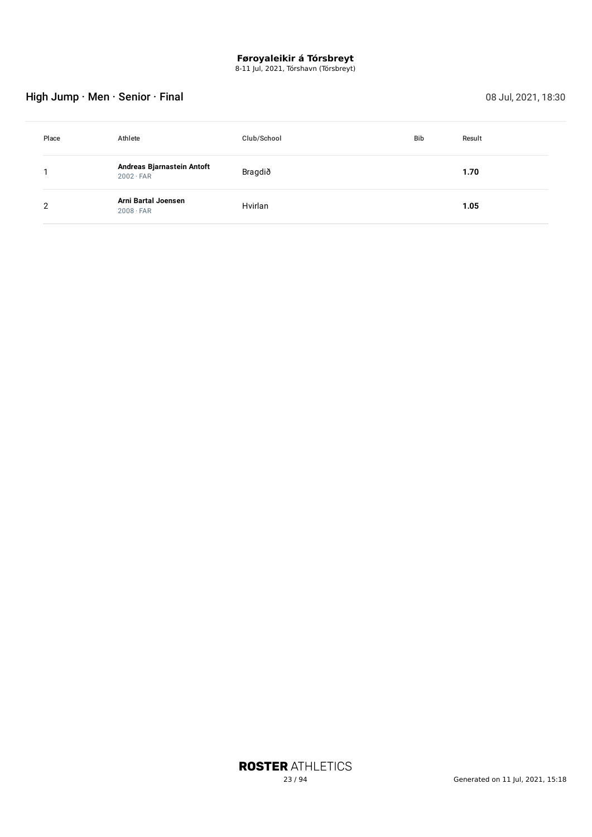8-11 Jul, 2021, Tórshavn (Tórsbreyt)

## High Jump · Men · Senior · Final 2021, 18:30

| Place | Athlete                                        | Club/School | <b>Bib</b> | Result |
|-------|------------------------------------------------|-------------|------------|--------|
|       | Andreas Bjarnastein Antoft<br>$2002 \cdot FAR$ | Bragdið     |            | 1.70   |
| 2     | Arni Bartal Joensen<br>$2008 \cdot FAR$        | Hvirlan     |            | 1.05   |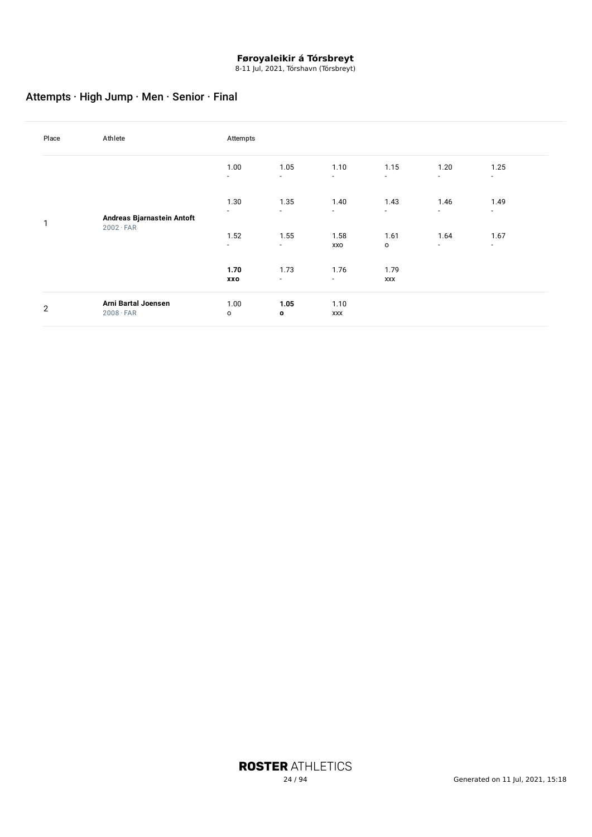8-11 Jul, 2021, Tórshavn (Tórsbreyt)

## Attempts · High Jump · Men · Senior · Final

| Place          | Athlete                                        | Attempts                         |                      |                    |                      |                                  |                |  |
|----------------|------------------------------------------------|----------------------------------|----------------------|--------------------|----------------------|----------------------------------|----------------|--|
| $\mathbf{1}$   | Andreas Bjarnastein Antoft<br>$2002 \cdot FAR$ | 1.00<br>$\overline{\phantom{a}}$ | 1.05<br>$\sim$       | 1.10<br>$\sim$     | 1.15<br>٠            | 1.20<br>$\sim$                   | 1.25<br>$\sim$ |  |
|                |                                                | 1.30<br>$\sim$                   | 1.35<br>$\sim$       | 1.40<br>$\sim$     | 1.43<br>$\sim$       | 1.46<br>$\sim$                   | 1.49<br>$\sim$ |  |
|                |                                                | 1.52<br>$\overline{\phantom{a}}$ | 1.55<br>$\sim$       | 1.58<br>XXO        | 1.61<br>$\mathsf{o}$ | 1.64<br>$\overline{\phantom{a}}$ | 1.67<br>$\sim$ |  |
|                |                                                | 1.70<br>XXO                      | 1.73<br>$\sim$       | 1.76<br>$\sim$     | 1.79<br><b>XXX</b>   |                                  |                |  |
| $\overline{2}$ | Arni Bartal Joensen<br>$2008 \cdot FAR$        | 1.00<br>$\mathsf{o}$             | 1.05<br>$\mathbf{o}$ | 1.10<br><b>XXX</b> |                      |                                  |                |  |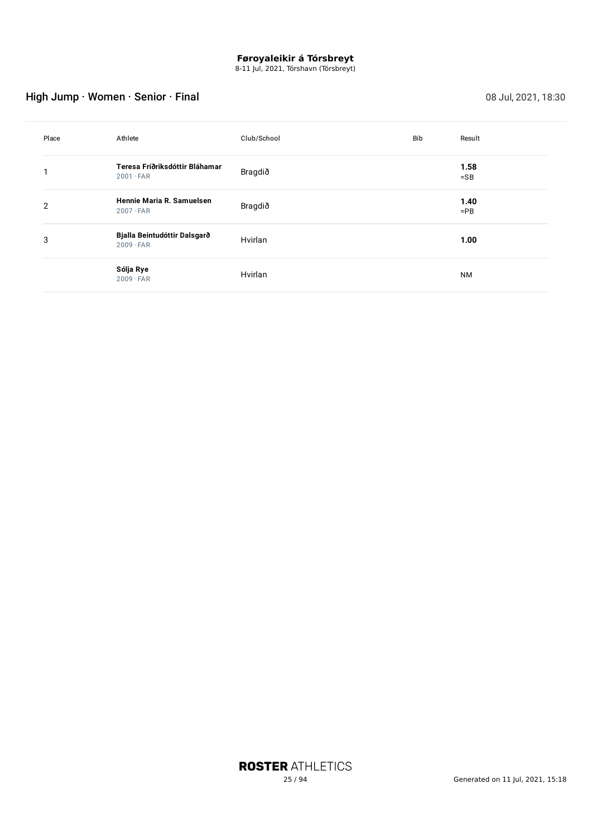8-11 Jul, 2021, Tórshavn (Tórsbreyt)

## High Jump · Women · Senior · Final 08 Jul, 2021, 18:30

| Place          | Athlete                                            | Club/School | Bib | Result         |
|----------------|----------------------------------------------------|-------------|-----|----------------|
|                | Teresa Fríðriksdóttir Bláhamar<br>$2001 \cdot FAR$ | Bragdið     |     | 1.58<br>$=$ SB |
| $\overline{2}$ | Hennie Maria R. Samuelsen<br>$2007 \cdot FAR$      | Bragdið     |     | 1.40<br>$=$ PB |
| 3              | Bjalla Beintudóttir Dalsgarð<br>$2009 \cdot FAR$   | Hvirlan     |     | 1.00           |
|                | Sólja Rye<br>$2009 \cdot FAR$                      | Hvirlan     |     | <b>NM</b>      |

**ROSTER ATHLETICS**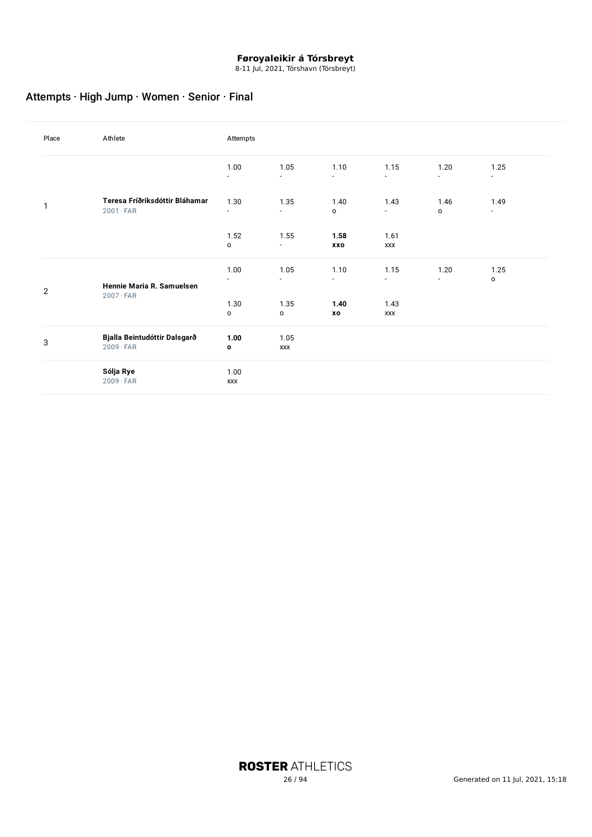8-11 Jul, 2021, Tórshavn (Tórsbreyt)

## Attempts · High Jump · Women · Senior · Final

| Place          | Athlete                                            | Attempts               |                                  |                                  |                                  |                             |                                  |
|----------------|----------------------------------------------------|------------------------|----------------------------------|----------------------------------|----------------------------------|-----------------------------|----------------------------------|
|                |                                                    | 1.00<br>٠              | 1.05<br>$\overline{\phantom{a}}$ | 1.10<br>$\overline{\phantom{a}}$ | 1.15<br>$\frac{1}{2}$            | 1.20<br>$\blacksquare$      | 1.25<br>$\overline{\phantom{a}}$ |
| 1              | Teresa Fríðriksdóttir Bláhamar<br>$2001 \cdot FAR$ | 1.30<br>$\blacksquare$ | 1.35<br>$\sim$                   | 1.40<br>$\mathsf{o}\,$           | 1.43<br>$\overline{\phantom{a}}$ | 1.46<br>$\mathsf{o}\xspace$ | 1.49<br>$\sim$                   |
|                |                                                    | 1.52<br>$\mathsf{o}$   | 1.55<br>$\overline{\phantom{a}}$ | 1.58<br>XXO                      | 1.61<br>XXX                      |                             |                                  |
| $\overline{2}$ | Hennie Maria R. Samuelsen<br>$2007 \cdot FAR$      | 1.00<br>٠              | 1.05<br>$\sim$                   | 1.10<br>$\sim$                   | 1.15<br>$\overline{\phantom{a}}$ | 1.20<br>$\sim$              | 1.25<br>$\mathsf{o}\,$           |
|                |                                                    | 1.30<br>$\mathsf{o}\,$ | 1.35<br>o                        | 1.40<br>хo                       | 1.43<br>XXX                      |                             |                                  |
| 3              | Bjalla Beintudóttir Dalsgarð<br>$2009 \cdot FAR$   | 1.00<br>$\mathbf{o}$   | 1.05<br><b>XXX</b>               |                                  |                                  |                             |                                  |
|                | Sólja Rye<br>$2009 \cdot FAR$                      | 1.00<br>XXX            |                                  |                                  |                                  |                             |                                  |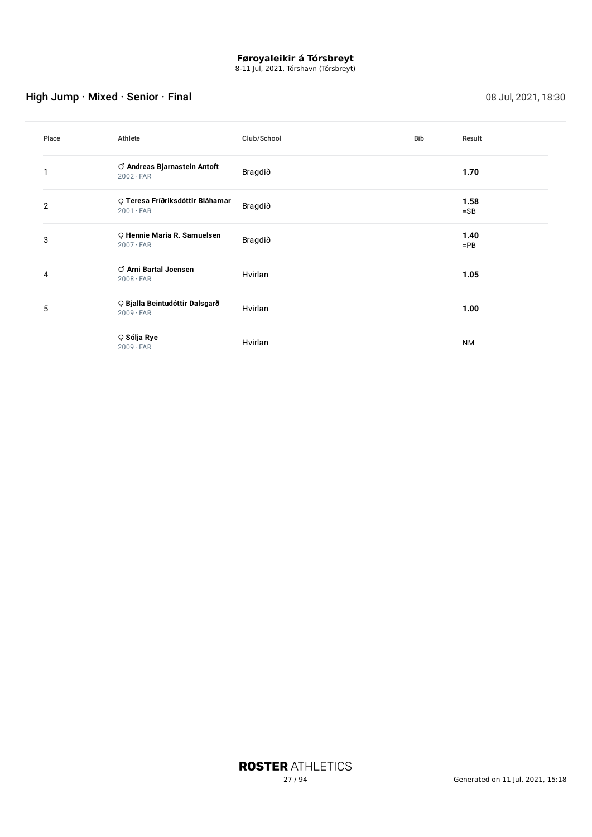8-11 Jul, 2021, Tórshavn (Tórsbreyt)

## High Jump · Mixed · Senior · Final 08 Jul, 2021, 18:30

| Place | Athlete                                                           | Club/School | Bib | Result         |
|-------|-------------------------------------------------------------------|-------------|-----|----------------|
| 1     | $\circlearrowleft$ Andreas Bjarnastein Antoft<br>$2002 \cdot FAR$ | Bragdið     |     | 1.70           |
| 2     | O Teresa Fríðriksdóttir Bláhamar<br>$2001 \cdot FAR$              | Bragdið     |     | 1.58<br>$=$ SB |
| 3     | O Hennie Maria R. Samuelsen<br>$2007 \cdot FAR$                   | Bragdið     |     | 1.40<br>$=$ PB |
| 4     | C Arni Bartal Joensen<br>$2008 \cdot FAR$                         | Hvirlan     |     | 1.05           |
| 5     | O Bjalla Beintudóttir Dalsgarð<br>$2009 \cdot FAR$                | Hvirlan     |     | 1.00           |
|       | ♀ Sólja Rye<br>$2009 \cdot FAR$                                   | Hvirlan     |     | <b>NM</b>      |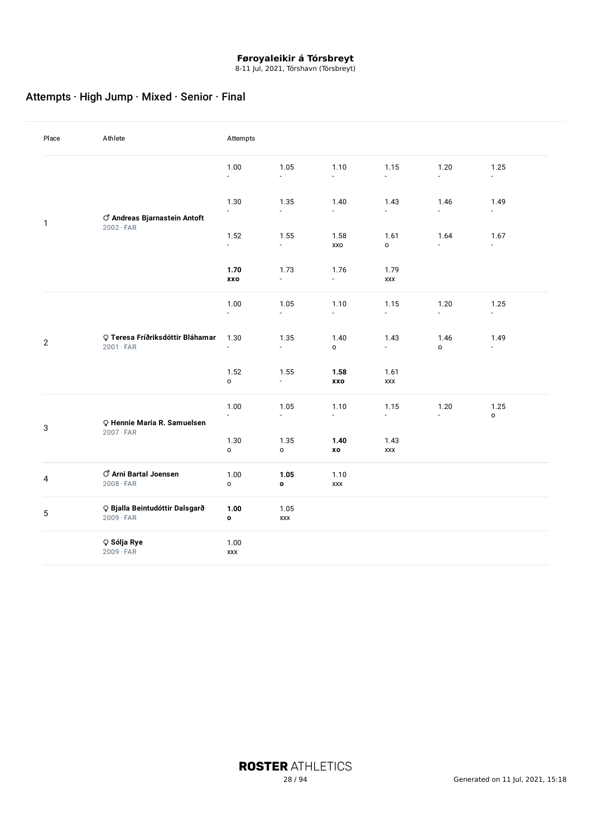8-11 Jul, 2021, Tórshavn (Tórsbreyt)

## Attempts · High Jump · Mixed · Senior · Final

| Place          | Athlete                                              | Attempts                            |                                   |                                  |                                   |                        |                             |
|----------------|------------------------------------------------------|-------------------------------------|-----------------------------------|----------------------------------|-----------------------------------|------------------------|-----------------------------|
|                |                                                      | 1.00<br>ä,                          | 1.05<br>÷.                        | 1.10<br>÷.                       | 1.15<br>ä,                        | 1.20<br>L.             | 1.25<br>÷.                  |
|                |                                                      | 1.30<br>$\overline{\phantom{a}}$    | 1.35<br>$\blacksquare$            | 1.40<br>$\overline{\phantom{a}}$ | 1.43<br>$\mathbb{Z}^{\mathbb{Z}}$ | 1.46<br>ä,             | 1.49<br>÷.                  |
| 1              | C Andreas Bjarnastein Antoft<br>$2002 \cdot FAR$     | 1.52<br>$\sim$                      | 1.55<br>$\sim$                    | 1.58<br>XXO                      | 1.61<br>o                         | 1.64<br>$\blacksquare$ | 1.67<br>$\blacksquare$      |
|                |                                                      | 1.70<br>xxo                         | 1.73<br>$\blacksquare$            | 1.76<br>÷.                       | 1.79<br><b>XXX</b>                |                        |                             |
|                |                                                      | 1.00<br>$\mathbb{Z}^{\mathbb{Z}}$   | 1.05<br>÷.                        | 1.10<br>$\omega$                 | 1.15<br>ä,                        | 1.20<br>ä,             | 1.25<br>ä,                  |
| $\overline{2}$ | O Teresa Fríðriksdóttir Bláhamar<br>$2001 \cdot FAR$ | 1.30<br>$\mathcal{L}_{\mathcal{A}}$ | 1.35<br>$\blacksquare$            | 1.40<br>$\mathsf{o}\xspace$      | 1.43<br>$\sim$                    | 1.46<br>$\circ$        | 1.49<br>÷,                  |
|                |                                                      | 1.52<br>$\mathsf{o}\,$              | 1.55<br>$\sim$                    | 1.58<br>xxo                      | 1.61<br>XXX                       |                        |                             |
| 3              | O Hennie Maria R. Samuelsen                          | 1.00<br>$\sim$                      | 1.05<br>$\mathbb{Z}^{\mathbb{Z}}$ | 1.10<br>$\sim$                   | 1.15<br>$\sim$                    | 1.20<br>$\blacksquare$ | 1.25<br>$\mathsf{o}\xspace$ |
|                | $2007 \cdot FAR$                                     | 1.30<br>$\mathsf{o}\,$              | 1.35<br>$\mathsf{o}\,$            | 1.40<br>XO                       | 1.43<br>XXX                       |                        |                             |
| 4              | C Arni Bartal Joensen<br>$2008 \cdot FAR$            | 1.00<br>$\mathsf{o}\,$              | 1.05<br>$\mathbf{o}$              | 1.10<br>XXX                      |                                   |                        |                             |
| 5              | O Bjalla Beintudóttir Dalsgarð<br>$2009 \cdot FAR$   | 1.00<br>$\bullet$                   | 1.05<br>XXX                       |                                  |                                   |                        |                             |
|                | ♀ Sólja Rye<br>$2009 \cdot FAR$                      | 1.00<br>XXX                         |                                   |                                  |                                   |                        |                             |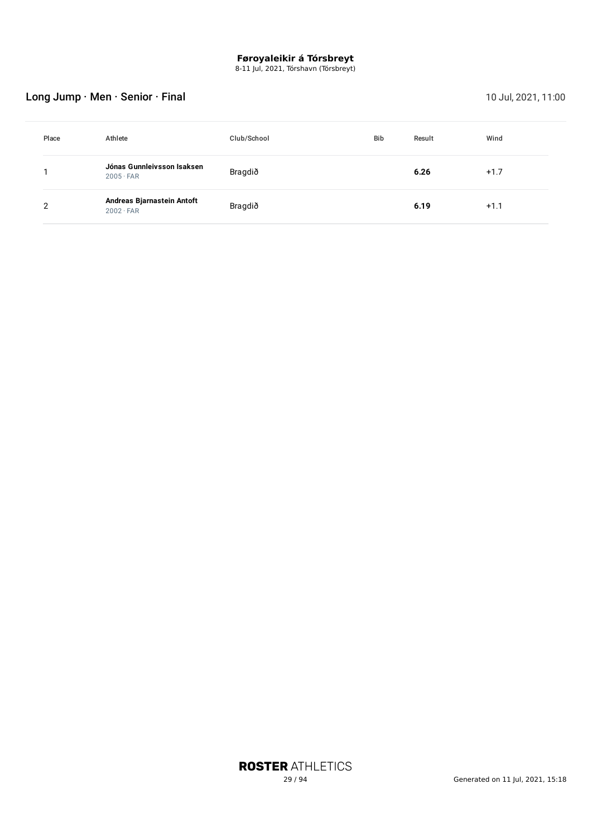8-11 Jul, 2021, Tórshavn (Tórsbreyt)

## Long Jump · Men · Senior · Final 10 Jul, 2021, 11:00

| Place | Athlete                                        | Club/School | <b>Bib</b> | Result | Wind   |
|-------|------------------------------------------------|-------------|------------|--------|--------|
|       | Jónas Gunnleivsson Isaksen<br>$2005 \cdot FAR$ | Bragdið     |            | 6.26   | $+1.7$ |
| ົ     | Andreas Bjarnastein Antoft<br>$2002 \cdot FAR$ | Bragdið     |            | 6.19   | $+1.1$ |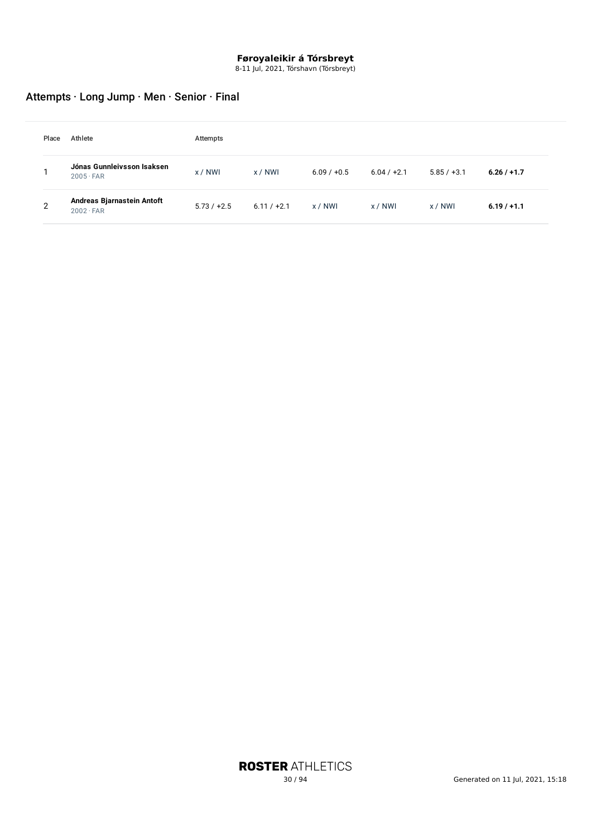8-11 Jul, 2021, Tórshavn (Tórsbreyt)

## Attempts · Long Jump · Men · Senior · Final

| Place | Athlete                                        | Attempts      |               |               |               |               |               |
|-------|------------------------------------------------|---------------|---------------|---------------|---------------|---------------|---------------|
|       | Jónas Gunnleivsson Isaksen<br>$2005 \cdot FAR$ | x / NWI       | x / NWI       | $6.09 / +0.5$ | $6.04 / +2.1$ | $5.85 / +3.1$ | $6.26 / +1.7$ |
| 2     | Andreas Bjarnastein Antoft<br>$2002 \cdot FAR$ | $5.73 / +2.5$ | $6.11 / +2.1$ | x / NWI       | x / N W       | x / NWI       | $6.19 / +1.1$ |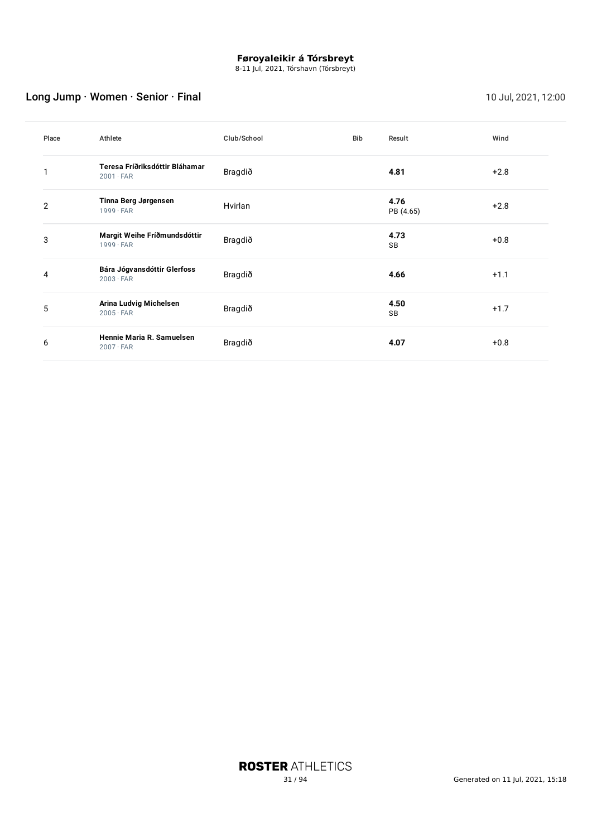8-11 Jul, 2021, Tórshavn (Tórsbreyt)

## Long Jump · Women · Senior · Final 10 Jul, 2021, 12:00

| Place          | Athlete                                            | Club/School | <b>Bib</b> | Result            | Wind   |
|----------------|----------------------------------------------------|-------------|------------|-------------------|--------|
|                | Teresa Fríðriksdóttir Bláhamar<br>$2001 \cdot FAR$ | Bragdið     |            | 4.81              | $+2.8$ |
| $\overline{2}$ | Tinna Berg Jørgensen<br>$1999 \cdot FAR$           | Hvirlan     |            | 4.76<br>PB (4.65) | $+2.8$ |
| 3              | Margit Weihe Fríðmundsdóttir<br>$1999 \cdot FAR$   | Bragdið     |            | 4.73<br>SB        | $+0.8$ |
| 4              | Bára Jógvansdóttir Glerfoss<br>$2003 \cdot FAR$    | Bragdið     |            | 4.66              | $+1.1$ |
| 5              | Arina Ludvig Michelsen<br>$2005 \cdot FAR$         | Bragdið     |            | 4.50<br>SB        | $+1.7$ |
| 6              | Hennie Maria R. Samuelsen<br>$2007 \cdot FAR$      | Bragdið     |            | 4.07              | $+0.8$ |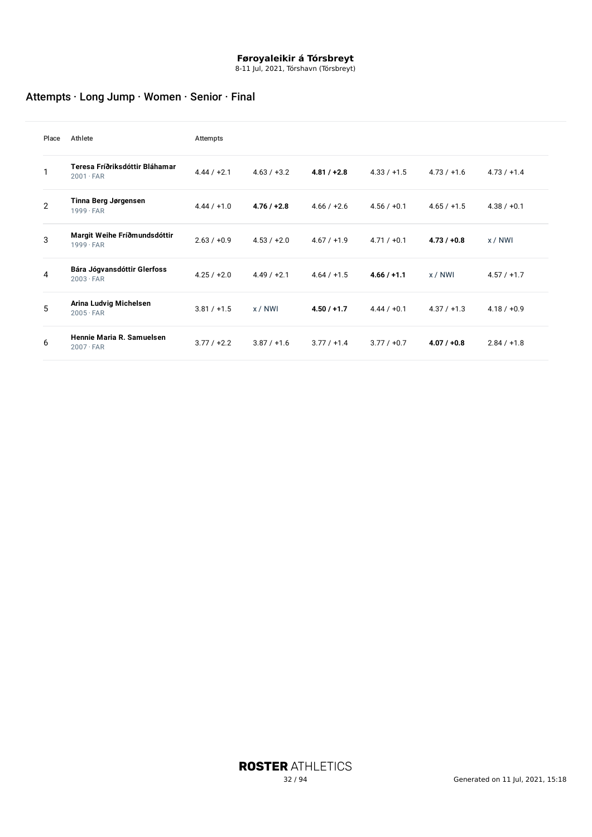8-11 Jul, 2021, Tórshavn (Tórsbreyt)

## Attempts · Long Jump · Women · Senior · Final

| Place          | Athlete                                            | Attempts       |               |               |               |               |               |
|----------------|----------------------------------------------------|----------------|---------------|---------------|---------------|---------------|---------------|
| 1              | Teresa Fríðriksdóttir Bláhamar<br>$2001 \cdot FAR$ | $4.44 / +2.1$  | $4.63 / +3.2$ | $4.81 / +2.8$ | $4.33 / +1.5$ | $4.73 / +1.6$ | $4.73 / +1.4$ |
| $\overline{2}$ | Tinna Berg Jørgensen<br>$1999 \cdot FAR$           | $4.44 / +1.0$  | $4.76 / +2.8$ | $4.66 / +2.6$ | $4.56 / +0.1$ | $4.65 / +1.5$ | $4.38 / +0.1$ |
| 3              | Margit Weihe Fríðmundsdóttir<br>$1999 \cdot FAR$   | $2.63 / +0.9$  | $4.53 / +2.0$ | $4.67 / +1.9$ | $4.71 / +0.1$ | $4.73 / +0.8$ | x / NWI       |
| 4              | Bára Jógvansdóttir Glerfoss<br>$2003 \cdot FAR$    | $4.25 / +2.0$  | $4.49 / +2.1$ | $4.64 / +1.5$ | $4.66 / +1.1$ | x / NWI       | $4.57 / +1.7$ |
| 5              | Arina Ludvig Michelsen<br>$2005 \cdot FAR$         | $3.81 / +1.5$  | x / NWI       | $4.50 / +1.7$ | $4.44 / +0.1$ | $4.37 / +1.3$ | $4.18 / +0.9$ |
| 6              | Hennie Maria R. Samuelsen<br>$2007 \cdot FAR$      | $3.77/1 + 2.2$ | $3.87 / +1.6$ | $3.77 / +1.4$ | $3.77 / +0.7$ | $4.07 / +0.8$ | $2.84 / +1.8$ |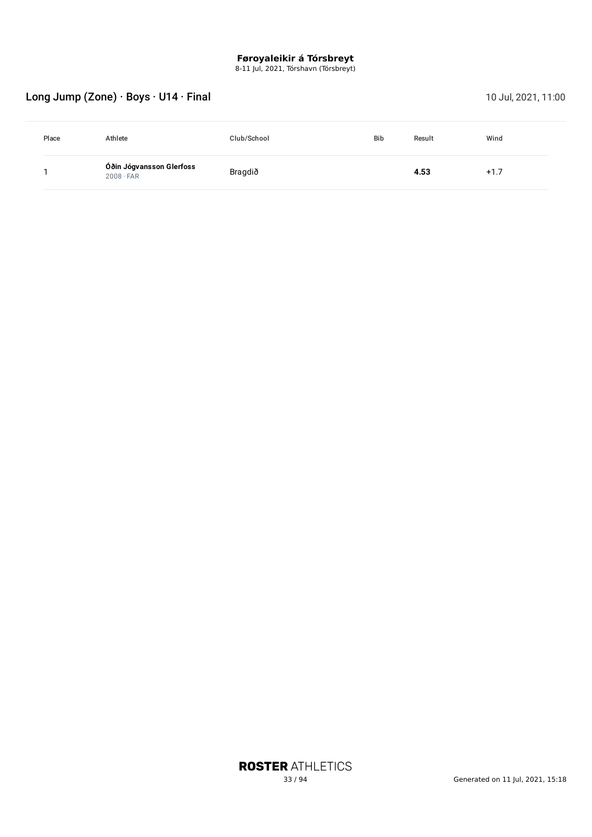8-11 Jul, 2021, Tórshavn (Tórsbreyt)

## Long Jump (Zone) · Boys · U14 · Final 10 July 2021, 11:00

| Place | Athlete                                      | Club/School | <b>Bib</b> | Result | Wind   |
|-------|----------------------------------------------|-------------|------------|--------|--------|
|       | Óðin Jógvansson Glerfoss<br>$2008 \cdot FAR$ | Bragdið     |            | 4.53   | $+1.7$ |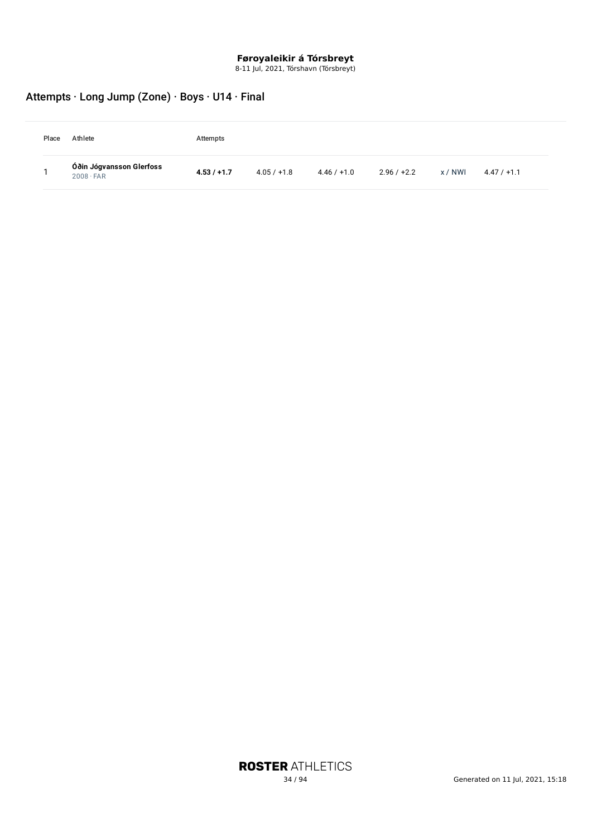8-11 Jul, 2021, Tórshavn (Tórsbreyt)

## Attempts · Long Jump (Zone) · Boys · U14 · Final

| Place | Athlete                                      | Attempts      |               |               |               |         |               |
|-------|----------------------------------------------|---------------|---------------|---------------|---------------|---------|---------------|
|       | Óðin Jógvansson Glerfoss<br>$2008 \cdot FAR$ | $4.53 / +1.7$ | $4.05 / +1.8$ | $4.46 / +1.0$ | $2.96 / +2.2$ | x / NWI | $4.47 / +1.1$ |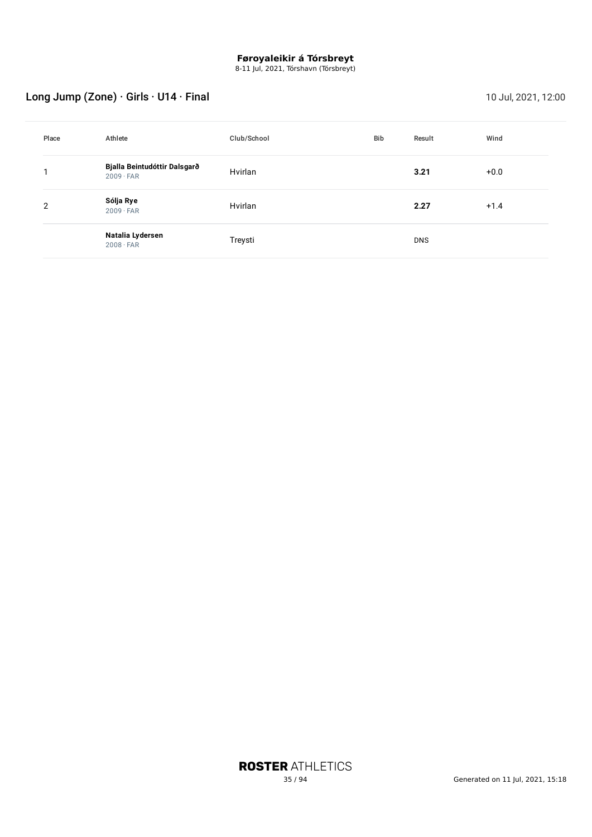8-11 Jul, 2021, Tórshavn (Tórsbreyt)

## Long Jump (Zone) · Girls · U14 · Final 10 Jul, 2021, 12:00

| Place | Athlete                                          | Club/School | Bib | Result     | Wind   |
|-------|--------------------------------------------------|-------------|-----|------------|--------|
|       | Bjalla Beintudóttir Dalsgarð<br>$2009 \cdot FAR$ | Hvirlan     |     | 3.21       | $+0.0$ |
| 2     | Sólja Rye<br>$2009 \cdot FAR$                    | Hvirlan     |     | 2.27       | $+1.4$ |
|       | Natalia Lydersen<br>$2008 \cdot FAR$             | Treysti     |     | <b>DNS</b> |        |

**ROSTER ATHLETICS**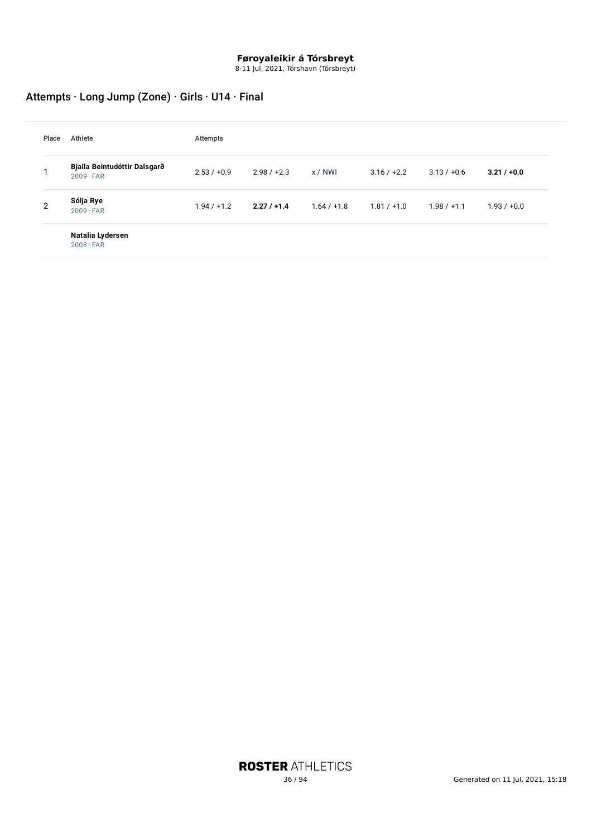8-11 Jul, 2021, Tórshavn (Tórsbreyt)

## Attempts · Long Jump (Zone) · Girls · U14 · Final

| Place | Athlete                                          | Attempts      |               |               |               |               |               |
|-------|--------------------------------------------------|---------------|---------------|---------------|---------------|---------------|---------------|
|       | Bjalla Beintudóttir Dalsgarð<br>$2009 \cdot FAR$ | $2.53 / +0.9$ | $2.98 / +2.3$ | x / NWI       | $3.16 / +2.2$ | $3.13 / +0.6$ | $3.21 / +0.0$ |
| 2     | Sólja Rye<br>$2009 \cdot FAR$                    | $1.94 / +1.2$ | 2.27/11.4     | $1.64 / +1.8$ | $1.81 / +1.0$ | $1.98 / +1.1$ | $1.93 / +0.0$ |
|       | Natalia Lydersen<br>$2008 \cdot FAR$             |               |               |               |               |               |               |

**ROSTER ATHLETICS**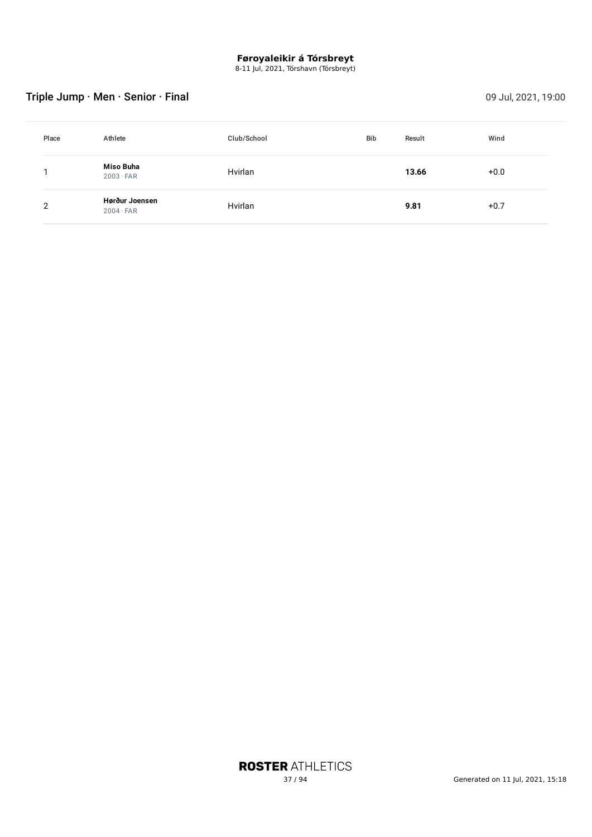8-11 Jul, 2021, Tórshavn (Tórsbreyt)

# Triple Jump · Men · Senior · Final 09 Jul, 2021, 19:00

| Place | Athlete                            | Club/School | Bib | Result | Wind   |
|-------|------------------------------------|-------------|-----|--------|--------|
|       | Miso Buha<br>$2003 \cdot FAR$      | Hvirlan     |     | 13.66  | $+0.0$ |
| 2     | Hørður Joensen<br>$2004 \cdot FAR$ | Hvirlan     |     | 9.81   | $+0.7$ |

**ROSTER ATHLETICS**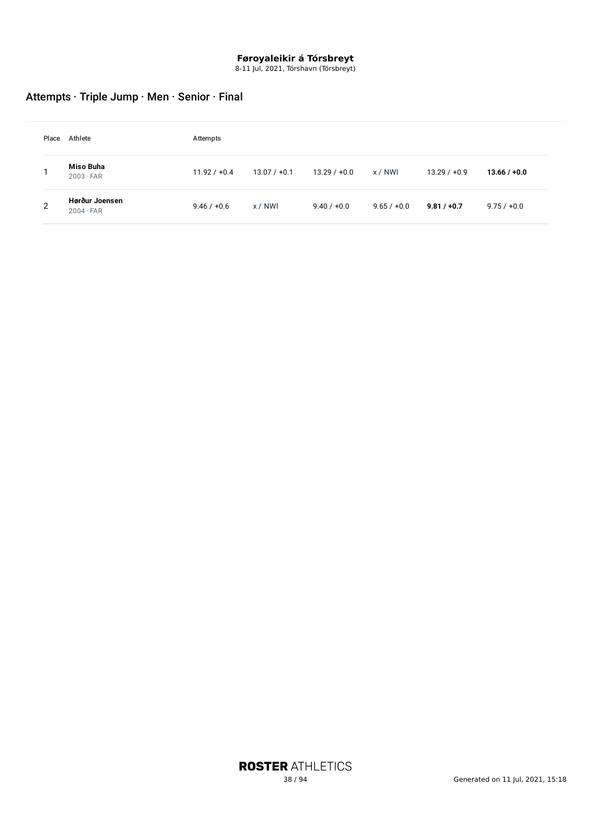8-11 Jul, 2021, Tórshavn (Tórsbreyt)

# Attempts · Triple Jump · Men · Senior · Final

| Place | Athlete                            | Attempts       |                |                |               |                |                |  |  |  |
|-------|------------------------------------|----------------|----------------|----------------|---------------|----------------|----------------|--|--|--|
|       | Miso Buha<br>$2003 \cdot FAR$      | $11.92 / +0.4$ | $13.07 / +0.1$ | $13.29 / +0.0$ | x / NWI       | $13.29 / +0.9$ | $13.66 / +0.0$ |  |  |  |
| 2     | Hørður Joensen<br>$2004 \cdot FAR$ | $9.46 / +0.6$  | x / NWI        | $9.40 / +0.0$  | $9.65 / +0.0$ | $9.81 / +0.7$  | $9.75 / +0.0$  |  |  |  |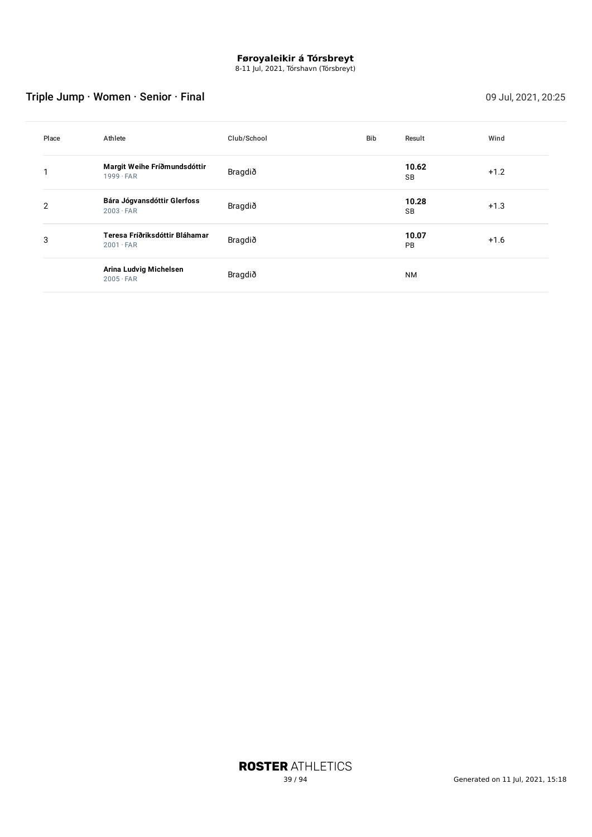8-11 Jul, 2021, Tórshavn (Tórsbreyt)

# Triple Jump · Women · Senior · Final 09 Jul, 2021, 20:25

| Place | Athlete                                            | Club/School | <b>Bib</b> | Result      | Wind   |
|-------|----------------------------------------------------|-------------|------------|-------------|--------|
|       | Margit Weihe Fríðmundsdóttir<br>$1999 \cdot FAR$   | Bragdið     |            | 10.62<br>SB | $+1.2$ |
| 2     | Bára Jógvansdóttir Glerfoss<br>$2003 \cdot FAR$    | Bragdið     |            | 10.28<br>SB | $+1.3$ |
| 3     | Teresa Fríðriksdóttir Bláhamar<br>$2001 \cdot FAR$ | Bragdið     |            | 10.07<br>PB | $+1.6$ |
|       | Arina Ludvig Michelsen<br>$2005 \cdot FAR$         | Bragdið     |            | <b>NM</b>   |        |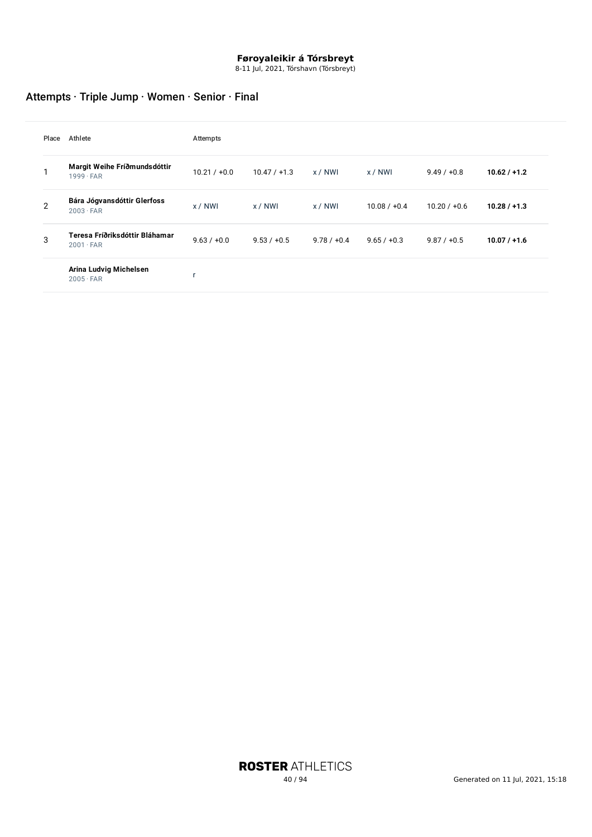8-11 Jul, 2021, Tórshavn (Tórsbreyt)

# Attempts · Triple Jump · Women · Senior · Final

| Place          | Athlete                                            | Attempts       |                |               |                |                |                |
|----------------|----------------------------------------------------|----------------|----------------|---------------|----------------|----------------|----------------|
|                | Margit Weihe Fríðmundsdóttir<br>$1999 \cdot FAR$   | $10.21 / +0.0$ | $10.47 / +1.3$ | x / N W       | x / NWI        | $9.49 / +0.8$  | $10.62 / +1.2$ |
| $\overline{2}$ | Bára Jógvansdóttir Glerfoss<br>$2003 \cdot FAR$    | x / NWI        | x / NWI        | x / N W       | $10.08 / +0.4$ | $10.20 / +0.6$ | $10.28 / +1.3$ |
| 3              | Teresa Fríðriksdóttir Bláhamar<br>$2001 \cdot FAR$ | $9.63 / +0.0$  | $9.53 / +0.5$  | $9.78 / +0.4$ | $9.65 / +0.3$  | $9.87 / +0.5$  | $10.07 / +1.6$ |
|                | Arina Ludvig Michelsen<br>$2005 \cdot FAR$         |                |                |               |                |                |                |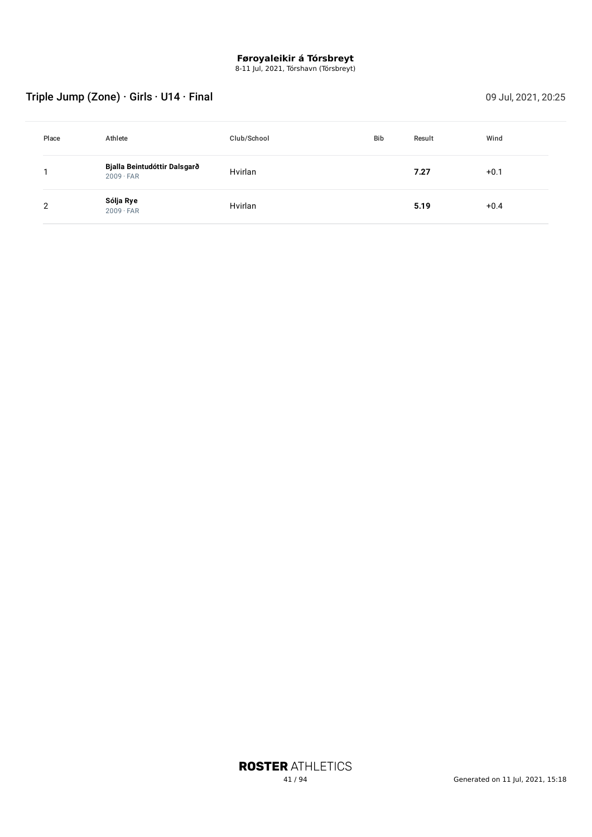8-11 Jul, 2021, Tórshavn (Tórsbreyt)

# Triple Jump (Zone) · Girls · U14 · Final 09 Jul, 2021, 20:25

| Place | Athlete                                          | Club/School | <b>Bib</b> | Result | Wind   |
|-------|--------------------------------------------------|-------------|------------|--------|--------|
|       | Bjalla Beintudóttir Dalsgarð<br>$2009 \cdot FAR$ | Hvirlan     |            | 7.27   | $+0.1$ |
| っ     | Sólja Rye<br>$2009 \cdot FAR$                    | Hvirlan     |            | 5.19   | $+0.4$ |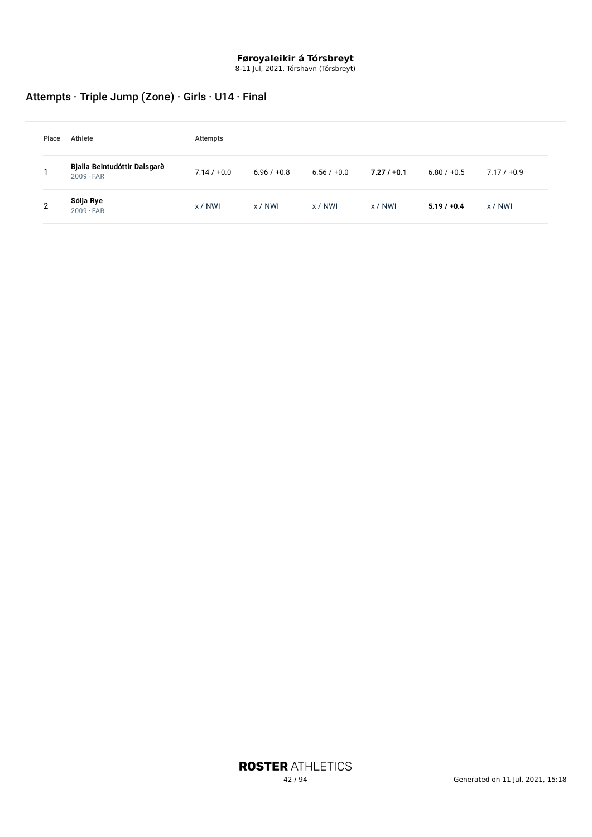8-11 Jul, 2021, Tórshavn (Tórsbreyt)

# Attempts · Triple Jump (Zone) · Girls · U14 · Final

| Place          | Athlete                                          | Attempts      |               |               |           |               |               |  |  |
|----------------|--------------------------------------------------|---------------|---------------|---------------|-----------|---------------|---------------|--|--|
|                | Bjalla Beintudóttir Dalsgarð<br>$2009 \cdot FAR$ | $7.14 / +0.0$ | $6.96 / +0.8$ | $6.56 / +0.0$ | 7.27/10.1 | $6.80 / +0.5$ | $7.17 / +0.9$ |  |  |
| $\overline{2}$ | Sólja Rye<br>$2009 \cdot FAR$                    | x / NWI       | x / NWI       | x / NWI       | x / NWI   | $5.19 / +0.4$ | x / N W1      |  |  |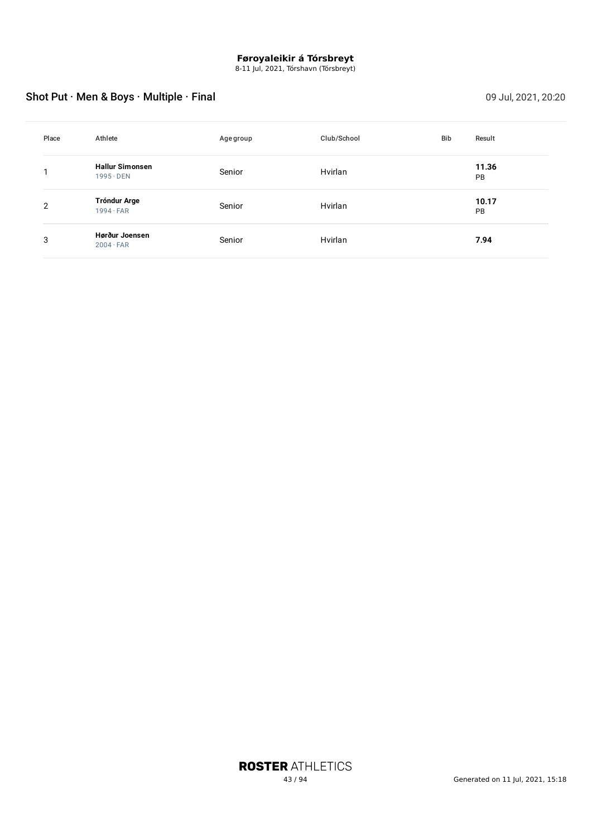8-11 Jul, 2021, Tórshavn (Tórsbreyt)

# Shot Put · Men & Boys · Multiple · Final 09 Jul, 2021, 20:20

| Place          | Athlete                                    | Age group | Club/School | Bib | Result      |
|----------------|--------------------------------------------|-----------|-------------|-----|-------------|
|                | <b>Hallur Simonsen</b><br>$1995 \cdot$ DEN | Senior    | Hvirlan     |     | 11.36<br>PB |
| $\overline{2}$ | <b>Tróndur Arge</b><br>$1994 \cdot FAR$    | Senior    | Hvirlan     |     | 10.17<br>PB |
| 3              | Hørður Joensen<br>$2004 \cdot FAR$         | Senior    | Hvirlan     |     | 7.94        |

**ROSTER ATHLETICS**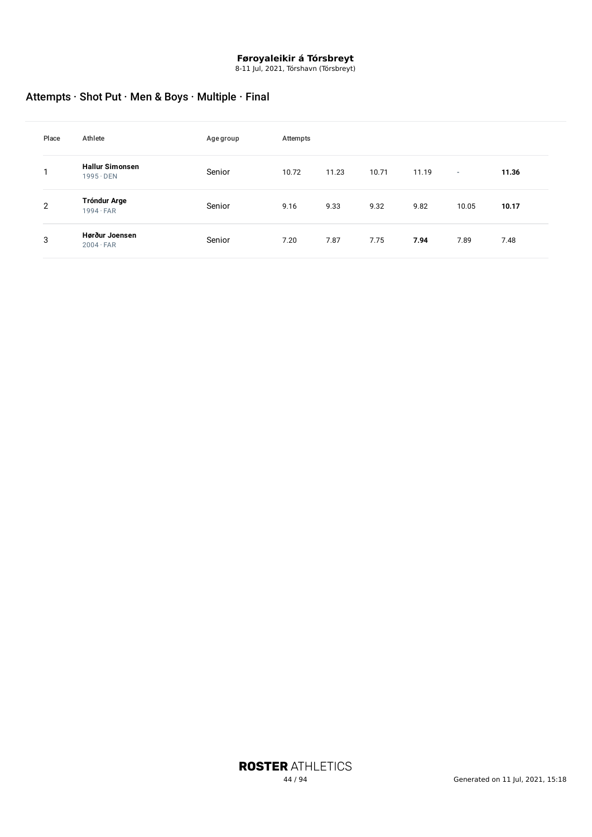8-11 Jul, 2021, Tórshavn (Tórsbreyt)

# Attempts · Shot Put · Men & Boys · Multiple · Final

| Place          | Athlete                                    | Age group | Attempts |       |       |       |       |       |
|----------------|--------------------------------------------|-----------|----------|-------|-------|-------|-------|-------|
|                | <b>Hallur Simonsen</b><br>$1995 \cdot$ DEN | Senior    | 10.72    | 11.23 | 10.71 | 11.19 | ٠     | 11.36 |
| $\overline{2}$ | <b>Tróndur Arge</b><br>$1994 \cdot FAR$    | Senior    | 9.16     | 9.33  | 9.32  | 9.82  | 10.05 | 10.17 |
| 3              | Hørður Joensen<br>$2004 \cdot FAR$         | Senior    | 7.20     | 7.87  | 7.75  | 7.94  | 7.89  | 7.48  |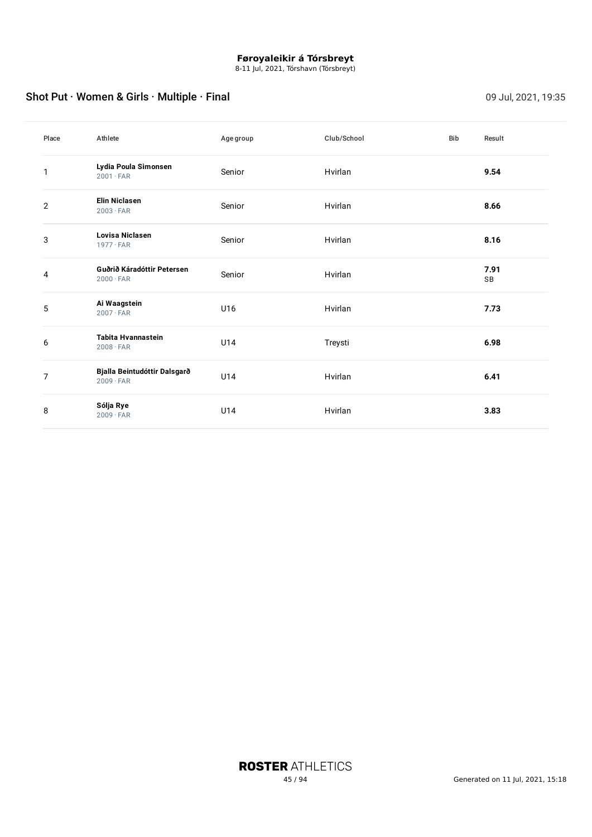8-11 Jul, 2021, Tórshavn (Tórsbreyt)

# Shot Put · Women & Girls · Multiple · Final 09 Jul, 2021, 19:35

| Place | Athlete                                          | Age group | Club/School | <b>Bib</b> | Result     |
|-------|--------------------------------------------------|-----------|-------------|------------|------------|
| 1     | Lydia Poula Simonsen<br>$2001 \cdot FAR$         | Senior    | Hvirlan     |            | 9.54       |
| 2     | <b>Elin Niclasen</b><br>$2003 \cdot FAR$         | Senior    | Hvirlan     |            | 8.66       |
| 3     | Lovisa Niclasen<br>$1977 \cdot FAR$              | Senior    | Hvirlan     |            | 8.16       |
| 4     | Guðrið Káradóttir Petersen<br>$2000 \cdot FAR$   | Senior    | Hvirlan     |            | 7.91<br>SB |
| 5     | Ai Waagstein<br>$2007 \cdot FAR$                 | U16       | Hvirlan     |            | 7.73       |
| 6     | <b>Tabita Hvannastein</b><br>$2008 \cdot FAR$    | U14       | Treysti     |            | 6.98       |
| 7     | Bjalla Beintudóttir Dalsgarð<br>$2009 \cdot FAR$ | U14       | Hvirlan     |            | 6.41       |
| 8     | Sólja Rye<br>$2009 \cdot FAR$                    | U14       | Hvirlan     |            | 3.83       |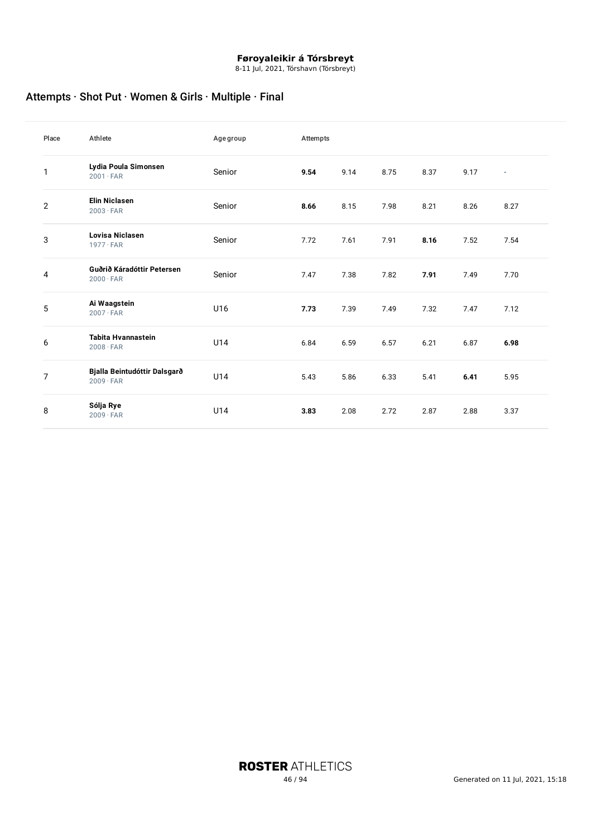8-11 Jul, 2021, Tórshavn (Tórsbreyt)

# Attempts · Shot Put · Women & Girls · Multiple · Final

| Place          | Athlete                                          | Agegroup | Attempts |      |      |      |      |                          |
|----------------|--------------------------------------------------|----------|----------|------|------|------|------|--------------------------|
| 1              | Lydia Poula Simonsen<br>$2001 \cdot FAR$         | Senior   | 9.54     | 9.14 | 8.75 | 8.37 | 9.17 | $\overline{\phantom{a}}$ |
| $\overline{2}$ | <b>Elin Niclasen</b><br>$2003 \cdot FAR$         | Senior   | 8.66     | 8.15 | 7.98 | 8.21 | 8.26 | 8.27                     |
| 3              | Lovisa Niclasen<br>$1977 \cdot FAR$              | Senior   | 7.72     | 7.61 | 7.91 | 8.16 | 7.52 | 7.54                     |
| 4              | Guðrið Káradóttir Petersen<br>$2000 \cdot FAR$   | Senior   | 7.47     | 7.38 | 7.82 | 7.91 | 7.49 | 7.70                     |
| 5              | Ai Waagstein<br>$2007 \cdot FAR$                 | U16      | 7.73     | 7.39 | 7.49 | 7.32 | 7.47 | 7.12                     |
| 6              | <b>Tabita Hvannastein</b><br>$2008 \cdot FAR$    | U14      | 6.84     | 6.59 | 6.57 | 6.21 | 6.87 | 6.98                     |
| $\overline{7}$ | Bjalla Beintudóttir Dalsgarð<br>$2009 \cdot FAR$ | U14      | 5.43     | 5.86 | 6.33 | 5.41 | 6.41 | 5.95                     |
| 8              | Sólja Rye<br>$2009 \cdot FAR$                    | U14      | 3.83     | 2.08 | 2.72 | 2.87 | 2.88 | 3.37                     |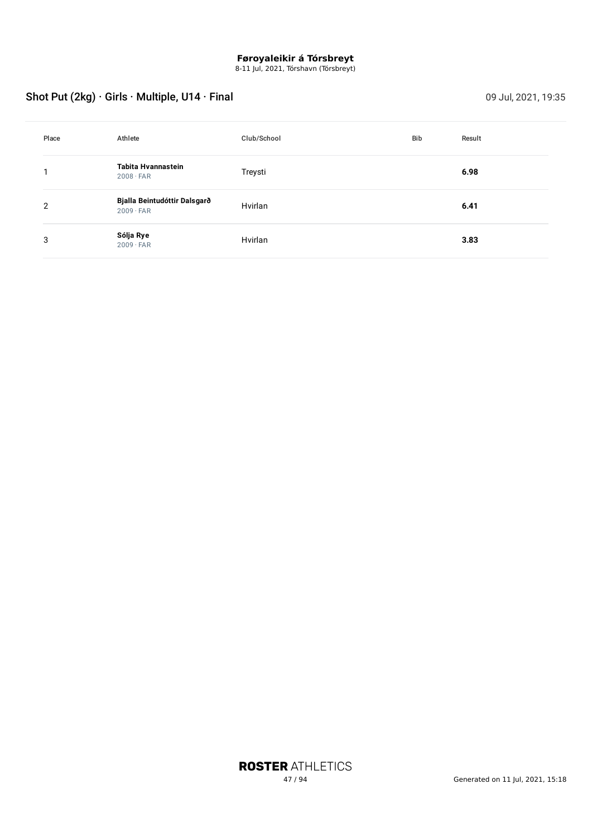8-11 Jul, 2021, Tórshavn (Tórsbreyt)

# Shot Put (2kg) · Girls · Multiple, U14 · Final 09 Jul, 2021, 19:35

| Place | Athlete                                          | Club/School | Bib | Result |
|-------|--------------------------------------------------|-------------|-----|--------|
|       | Tabita Hvannastein<br>$2008 \cdot FAR$           | Treysti     |     | 6.98   |
| 2     | Bjalla Beintudóttir Dalsgarð<br>$2009 \cdot FAR$ | Hvirlan     |     | 6.41   |
| 3     | Sólja Rye<br>$2009 \cdot FAR$                    | Hvirlan     |     | 3.83   |

**ROSTER ATHLETICS**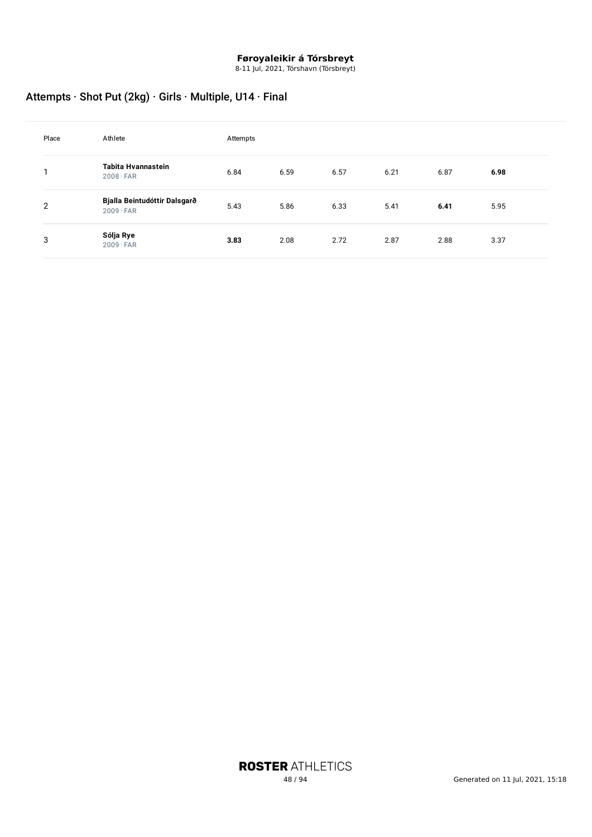8-11 Jul, 2021, Tórshavn (Tórsbreyt)

# Attempts · Shot Put (2kg) · Girls · Multiple, U14 · Final

| Place | Athlete                                          | Attempts |      |      |      |      |      |
|-------|--------------------------------------------------|----------|------|------|------|------|------|
|       | Tabita Hvannastein<br>$2008 \cdot FAR$           | 6.84     | 6.59 | 6.57 | 6.21 | 6.87 | 6.98 |
| 2     | Bjalla Beintudóttir Dalsgarð<br>$2009 \cdot FAR$ | 5.43     | 5.86 | 6.33 | 5.41 | 6.41 | 5.95 |
| 3     | Sólja Rye<br>$2009 \cdot FAR$                    | 3.83     | 2.08 | 2.72 | 2.87 | 2.88 | 3.37 |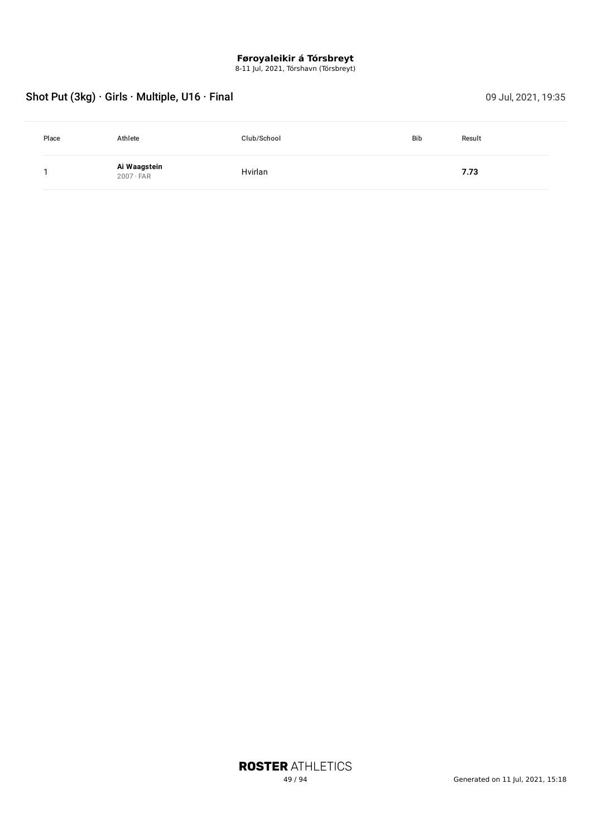8-11 Jul, 2021, Tórshavn (Tórsbreyt)

# Shot Put (3kg) · Girls · Multiple, U16 · Final 09 Jul, 2021, 19:35

| Place | Athlete                          | Club/School | <b>Bib</b> | Result |
|-------|----------------------------------|-------------|------------|--------|
|       | Ai Waagstein<br>$2007 \cdot FAR$ | Hvirlan     |            | 7.73   |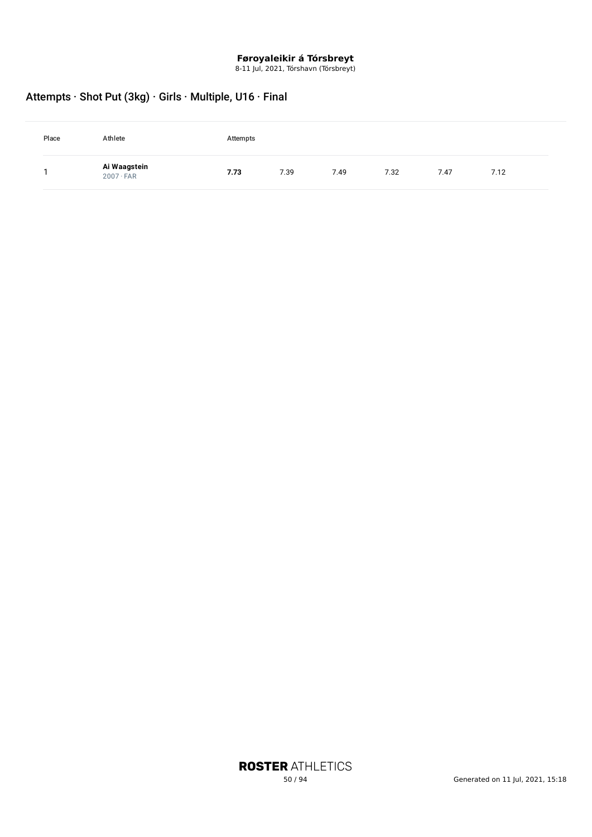8-11 Jul, 2021, Tórshavn (Tórsbreyt)

# Attempts · Shot Put (3kg) · Girls · Multiple, U16 · Final

| Place | Athlete                    | Attempts |      |      |      |      |      |
|-------|----------------------------|----------|------|------|------|------|------|
|       | Ai Waagstein<br>2007 · FAR | 7.73     | 7.39 | 7.49 | 7.32 | 7.47 | 7.12 |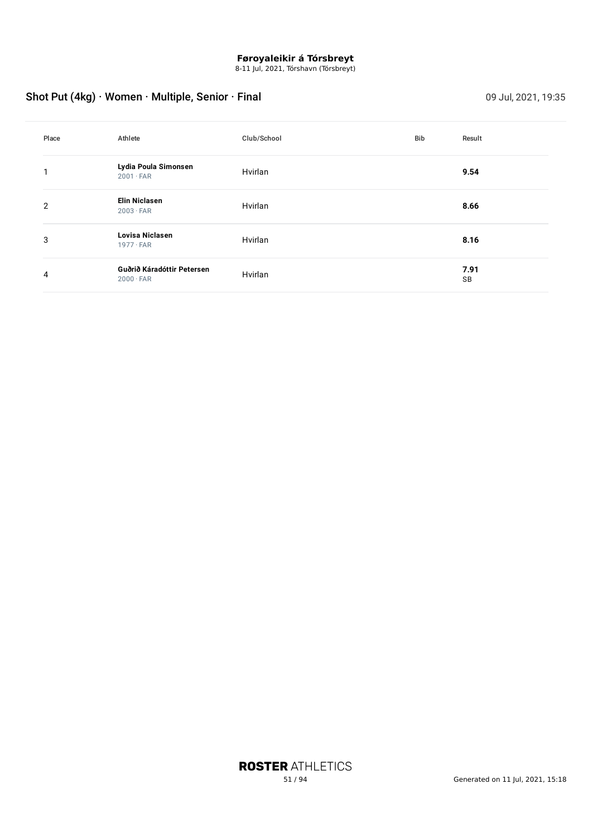8-11 Jul, 2021, Tórshavn (Tórsbreyt)

# Shot Put (4kg) · Women · Multiple, Senior · Final 09 Jul, 2021, 19:35

| Place | Athlete                                        | Club/School | Bib | Result     |
|-------|------------------------------------------------|-------------|-----|------------|
|       | Lydia Poula Simonsen<br>$2001 \cdot FAR$       | Hvirlan     |     | 9.54       |
| 2     | <b>Elin Niclasen</b><br>$2003 \cdot FAR$       | Hvirlan     |     | 8.66       |
| 3     | Lovisa Niclasen<br>$1977 \cdot FAR$            | Hvirlan     |     | 8.16       |
| 4     | Guðrið Káradóttir Petersen<br>$2000 \cdot FAR$ | Hvirlan     |     | 7.91<br>SB |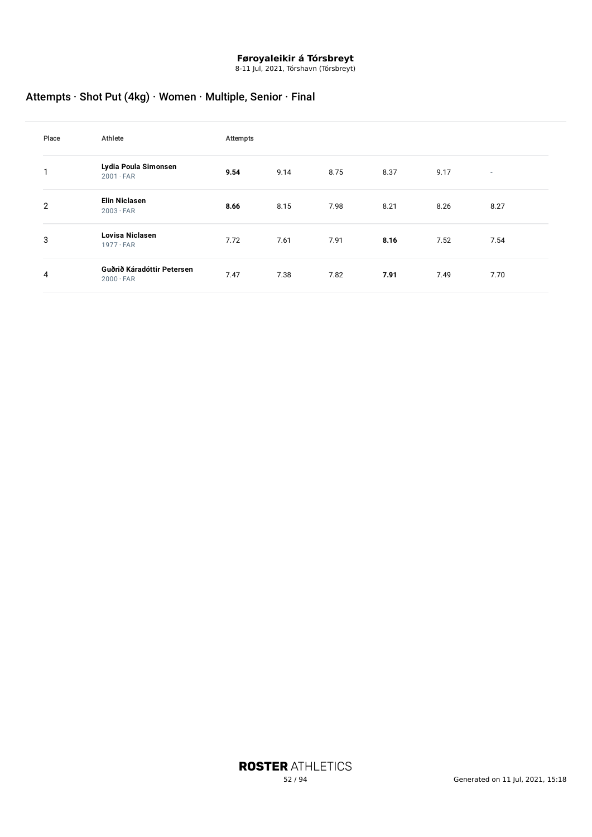8-11 Jul, 2021, Tórshavn (Tórsbreyt)

# Attempts · Shot Put (4kg) · Women · Multiple, Senior · Final

| Place          | Athlete                                        | Attempts |      |      |      |      |      |
|----------------|------------------------------------------------|----------|------|------|------|------|------|
| 1              | Lydia Poula Simonsen<br>$2001 \cdot FAR$       | 9.54     | 9.14 | 8.75 | 8.37 | 9.17 | ٠    |
| $\overline{2}$ | <b>Elin Niclasen</b><br>$2003 \cdot FAR$       | 8.66     | 8.15 | 7.98 | 8.21 | 8.26 | 8.27 |
| 3              | Lovisa Niclasen<br>$1977 \cdot FAR$            | 7.72     | 7.61 | 7.91 | 8.16 | 7.52 | 7.54 |
| 4              | Guðrið Káradóttir Petersen<br>$2000 \cdot FAR$ | 7.47     | 7.38 | 7.82 | 7.91 | 7.49 | 7.70 |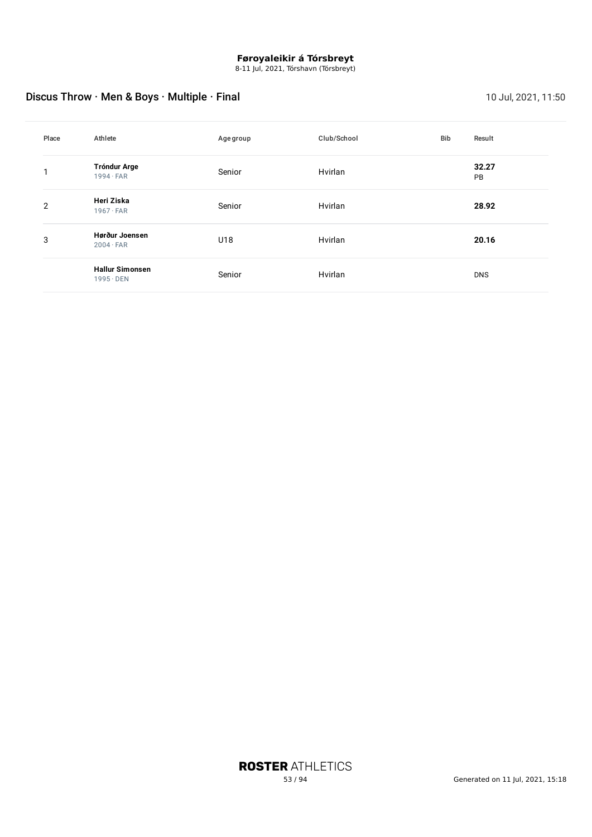8-11 Jul, 2021, Tórshavn (Tórsbreyt)

# Discus Throw · Men & Boys · Multiple · Final 10 July 2021, 11:50

| Place          | Athlete                                    | Age group | Club/School | Bib | Result      |
|----------------|--------------------------------------------|-----------|-------------|-----|-------------|
|                | <b>Tróndur Arge</b><br>$1994 \cdot FAR$    | Senior    | Hvirlan     |     | 32.27<br>PB |
| $\overline{2}$ | Heri Ziska<br>$1967 \cdot FAR$             | Senior    | Hvirlan     |     | 28.92       |
| 3              | Hørður Joensen<br>$2004 \cdot FAR$         | U18       | Hvirlan     |     | 20.16       |
|                | <b>Hallur Simonsen</b><br>$1995 \cdot$ DEN | Senior    | Hvirlan     |     | <b>DNS</b>  |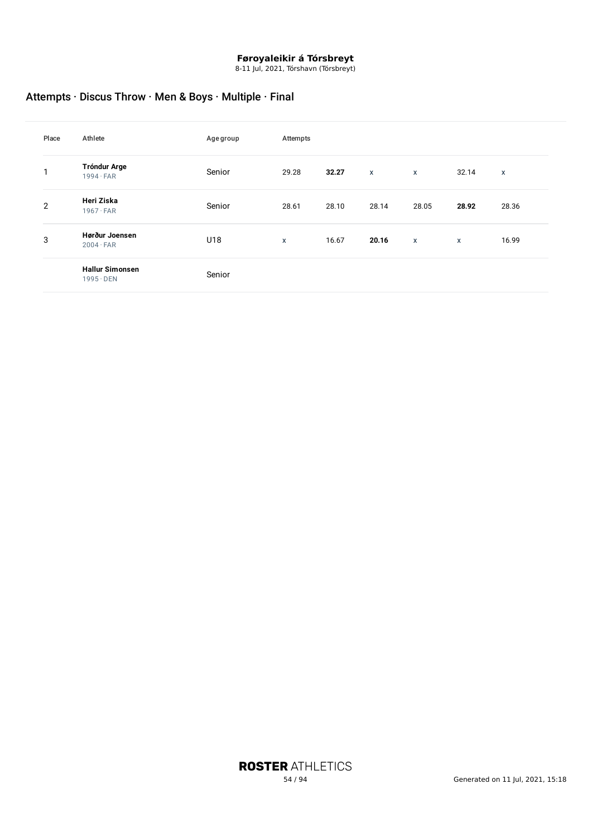8-11 Jul, 2021, Tórshavn (Tórsbreyt)

# Attempts · Discus Throw · Men & Boys · Multiple · Final

| Place          | Athlete                                    | Agegroup | Attempts |       |                           |              |       |       |
|----------------|--------------------------------------------|----------|----------|-------|---------------------------|--------------|-------|-------|
|                | <b>Tróndur Arge</b><br>$1994 \cdot FAR$    | Senior   | 29.28    | 32.27 | $\boldsymbol{\mathsf{x}}$ | $\mathsf{x}$ | 32.14 | X     |
| $\overline{2}$ | Heri Ziska<br>$1967 \cdot FAR$             | Senior   | 28.61    | 28.10 | 28.14                     | 28.05        | 28.92 | 28.36 |
| 3              | Hørður Joensen<br>$2004 \cdot FAR$         | U18      | X        | 16.67 | 20.16                     | $\mathsf{x}$ | X     | 16.99 |
|                | <b>Hallur Simonsen</b><br>$1995 \cdot$ DEN | Senior   |          |       |                           |              |       |       |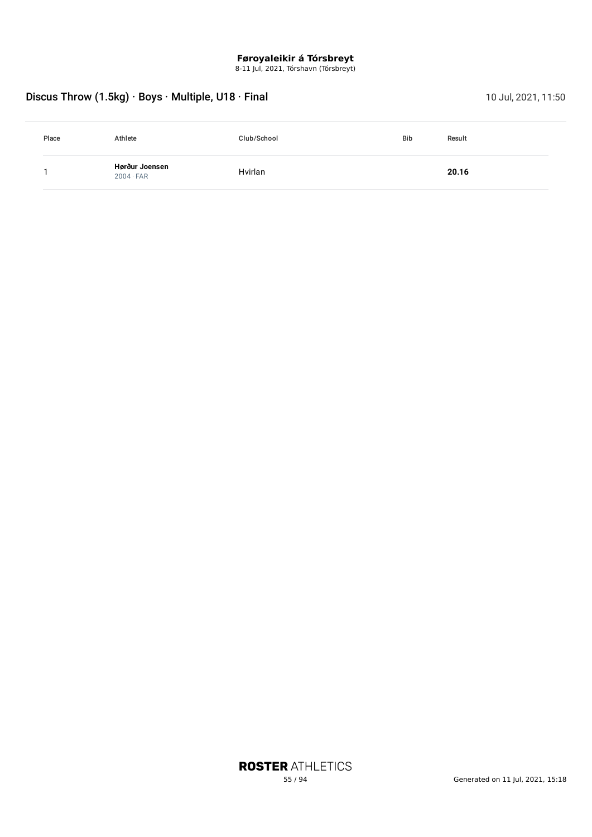8-11 Jul, 2021, Tórshavn (Tórsbreyt)

# Discus Throw (1.5kg) · Boys · Multiple, U18 · Final 10 July 2021, 11:50

| Place | Athlete                            | Club/School | Bib | Result |
|-------|------------------------------------|-------------|-----|--------|
|       | Hørður Joensen<br>$2004 \cdot FAR$ | Hvirlan     |     | 20.16  |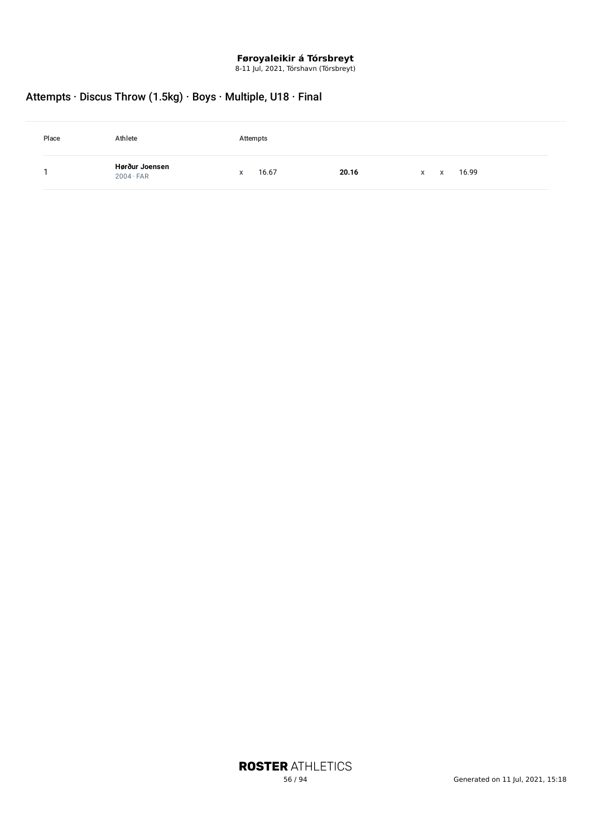8-11 Jul, 2021, Tórshavn (Tórsbreyt)

# Attempts · Discus Throw (1.5kg) · Boys · Multiple, U18 · Final

| Place | Athlete                            | Attempts   |       |                  |
|-------|------------------------------------|------------|-------|------------------|
|       | Hørður Joensen<br>$2004 \cdot FAR$ | 16.67<br>x | 20.16 | 16.99<br>$X$ $X$ |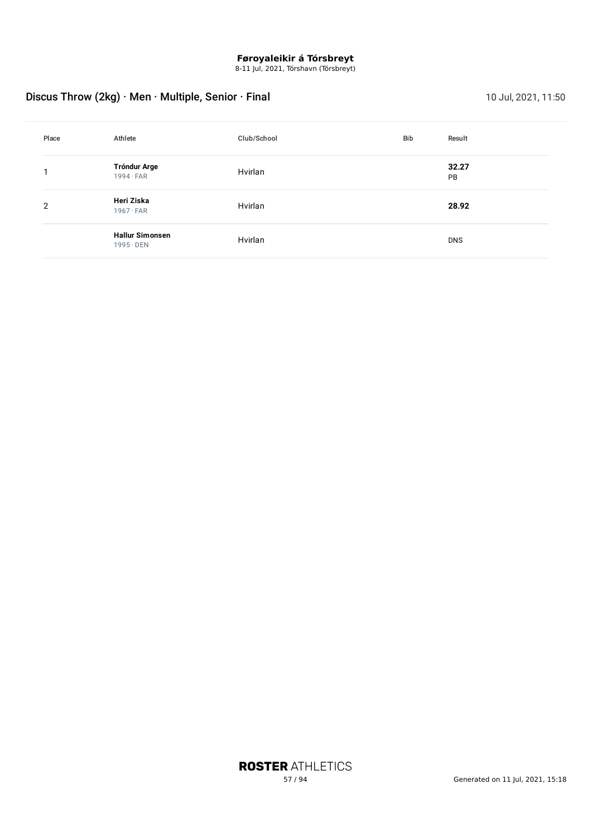8-11 Jul, 2021, Tórshavn (Tórsbreyt)

# Discus Throw (2kg) · Men · Multiple, Senior · Final 10 July 2021, 11:50

| Place | Athlete                                    | Club/School | Bib | Result      |
|-------|--------------------------------------------|-------------|-----|-------------|
|       | <b>Tróndur Arge</b><br>$1994 \cdot FAR$    | Hvirlan     |     | 32.27<br>PB |
| 2     | Heri Ziska<br>$1967 \cdot FAR$             | Hvirlan     |     | 28.92       |
|       | <b>Hallur Simonsen</b><br>$1995 \cdot$ DEN | Hvirlan     |     | <b>DNS</b>  |

**ROSTER ATHLETICS**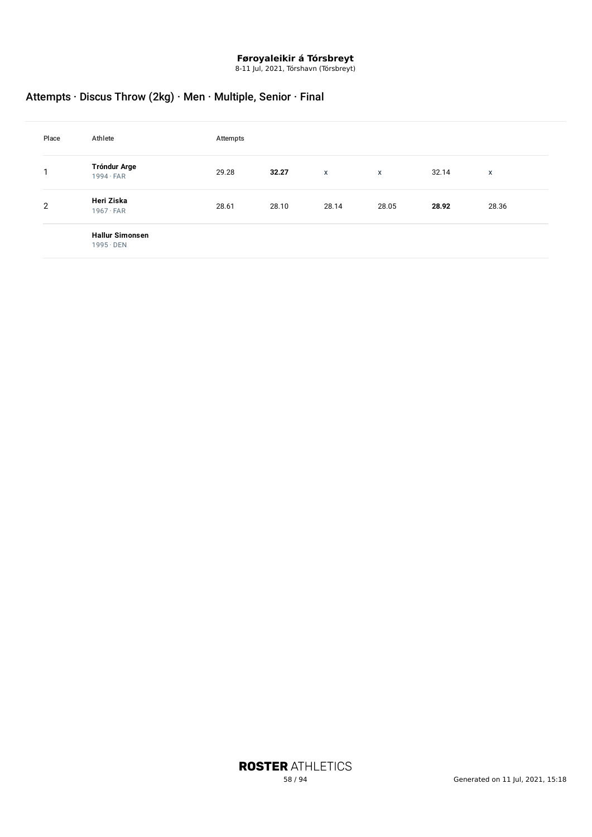8-11 Jul, 2021, Tórshavn (Tórsbreyt)

# Attempts · Discus Throw (2kg) · Men · Multiple, Senior · Final

| Place | Athlete                                    | Attempts |       |       |              |       |       |
|-------|--------------------------------------------|----------|-------|-------|--------------|-------|-------|
|       | <b>Tróndur Arge</b><br>$1994 \cdot FAR$    | 29.28    | 32.27 | X     | $\mathsf{x}$ | 32.14 | X     |
| 2     | Heri Ziska<br>$1967 \cdot FAR$             | 28.61    | 28.10 | 28.14 | 28.05        | 28.92 | 28.36 |
|       | <b>Hallur Simonsen</b><br>$1995 \cdot$ DEN |          |       |       |              |       |       |

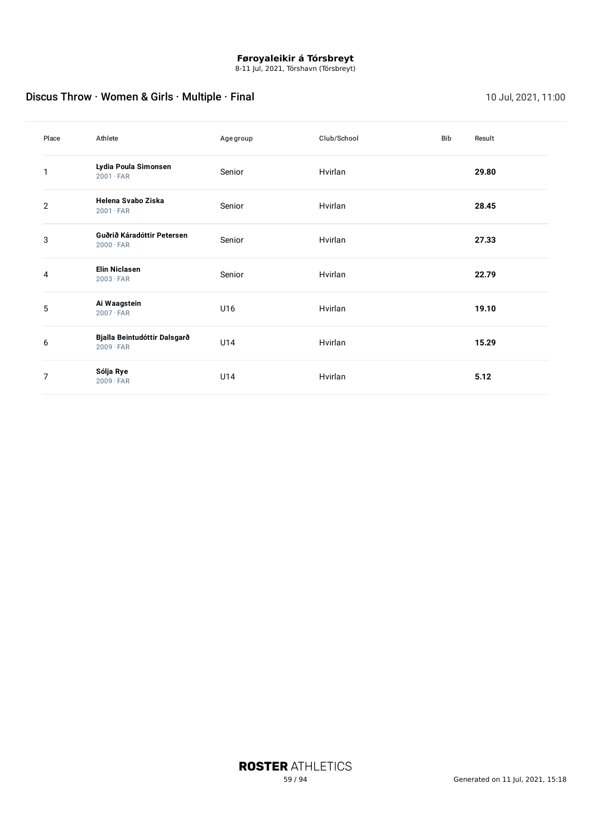8-11 Jul, 2021, Tórshavn (Tórsbreyt)

# Discus Throw · Women & Girls · Multiple · Final 10 July 2021, 11:00

| Place          | Athlete                                          | Agegroup | Club/School | Bib | Result |
|----------------|--------------------------------------------------|----------|-------------|-----|--------|
|                | Lydia Poula Simonsen<br>$2001 \cdot FAR$         | Senior   | Hvirlan     |     | 29.80  |
| $\overline{2}$ | Helena Svabo Ziska<br>$2001 \cdot FAR$           | Senior   | Hvirlan     |     | 28.45  |
| 3              | Guðrið Káradóttir Petersen<br>$2000 \cdot FAR$   | Senior   | Hvirlan     |     | 27.33  |
| 4              | <b>Elin Niclasen</b><br>$2003 \cdot FAR$         | Senior   | Hvirlan     |     | 22.79  |
| 5              | Ai Waagstein<br>$2007 \cdot FAR$                 | U16      | Hvirlan     |     | 19.10  |
| 6              | Bjalla Beintudóttir Dalsgarð<br>$2009 \cdot FAR$ | U14      | Hvirlan     |     | 15.29  |
| 7              | Sólja Rye<br>$2009 \cdot FAR$                    | U14      | Hvirlan     |     | 5.12   |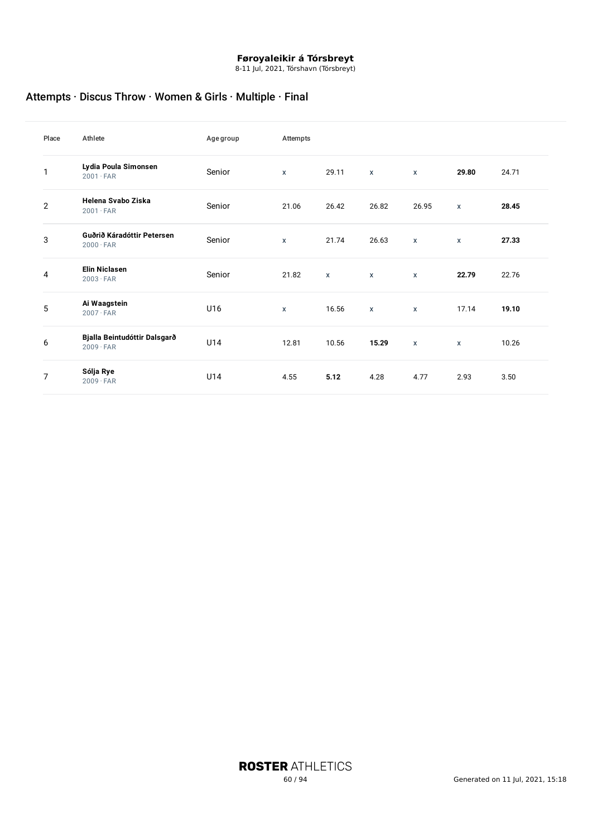8-11 Jul, 2021, Tórshavn (Tórsbreyt)

# Attempts · Discus Throw · Women & Girls · Multiple · Final

| Place          | Athlete                                          | Agegroup | Attempts     |              |              |              |              |       |
|----------------|--------------------------------------------------|----------|--------------|--------------|--------------|--------------|--------------|-------|
| 1              | Lydia Poula Simonsen<br>$2001 \cdot FAR$         | Senior   | $\mathsf{x}$ | 29.11        | $\mathsf{x}$ | $\mathsf{x}$ | 29.80        | 24.71 |
| $\overline{2}$ | Helena Svabo Ziska<br>$2001 \cdot FAR$           | Senior   | 21.06        | 26.42        | 26.82        | 26.95        | X            | 28.45 |
| 3              | Guðrið Káradóttir Petersen<br>$2000 \cdot FAR$   | Senior   | $\mathsf{x}$ | 21.74        | 26.63        | $\mathsf{x}$ | $\mathsf{x}$ | 27.33 |
| 4              | <b>Elin Niclasen</b><br>$2003 \cdot FAR$         | Senior   | 21.82        | $\mathsf{x}$ | X            | X            | 22.79        | 22.76 |
| 5              | Ai Waagstein<br>$2007 \cdot FAR$                 | U16      | $\mathsf{x}$ | 16.56        | X            | X            | 17.14        | 19.10 |
| 6              | Bjalla Beintudóttir Dalsgarð<br>$2009 \cdot FAR$ | U14      | 12.81        | 10.56        | 15.29        | X            | $\mathsf{x}$ | 10.26 |
| 7              | Sólja Rye<br>$2009 \cdot FAR$                    | U14      | 4.55         | 5.12         | 4.28         | 4.77         | 2.93         | 3.50  |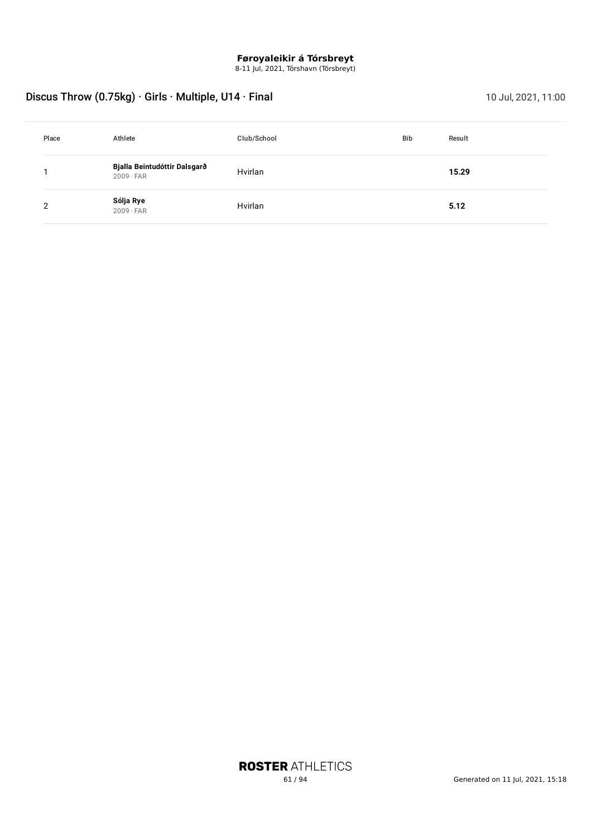8-11 Jul, 2021, Tórshavn (Tórsbreyt)

# Discus Throw (0.75kg) · Girls · Multiple, U14 · Final 10 July 2021, 11:00

| Place | Athlete                                          | Club/School | <b>Bib</b> | Result |
|-------|--------------------------------------------------|-------------|------------|--------|
|       | Bjalla Beintudóttir Dalsgarð<br>$2009 \cdot FAR$ | Hvirlan     |            | 15.29  |
| 2     | Sólja Rye<br>$2009 \cdot FAR$                    | Hvirlan     |            | 5.12   |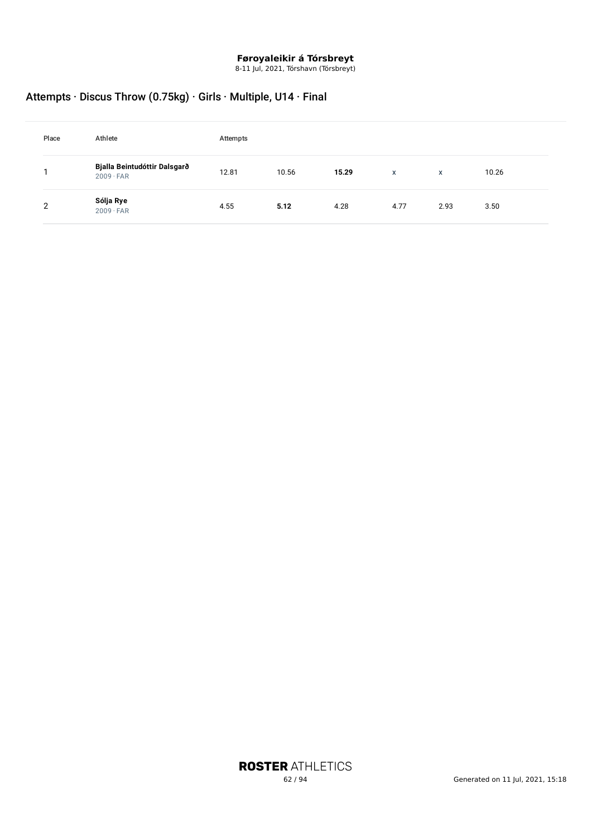8-11 Jul, 2021, Tórshavn (Tórsbreyt)

# Attempts · Discus Throw (0.75kg) · Girls · Multiple, U14 · Final

| Place | Athlete                                          | Attempts |       |       |              |      |       |
|-------|--------------------------------------------------|----------|-------|-------|--------------|------|-------|
|       | Bjalla Beintudóttir Dalsgarð<br>$2009 \cdot FAR$ | 12.81    | 10.56 | 15.29 | $\mathsf{x}$ | X    | 10.26 |
| າ     | Sólja Rye<br>$2009 \cdot FAR$                    | 4.55     | 5.12  | 4.28  | 4.77         | 2.93 | 3.50  |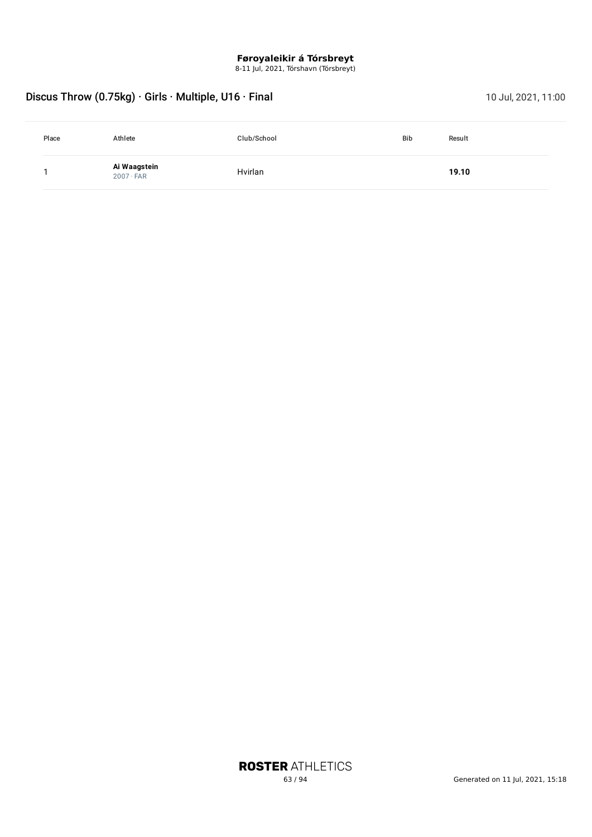8-11 Jul, 2021, Tórshavn (Tórsbreyt)

# Discus Throw (0.75kg) · Girls · Multiple, U16 · Final 10 July 2021, 11:00

| Place | Athlete                          | Club/School | <b>Bib</b> | Result |
|-------|----------------------------------|-------------|------------|--------|
|       | Ai Waagstein<br>$2007 \cdot FAR$ | Hvirlan     |            | 19.10  |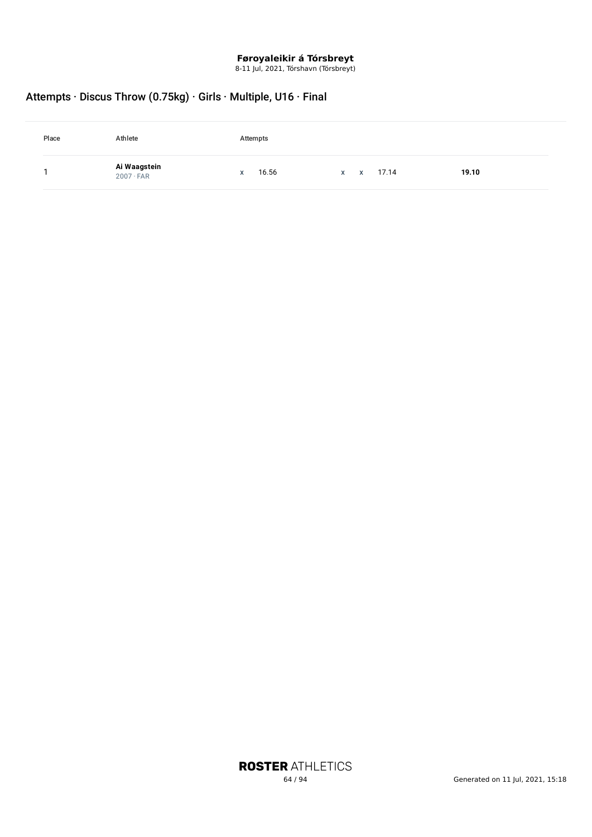8-11 Jul, 2021, Tórshavn (Tórsbreyt)

# Attempts · Discus Throw (0.75kg) · Girls · Multiple, U16 · Final

| Place | Athlete                          | Attempts           |                             |       |
|-------|----------------------------------|--------------------|-----------------------------|-------|
|       | Ai Waagstein<br>$2007 \cdot FAR$ | 16.56<br>$\lambda$ | 17.14<br>X.<br>$\mathsf{X}$ | 19.10 |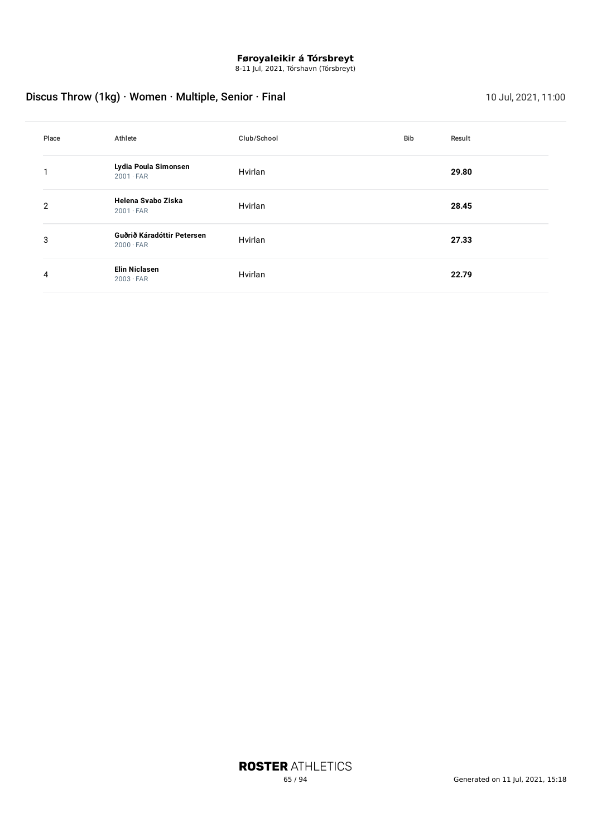8-11 Jul, 2021, Tórshavn (Tórsbreyt)

# Discus Throw (1kg) · Women · Multiple, Senior · Final 10 July 2021, 11:00

| Place          | Athlete                                        | Club/School | Bib | Result |
|----------------|------------------------------------------------|-------------|-----|--------|
|                | Lydia Poula Simonsen<br>$2001 \cdot FAR$       | Hvirlan     |     | 29.80  |
| $\overline{2}$ | Helena Svabo Ziska<br>$2001 \cdot FAR$         | Hvirlan     |     | 28.45  |
| 3              | Guðrið Káradóttir Petersen<br>$2000 \cdot FAR$ | Hvirlan     |     | 27.33  |
| 4              | <b>Elin Niclasen</b><br>$2003 \cdot FAR$       | Hvirlan     |     | 22.79  |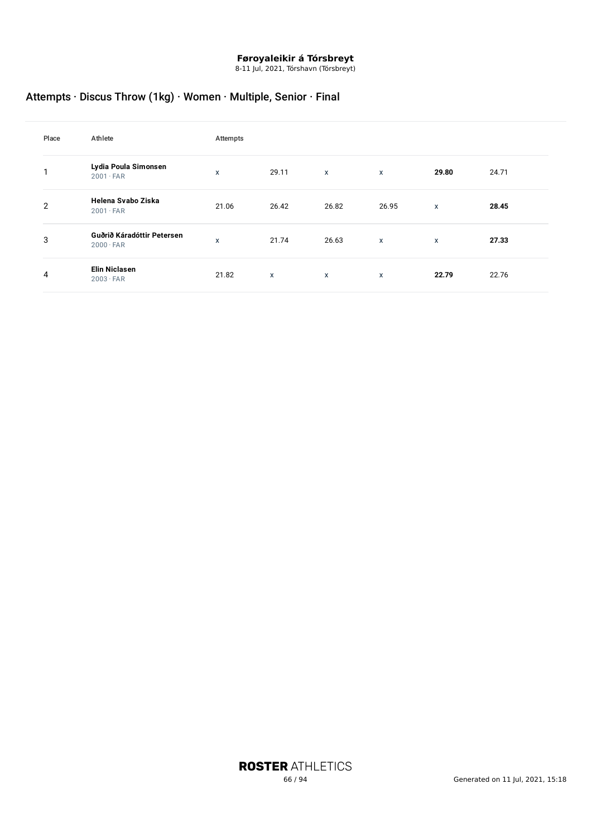8-11 Jul, 2021, Tórshavn (Tórsbreyt)

# Attempts · Discus Throw (1kg) · Women · Multiple, Senior · Final

| Place          | Athlete                                        | Attempts |       |              |              |              |       |
|----------------|------------------------------------------------|----------|-------|--------------|--------------|--------------|-------|
|                | Lydia Poula Simonsen<br>$2001 \cdot FAR$       | x        | 29.11 | $\mathsf{x}$ | X            | 29.80        | 24.71 |
| $\overline{2}$ | Helena Svabo Ziska<br>$2001 \cdot FAR$         | 21.06    | 26.42 | 26.82        | 26.95        | $\mathsf{x}$ | 28.45 |
| 3              | Guðrið Káradóttir Petersen<br>$2000 \cdot FAR$ | X        | 21.74 | 26.63        | $\mathsf{x}$ | $\mathsf{x}$ | 27.33 |
| 4              | <b>Elin Niclasen</b><br>$2003 \cdot FAR$       | 21.82    | X     | X            | X            | 22.79        | 22.76 |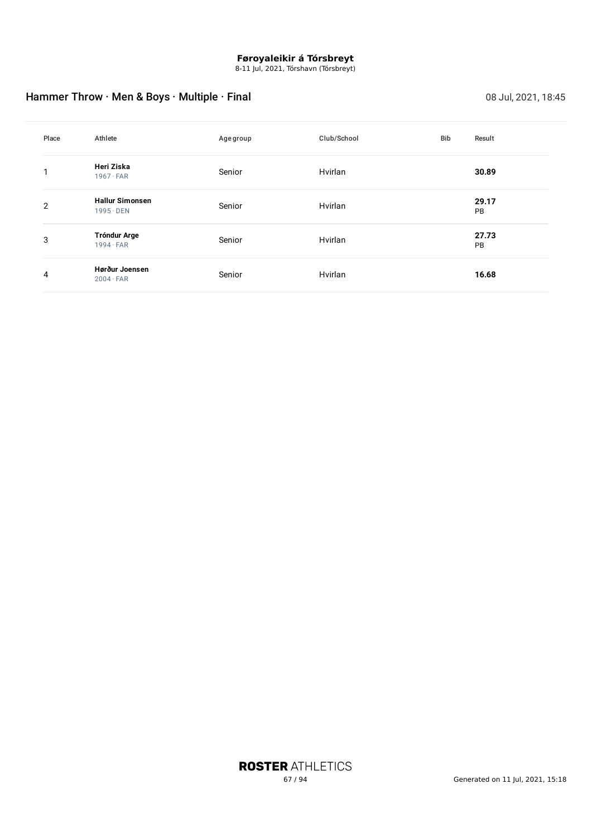8-11 Jul, 2021, Tórshavn (Tórsbreyt)

# Hammer Throw · Men & Boys · Multiple · Final 08 Jul, 2021, 18:45

| Place          | Athlete                                    | Agegroup | Club/School | <b>Bib</b> | Result      |
|----------------|--------------------------------------------|----------|-------------|------------|-------------|
|                | Heri Ziska<br>$1967 \cdot FAR$             | Senior   | Hvirlan     |            | 30.89       |
| $\overline{2}$ | <b>Hallur Simonsen</b><br>$1995 \cdot$ DEN | Senior   | Hvirlan     |            | 29.17<br>PB |
| 3              | <b>Tróndur Arge</b><br>$1994 \cdot FAR$    | Senior   | Hvirlan     |            | 27.73<br>PB |
| 4              | Hørður Joensen<br>$2004 \cdot FAR$         | Senior   | Hvirlan     |            | 16.68       |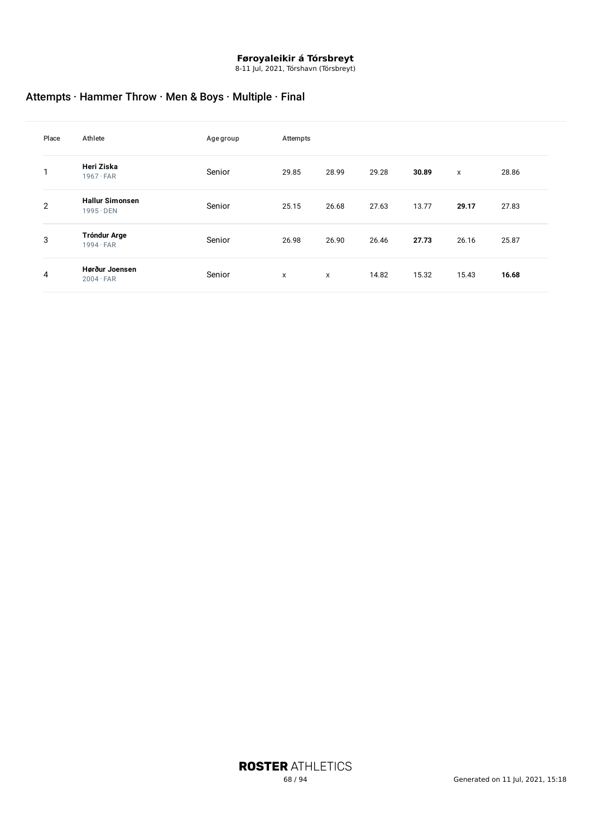8-11 Jul, 2021, Tórshavn (Tórsbreyt)

# Attempts · Hammer Throw · Men & Boys · Multiple · Final

| Place | Athlete                                    | Agegroup | Attempts     |                           |       |       |              |       |
|-------|--------------------------------------------|----------|--------------|---------------------------|-------|-------|--------------|-------|
| 1     | Heri Ziska<br>$1967 \cdot FAR$             | Senior   | 29.85        | 28.99                     | 29.28 | 30.89 | $\mathsf{x}$ | 28.86 |
| 2     | <b>Hallur Simonsen</b><br>$1995 \cdot$ DEN | Senior   | 25.15        | 26.68                     | 27.63 | 13.77 | 29.17        | 27.83 |
| 3     | <b>Tróndur Arge</b><br>$1994 \cdot FAR$    | Senior   | 26.98        | 26.90                     | 26.46 | 27.73 | 26.16        | 25.87 |
| 4     | Hørður Joensen<br>$2004 \cdot FAR$         | Senior   | $\mathsf{x}$ | $\boldsymbol{\mathsf{x}}$ | 14.82 | 15.32 | 15.43        | 16.68 |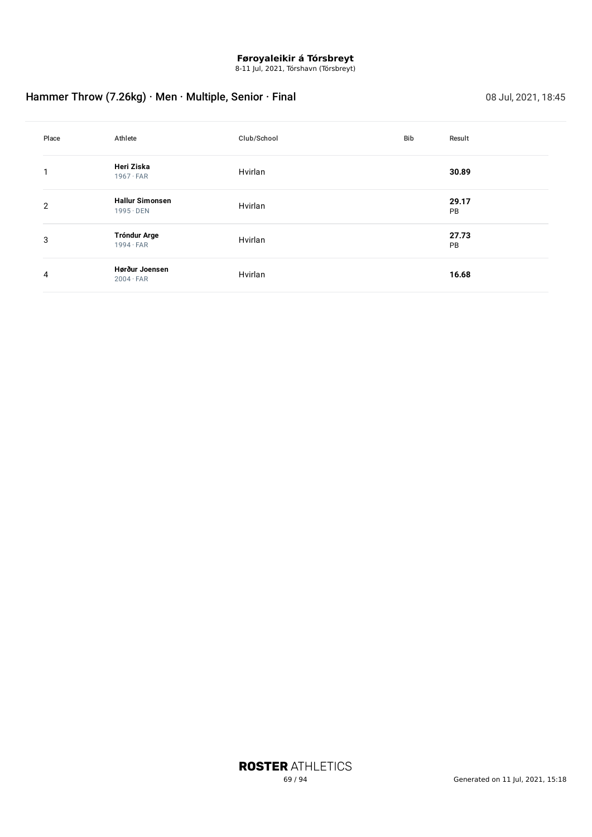8-11 Jul, 2021, Tórshavn (Tórsbreyt)

# Hammer Throw (7.26kg) · Men · Multiple, Senior · Final 08 Jul, 2021, 18:45

| Place | Athlete                                    | Club/School | Bib | Result      |
|-------|--------------------------------------------|-------------|-----|-------------|
|       | Heri Ziska<br>$1967 \cdot FAR$             | Hvirlan     |     | 30.89       |
| 2     | <b>Hallur Simonsen</b><br>$1995 \cdot$ DEN | Hvirlan     |     | 29.17<br>PB |
| 3     | <b>Tróndur Arge</b><br>$1994 \cdot FAR$    | Hvirlan     |     | 27.73<br>PB |
| 4     | Hørður Joensen<br>$2004 \cdot FAR$         | Hvirlan     |     | 16.68       |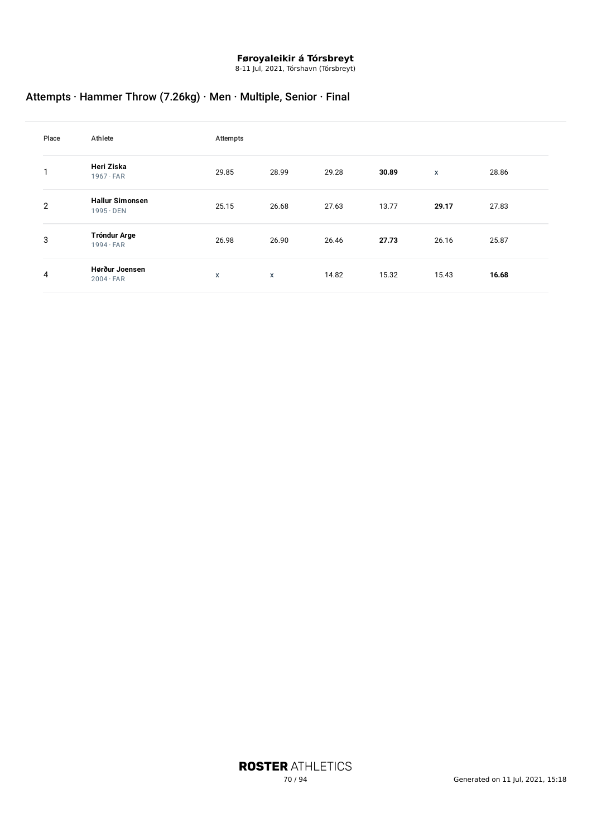8-11 Jul, 2021, Tórshavn (Tórsbreyt)

# Attempts · Hammer Throw (7.26kg) · Men · Multiple, Senior · Final

| Place          | Athlete                                    | Attempts |       |       |       |       |       |
|----------------|--------------------------------------------|----------|-------|-------|-------|-------|-------|
| 1              | Heri Ziska<br>$1967 \cdot FAR$             | 29.85    | 28.99 | 29.28 | 30.89 | X     | 28.86 |
| $\overline{2}$ | <b>Hallur Simonsen</b><br>$1995 \cdot$ DEN | 25.15    | 26.68 | 27.63 | 13.77 | 29.17 | 27.83 |
| 3              | <b>Tróndur Arge</b><br>$1994 \cdot FAR$    | 26.98    | 26.90 | 26.46 | 27.73 | 26.16 | 25.87 |
| 4              | Hørður Joensen<br>$2004 \cdot FAR$         | x        | X     | 14.82 | 15.32 | 15.43 | 16.68 |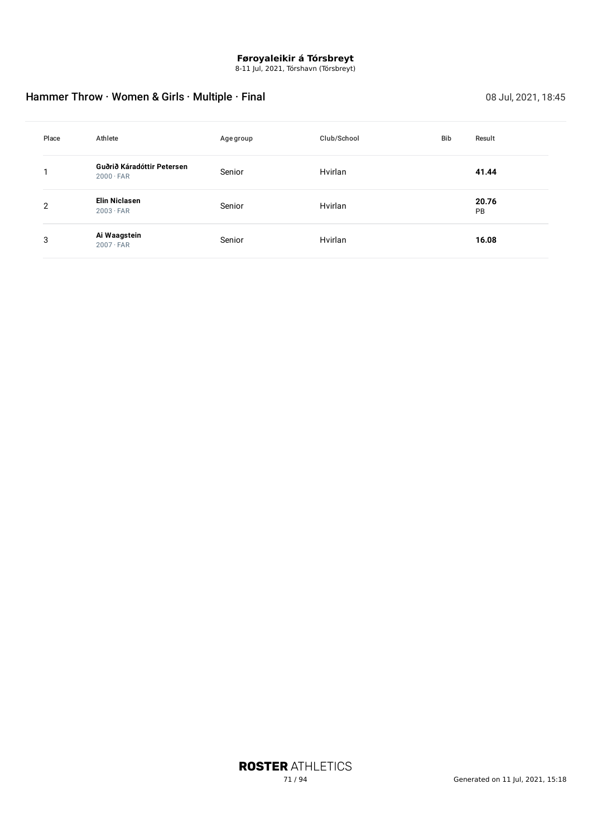8-11 Jul, 2021, Tórshavn (Tórsbreyt)

# Hammer Throw · Women & Girls · Multiple · Final 08 Jul, 2021, 18:45

| Place          | Athlete                                        | Agegroup | Club/School | <b>Bib</b> | Result      |
|----------------|------------------------------------------------|----------|-------------|------------|-------------|
|                | Guðrið Káradóttir Petersen<br>$2000 \cdot FAR$ | Senior   | Hvirlan     |            | 41.44       |
| $\overline{2}$ | Elin Niclasen<br>$2003 \cdot FAR$              | Senior   | Hvirlan     |            | 20.76<br>PB |
| 3              | Ai Waagstein<br>$2007 \cdot FAR$               | Senior   | Hvirlan     |            | 16.08       |

**ROSTER ATHLETICS**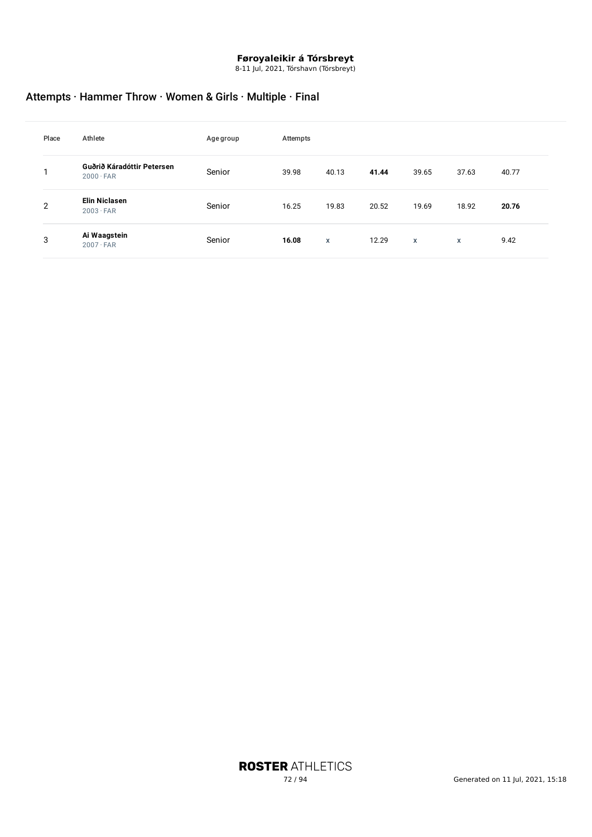8-11 Jul, 2021, Tórshavn (Tórsbreyt)

# Attempts · Hammer Throw · Women & Girls · Multiple · Final

| Place | Athlete                                        | Age group | Attempts |       |       |              |       |       |
|-------|------------------------------------------------|-----------|----------|-------|-------|--------------|-------|-------|
|       | Guðrið Káradóttir Petersen<br>$2000 \cdot FAR$ | Senior    | 39.98    | 40.13 | 41.44 | 39.65        | 37.63 | 40.77 |
| 2     | <b>Elin Niclasen</b><br>$2003 \cdot FAR$       | Senior    | 16.25    | 19.83 | 20.52 | 19.69        | 18.92 | 20.76 |
| 3     | Ai Waagstein<br>$2007 \cdot FAR$               | Senior    | 16.08    | X     | 12.29 | $\mathsf{x}$ | X     | 9.42  |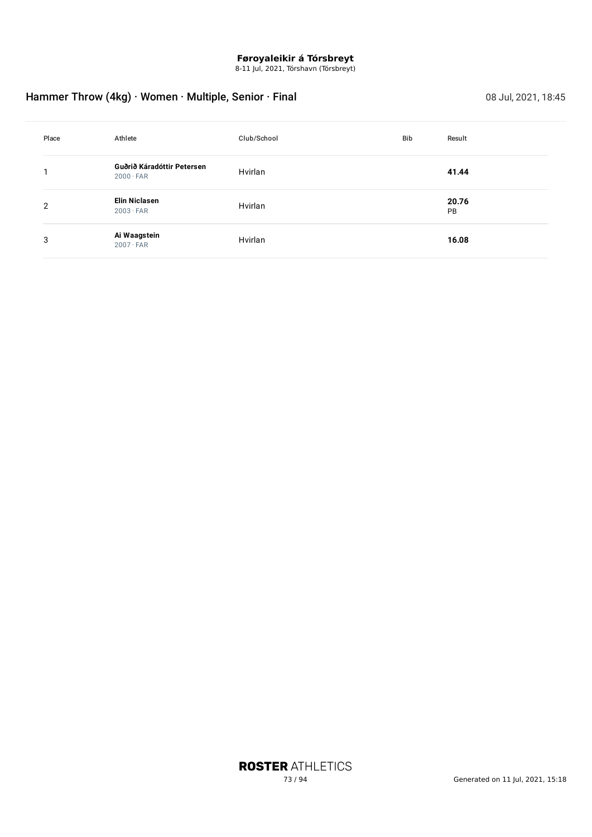8-11 Jul, 2021, Tórshavn (Tórsbreyt)

# Hammer Throw (4kg) · Women · Multiple, Senior · Final 08 Jul, 2021, 18:45

| Place | Athlete                                        | Club/School | Bib | Result             |
|-------|------------------------------------------------|-------------|-----|--------------------|
|       | Guðrið Káradóttir Petersen<br>$2000 \cdot FAR$ | Hvirlan     |     | 41.44              |
| 2     | <b>Elin Niclasen</b><br>$2003 \cdot FAR$       | Hvirlan     |     | 20.76<br><b>PB</b> |
| 3     | Ai Waagstein<br>$2007 \cdot FAR$               | Hvirlan     |     | 16.08              |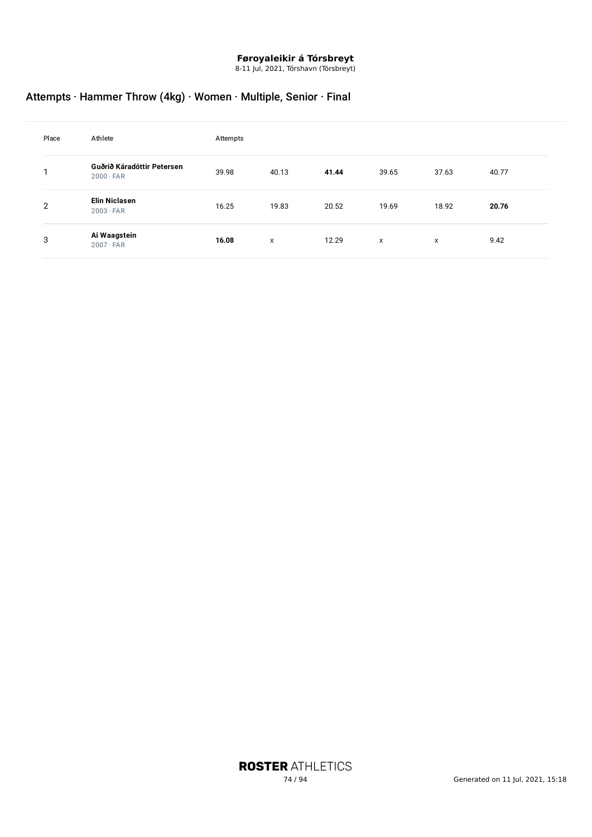8-11 Jul, 2021, Tórshavn (Tórsbreyt)

# Attempts · Hammer Throw (4kg) · Women · Multiple, Senior · Final

| Place | Athlete                                        | Attempts |       |       |              |       |       |
|-------|------------------------------------------------|----------|-------|-------|--------------|-------|-------|
|       | Guðrið Káradóttir Petersen<br>$2000 \cdot FAR$ | 39.98    | 40.13 | 41.44 | 39.65        | 37.63 | 40.77 |
| 2     | <b>Elin Niclasen</b><br>$2003 \cdot FAR$       | 16.25    | 19.83 | 20.52 | 19.69        | 18.92 | 20.76 |
| 3     | Ai Waagstein<br>$2007 \cdot FAR$               | 16.08    | X     | 12.29 | $\mathsf{x}$ | X     | 9.42  |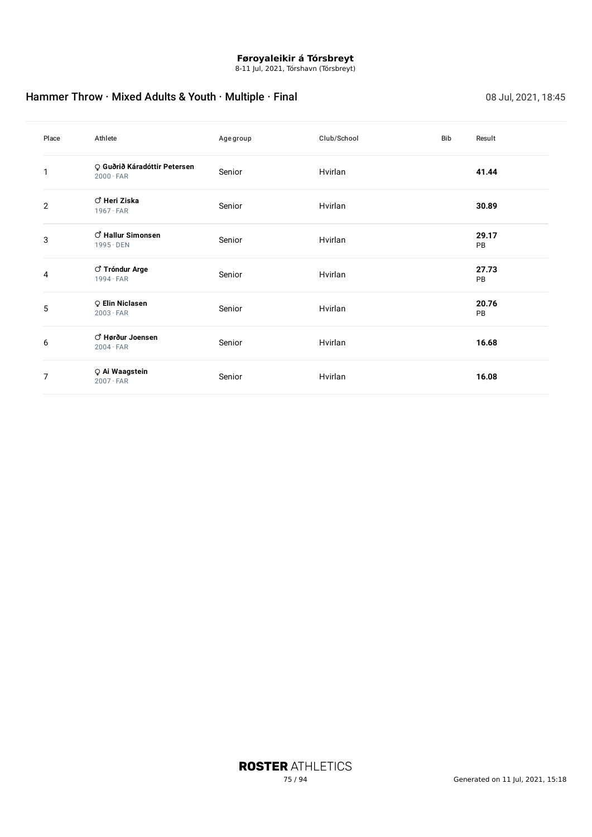8-11 Jul, 2021, Tórshavn (Tórsbreyt)

# Hammer Throw · Mixed Adults & Youth · Multiple · Final 08 Jul, 2021, 18:45

| Place | Athlete                                          | Agegroup | Club/School | <b>Bib</b> | Result             |
|-------|--------------------------------------------------|----------|-------------|------------|--------------------|
|       | O Guðrið Káradóttir Petersen<br>$2000 \cdot FAR$ | Senior   | Hvirlan     |            | 41.44              |
| 2     | ් Heri Ziska<br>$1967 \cdot FAR$                 | Senior   | Hvirlan     |            | 30.89              |
| 3     | ් Hallur Simonsen<br>$1995 \cdot$ DEN            | Senior   | Hvirlan     |            | 29.17<br>PB        |
| 4     | <b><i>C</i></b> Tróndur Arge<br>$1994 \cdot FAR$ | Senior   | Hvirlan     |            | 27.73<br><b>PB</b> |
| 5     | <b>Q</b> Elin Niclasen<br>$2003 \cdot FAR$       | Senior   | Hvirlan     |            | 20.76<br><b>PB</b> |
| 6     | C Hørður Joensen<br>$2004 \cdot FAR$             | Senior   | Hvirlan     |            | 16.68              |
| 7     | O Ai Waagstein<br>$2007 \cdot FAR$               | Senior   | Hvirlan     |            | 16.08              |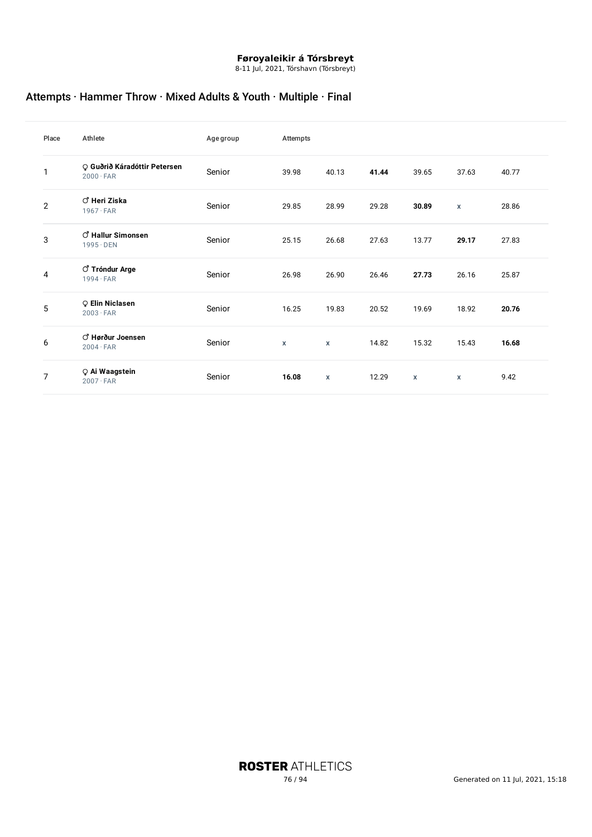8-11 Jul, 2021, Tórshavn (Tórsbreyt)

# Attempts · Hammer Throw · Mixed Adults & Youth · Multiple · Final

| Place          | Athlete                                                | Agegroup | Attempts     |              |       |       |       |       |  |
|----------------|--------------------------------------------------------|----------|--------------|--------------|-------|-------|-------|-------|--|
| 1              | O Guðrið Káradóttir Petersen<br>$2000 \cdot FAR$       | Senior   | 39.98        | 40.13        | 41.44 | 39.65 | 37.63 | 40.77 |  |
| $\overline{2}$ | ් Heri Ziska<br>$1967 \cdot FAR$                       | Senior   | 29.85        | 28.99        | 29.28 | 30.89 | X     | 28.86 |  |
| 3              | $\circlearrowleft$ Hallur Simonsen<br>$1995 \cdot$ DEN | Senior   | 25.15        | 26.68        | 27.63 | 13.77 | 29.17 | 27.83 |  |
| 4              | <b><i>C</i></b> Tróndur Arge<br>$1994 \cdot FAR$       | Senior   | 26.98        | 26.90        | 26.46 | 27.73 | 26.16 | 25.87 |  |
| 5              | <b>Q</b> Elin Niclasen<br>$2003 \cdot FAR$             | Senior   | 16.25        | 19.83        | 20.52 | 19.69 | 18.92 | 20.76 |  |
| 6              | ් Hørður Joensen<br>$2004 \cdot FAR$                   | Senior   | $\mathsf{x}$ | $\mathsf{x}$ | 14.82 | 15.32 | 15.43 | 16.68 |  |
| 7              | O Ai Waagstein<br>$2007 \cdot FAR$                     | Senior   | 16.08        | X            | 12.29 | X     | X     | 9.42  |  |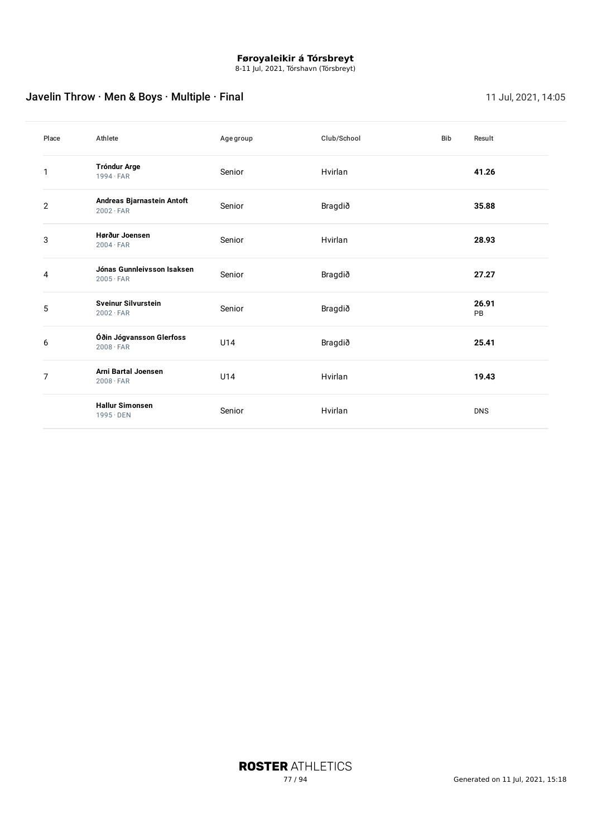8-11 Jul, 2021, Tórshavn (Tórsbreyt)

# Javelin Throw · Men & Boys · Multiple · Final 11 July 2021, 14:05

| Place | Athlete                                        | Agegroup | Club/School | <b>Bib</b> | Result      |
|-------|------------------------------------------------|----------|-------------|------------|-------------|
| 1     | <b>Tróndur Arge</b><br>$1994 \cdot FAR$        | Senior   | Hvirlan     |            | 41.26       |
| 2     | Andreas Bjarnastein Antoft<br>$2002 \cdot FAR$ | Senior   | Bragdið     |            | 35.88       |
| 3     | Hørður Joensen<br>$2004 \cdot FAR$             | Senior   | Hvirlan     |            | 28.93       |
| 4     | Jónas Gunnleivsson Isaksen<br>$2005 \cdot FAR$ | Senior   | Bragdið     |            | 27.27       |
| 5     | <b>Sveinur Silvurstein</b><br>$2002 \cdot FAR$ | Senior   | Bragdið     |            | 26.91<br>PB |
| 6     | Óðin Jógvansson Glerfoss<br>$2008 \cdot FAR$   | U14      | Bragdið     |            | 25.41       |
| 7     | <b>Arni Bartal Joensen</b><br>$2008 \cdot FAR$ | U14      | Hvirlan     |            | 19.43       |
|       | <b>Hallur Simonsen</b><br>$1995 \cdot$ DEN     | Senior   | Hvirlan     |            | <b>DNS</b>  |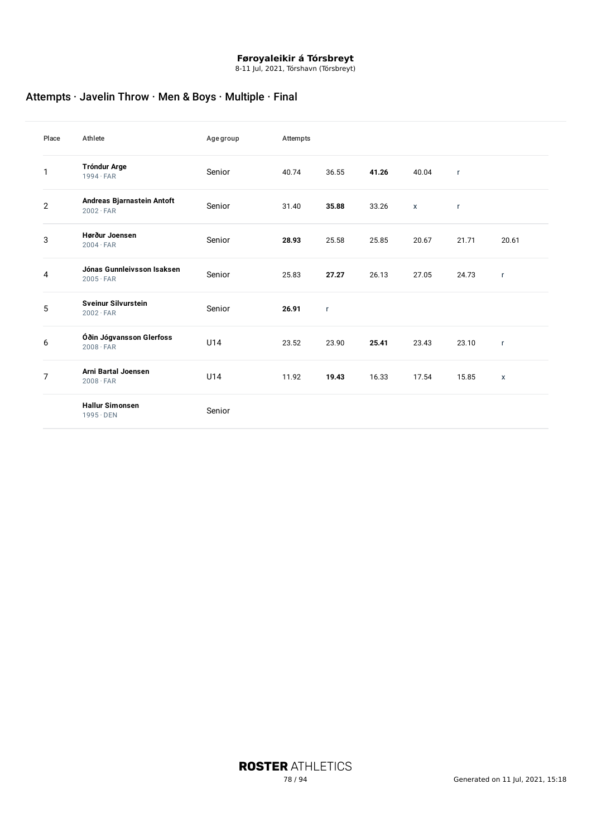8-11 Jul, 2021, Tórshavn (Tórsbreyt)

# Attempts · Javelin Throw · Men & Boys · Multiple · Final

| Place        | Athlete                                        | Agegroup | Attempts |       |       |              |              |              |
|--------------|------------------------------------------------|----------|----------|-------|-------|--------------|--------------|--------------|
| 1            | <b>Tróndur Arge</b><br>$1994 \cdot FAR$        | Senior   | 40.74    | 36.55 | 41.26 | 40.04        | $\mathsf{r}$ |              |
| $\mathbf{2}$ | Andreas Bjarnastein Antoft<br>$2002 \cdot FAR$ | Senior   | 31.40    | 35.88 | 33.26 | $\mathsf{X}$ | $\mathsf{r}$ |              |
| 3            | Hørður Joensen<br>$2004 \cdot FAR$             | Senior   | 28.93    | 25.58 | 25.85 | 20.67        | 21.71        | 20.61        |
| 4            | Jónas Gunnleivsson Isaksen<br>$2005 \cdot FAR$ | Senior   | 25.83    | 27.27 | 26.13 | 27.05        | 24.73        | T.           |
| 5            | <b>Sveinur Silvurstein</b><br>$2002 \cdot FAR$ | Senior   | 26.91    | r     |       |              |              |              |
| 6            | Óðin Jógvansson Glerfoss<br>$2008 \cdot FAR$   | U14      | 23.52    | 23.90 | 25.41 | 23.43        | 23.10        | $\mathsf{r}$ |
| 7            | <b>Arni Bartal Joensen</b><br>$2008 \cdot FAR$ | U14      | 11.92    | 19.43 | 16.33 | 17.54        | 15.85        | X            |
|              | <b>Hallur Simonsen</b><br>$1995 \cdot$ DEN     | Senior   |          |       |       |              |              |              |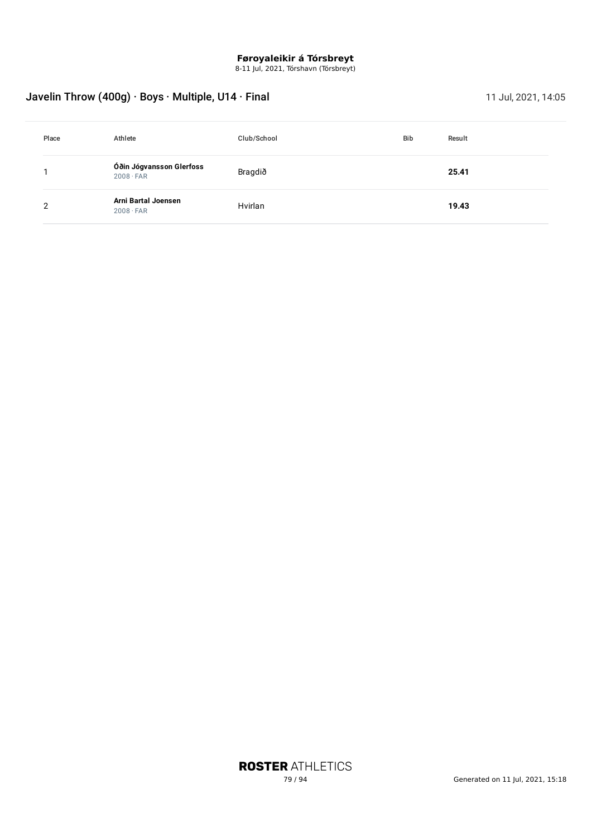8-11 Jul, 2021, Tórshavn (Tórsbreyt)

# Javelin Throw (400g) · Boys · Multiple, U14 · Final 11 July 2021, 14:05

| Place | Athlete                                      | Club/School | <b>Bib</b> | Result |
|-------|----------------------------------------------|-------------|------------|--------|
|       | Óðin Jógvansson Glerfoss<br>$2008 \cdot FAR$ | Bragdið     |            | 25.41  |
| າ     | Arni Bartal Joensen<br>$2008 \cdot FAR$      | Hvirlan     |            | 19.43  |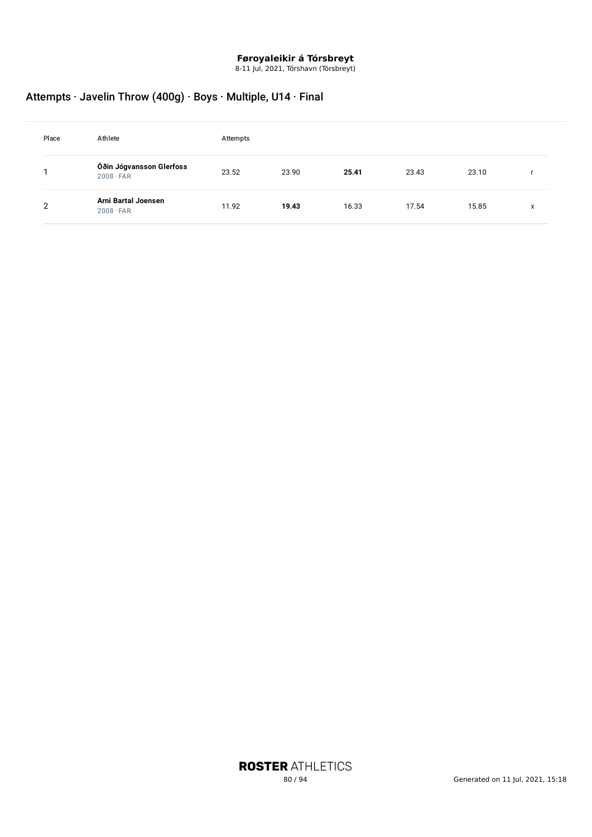8-11 Jul, 2021, Tórshavn (Tórsbreyt)

# Attempts · Javelin Throw (400g) · Boys · Multiple, U14 · Final

| Place | Athlete                                        | Attempts |       |       |       |       |   |
|-------|------------------------------------------------|----------|-------|-------|-------|-------|---|
|       | Óðin Jógvansson Glerfoss<br>$2008 \cdot FAR$   | 23.52    | 23.90 | 25.41 | 23.43 | 23.10 |   |
| 2     | <b>Arni Bartal Joensen</b><br>$2008 \cdot FAR$ | 11.92    | 19.43 | 16.33 | 17.54 | 15.85 | x |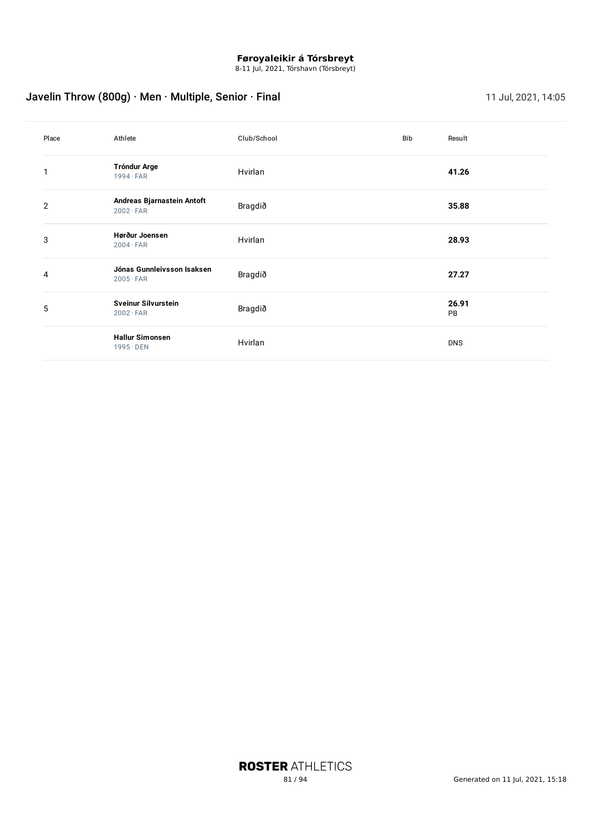8-11 Jul, 2021, Tórshavn (Tórsbreyt)

# Javelin Throw (800g) · Men · Multiple, Senior · Final 11 July 2021, 14:05

| Place | Athlete                                        | Club/School | Bib | Result      |
|-------|------------------------------------------------|-------------|-----|-------------|
|       | <b>Tróndur Arge</b><br>$1994 \cdot FAR$        | Hvirlan     |     | 41.26       |
| 2     | Andreas Bjarnastein Antoft<br>$2002 \cdot FAR$ | Bragdið     |     | 35.88       |
| 3     | Hørður Joensen<br>$2004 \cdot FAR$             | Hvirlan     |     | 28.93       |
| 4     | Jónas Gunnleivsson Isaksen<br>$2005 \cdot FAR$ | Bragdið     |     | 27.27       |
| 5     | <b>Sveinur Silvurstein</b><br>$2002 \cdot FAR$ | Bragdið     |     | 26.91<br>PB |
|       | <b>Hallur Simonsen</b><br>$1995 \cdot$ DEN     | Hvirlan     |     | <b>DNS</b>  |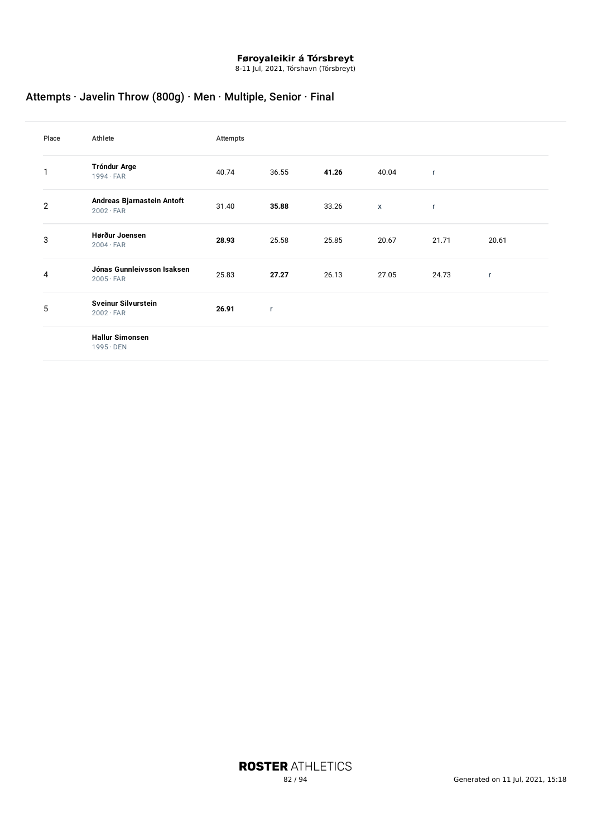8-11 Jul, 2021, Tórshavn (Tórsbreyt)

# Attempts · Javelin Throw (800g) · Men · Multiple, Senior · Final

| Place          | Athlete                                        | Attempts |              |       |                           |       |              |  |
|----------------|------------------------------------------------|----------|--------------|-------|---------------------------|-------|--------------|--|
| 1              | <b>Tróndur Arge</b><br>$1994 \cdot FAR$        | 40.74    | 36.55        | 41.26 | 40.04                     | r     |              |  |
| $\overline{2}$ | Andreas Bjarnastein Antoft<br>$2002 \cdot FAR$ | 31.40    | 35.88        | 33.26 | $\boldsymbol{\mathsf{x}}$ | r.    |              |  |
| 3              | Hørður Joensen<br>$2004 \cdot FAR$             | 28.93    | 25.58        | 25.85 | 20.67                     | 21.71 | 20.61        |  |
| 4              | Jónas Gunnleivsson Isaksen<br>$2005 \cdot FAR$ | 25.83    | 27.27        | 26.13 | 27.05                     | 24.73 | $\mathsf{r}$ |  |
| 5              | <b>Sveinur Silvurstein</b><br>$2002 \cdot FAR$ | 26.91    | $\mathsf{r}$ |       |                           |       |              |  |
|                | <b>Hallur Simonsen</b><br>$1995 \cdot$ DEN     |          |              |       |                           |       |              |  |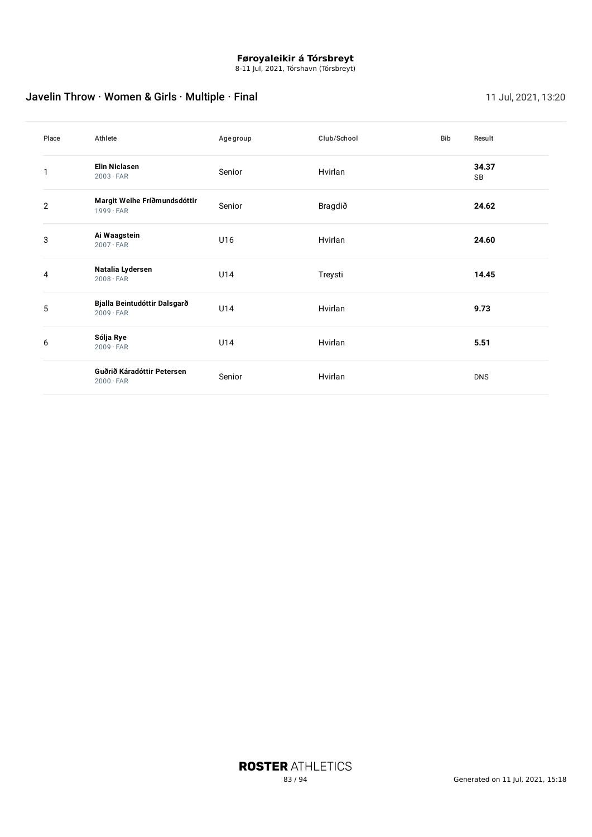8-11 Jul, 2021, Tórshavn (Tórsbreyt)

# Javelin Throw · Women & Girls · Multiple · Final 11 July 2021, 13:20

| Place          | Athlete                                          | Agegroup | Club/School | <b>Bib</b> | Result      |
|----------------|--------------------------------------------------|----------|-------------|------------|-------------|
|                | <b>Elin Niclasen</b><br>$2003 \cdot FAR$         | Senior   | Hvirlan     |            | 34.37<br>SB |
| $\overline{2}$ | Margit Weihe Fríðmundsdóttir<br>$1999 \cdot FAR$ | Senior   | Bragdið     |            | 24.62       |
| 3              | Ai Waagstein<br>$2007 \cdot FAR$                 | U16      | Hvirlan     |            | 24.60       |
| 4              | Natalia Lydersen<br>$2008 \cdot FAR$             | U14      | Treysti     |            | 14.45       |
| 5              | Bjalla Beintudóttir Dalsgarð<br>$2009 \cdot FAR$ | U14      | Hvirlan     |            | 9.73        |
| 6              | Sólja Rye<br>$2009 \cdot FAR$                    | U14      | Hvirlan     |            | 5.51        |
|                | Guðrið Káradóttir Petersen<br>$2000 \cdot FAR$   | Senior   | Hvirlan     |            | <b>DNS</b>  |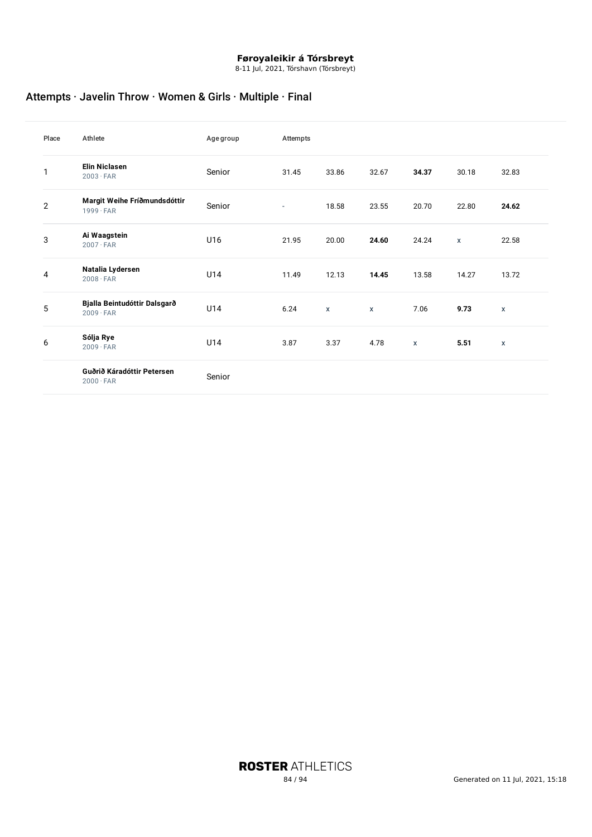8-11 Jul, 2021, Tórshavn (Tórsbreyt)

# Attempts · Javelin Throw · Women & Girls · Multiple · Final

| Place        | Athlete                                          | Agegroup | Attempts                 |              |       |              |              |              |
|--------------|--------------------------------------------------|----------|--------------------------|--------------|-------|--------------|--------------|--------------|
| 1            | <b>Elin Niclasen</b><br>$2003 \cdot FAR$         | Senior   | 31.45                    | 33.86        | 32.67 | 34.37        | 30.18        | 32.83        |
| $\mathbf{2}$ | Margit Weihe Fríðmundsdóttir<br>$1999 \cdot FAR$ | Senior   | $\overline{\phantom{a}}$ | 18.58        | 23.55 | 20.70        | 22.80        | 24.62        |
| 3            | Ai Waagstein<br>$2007 \cdot FAR$                 | U16      | 21.95                    | 20.00        | 24.60 | 24.24        | $\mathsf{x}$ | 22.58        |
| 4            | Natalia Lydersen<br>$2008 \cdot FAR$             | U14      | 11.49                    | 12.13        | 14.45 | 13.58        | 14.27        | 13.72        |
| 5            | Bjalla Beintudóttir Dalsgarð<br>$2009 \cdot FAR$ | U14      | 6.24                     | $\pmb{\chi}$ | X     | 7.06         | 9.73         | X            |
| 6            | Sólja Rye<br>$2009 \cdot FAR$                    | U14      | 3.87                     | 3.37         | 4.78  | $\mathsf{x}$ | 5.51         | $\mathsf{x}$ |
|              | Guðrið Káradóttir Petersen<br>$2000 \cdot FAR$   | Senior   |                          |              |       |              |              |              |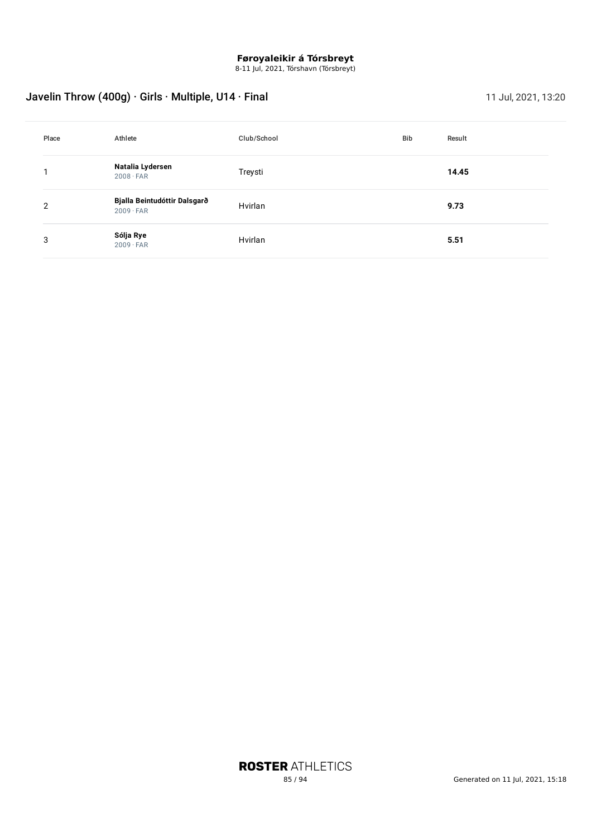8-11 Jul, 2021, Tórshavn (Tórsbreyt)

# Javelin Throw (400g) · Girls · Multiple, U14 · Final 11 July 2021, 13:20 11 July 2021, 13:20

| Place | Athlete                                          | Club/School | <b>Bib</b> | Result |
|-------|--------------------------------------------------|-------------|------------|--------|
|       | Natalia Lydersen<br>$2008 \cdot FAR$             | Treysti     |            | 14.45  |
| 2     | Bjalla Beintudóttir Dalsgarð<br>$2009 \cdot FAR$ | Hvirlan     |            | 9.73   |
| 3     | Sólja Rye<br>$2009 \cdot FAR$                    | Hvirlan     |            | 5.51   |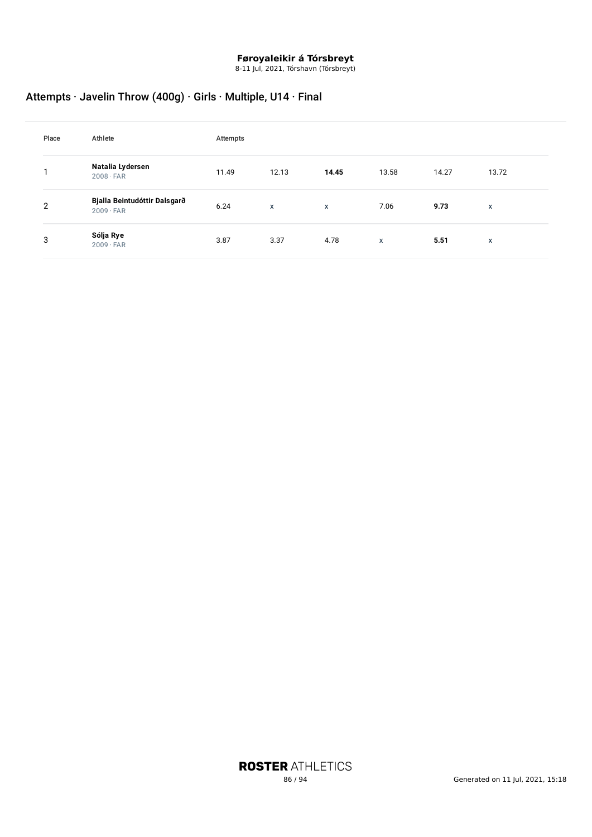8-11 Jul, 2021, Tórshavn (Tórsbreyt)

# Attempts · Javelin Throw (400g) · Girls · Multiple, U14 · Final

| Place | Athlete                                          | Attempts |       |       |       |       |       |
|-------|--------------------------------------------------|----------|-------|-------|-------|-------|-------|
|       | Natalia Lydersen<br>$2008 \cdot FAR$             | 11.49    | 12.13 | 14.45 | 13.58 | 14.27 | 13.72 |
| 2     | Bjalla Beintudóttir Dalsgarð<br>$2009 \cdot FAR$ | 6.24     | X     | X     | 7.06  | 9.73  | X     |
| 3     | Sólja Rye<br>$2009 \cdot FAR$                    | 3.87     | 3.37  | 4.78  | X     | 5.51  | X     |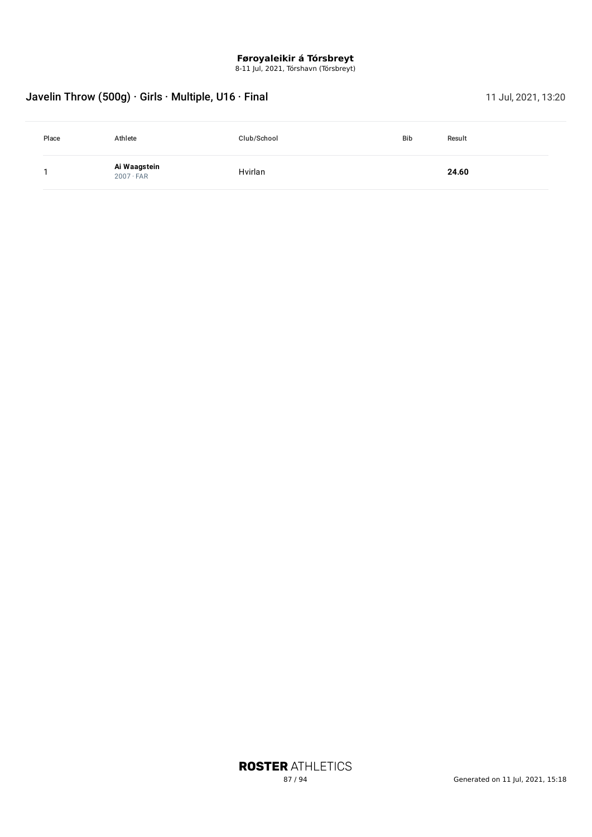8-11 Jul, 2021, Tórshavn (Tórsbreyt)

# Javelin Throw (500g) · Girls · Multiple, U16 · Final 11 July 2021, 13:20 11 July 2021, 13:20

| Place | Athlete                          | Club/School | <b>Bib</b> | Result |
|-------|----------------------------------|-------------|------------|--------|
|       | Ai Waagstein<br>$2007 \cdot FAR$ | Hvirlan     |            | 24.60  |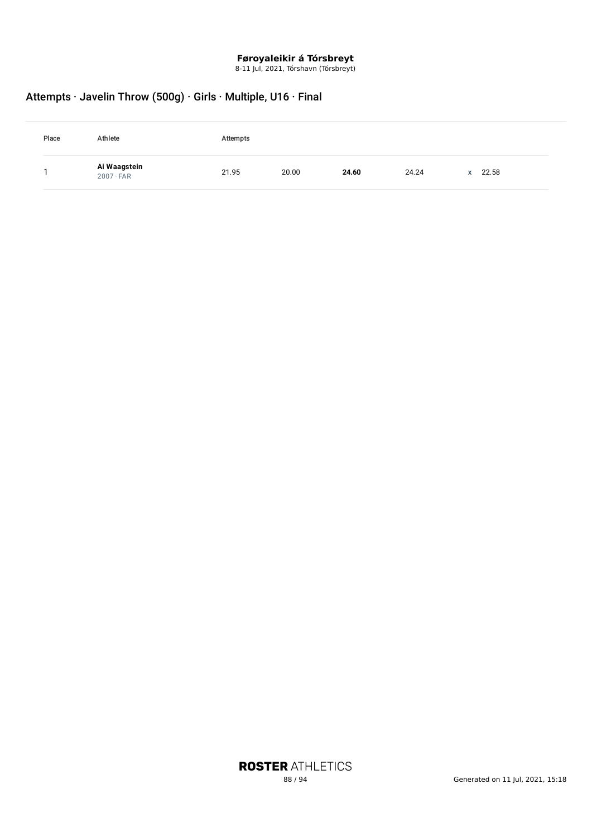8-11 Jul, 2021, Tórshavn (Tórsbreyt)

# Attempts · Javelin Throw (500g) · Girls · Multiple, U16 · Final

| Place | Athlete                          | Attempts |       |       |       |             |  |
|-------|----------------------------------|----------|-------|-------|-------|-------------|--|
|       | Ai Waagstein<br>$2007 \cdot FAR$ | 21.95    | 20.00 | 24.60 | 24.24 | 22.58<br>X. |  |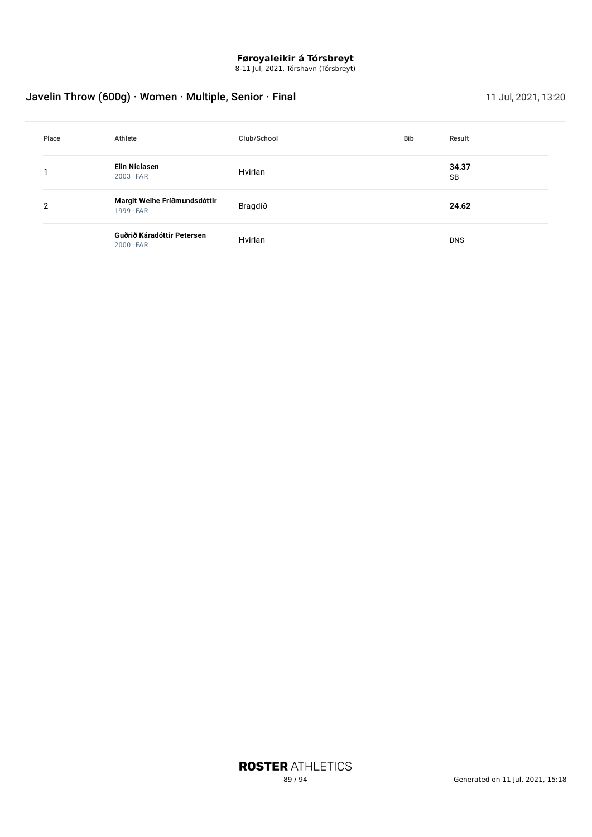8-11 Jul, 2021, Tórshavn (Tórsbreyt)

# Javelin Throw (600g) · Women · Multiple, Senior · Final 11 July 2021, 13:20 11 Jul, 2021, 13:20

| Place | Athlete                                          | Club/School | <b>Bib</b> | Result             |
|-------|--------------------------------------------------|-------------|------------|--------------------|
|       | <b>Elin Niclasen</b><br>$2003 \cdot FAR$         | Hvirlan     |            | 34.37<br><b>SB</b> |
| 2     | Margit Weihe Fríðmundsdóttir<br>$1999 \cdot FAR$ | Bragdið     |            | 24.62              |
|       | Guðrið Káradóttir Petersen<br>$2000 \cdot FAR$   | Hvirlan     |            | <b>DNS</b>         |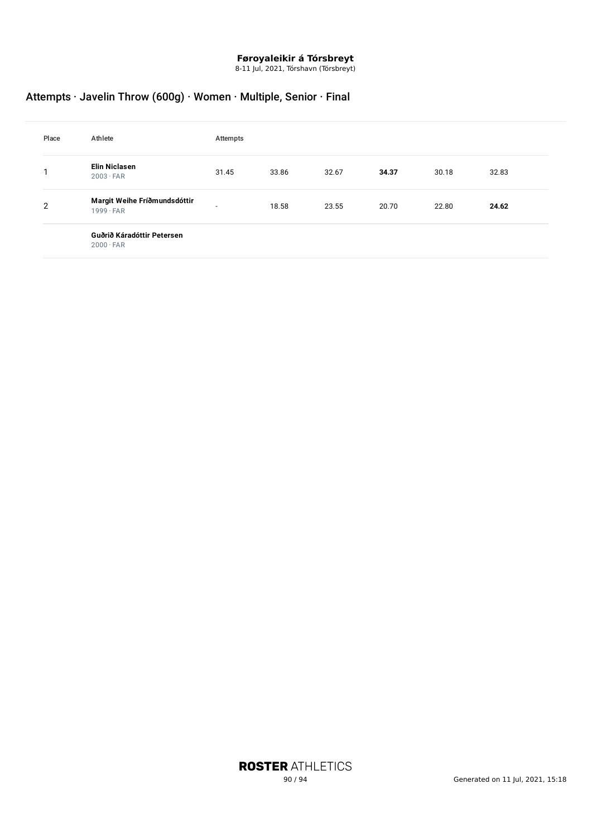8-11 Jul, 2021, Tórshavn (Tórsbreyt)

# Attempts · Javelin Throw (600g) · Women · Multiple, Senior · Final

| Place          | Athlete                                          | Attempts |       |       |       |       |       |
|----------------|--------------------------------------------------|----------|-------|-------|-------|-------|-------|
|                | <b>Elin Niclasen</b><br>$2003 \cdot FAR$         | 31.45    | 33.86 | 32.67 | 34.37 | 30.18 | 32.83 |
| $\overline{2}$ | Margit Weihe Fríðmundsdóttir<br>$1999 \cdot FAR$ | -        | 18.58 | 23.55 | 20.70 | 22.80 | 24.62 |
|                | Guðrið Káradóttir Petersen<br>$2000 \cdot FAR$   |          |       |       |       |       |       |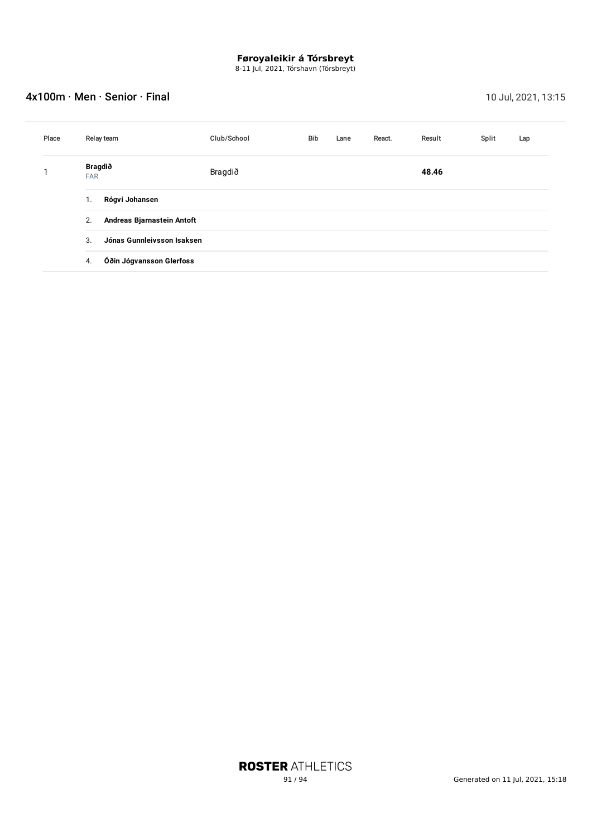8-11 Jul, 2021, Tórshavn (Tórsbreyt)

### **4x100m · Men · Senior · Final 10 July 2021, 13:15**

| Place | Relay team                       | Club/School | Bib | Lane | React. | Result | Split | Lap |
|-------|----------------------------------|-------------|-----|------|--------|--------|-------|-----|
| 1     | Bragdið<br><b>FAR</b>            | Bragdið     |     |      |        | 48.46  |       |     |
|       | Rógvi Johansen<br>1.             |             |     |      |        |        |       |     |
|       | Andreas Bjarnastein Antoft<br>2. |             |     |      |        |        |       |     |
|       | Jónas Gunnleivsson Isaksen<br>3. |             |     |      |        |        |       |     |
|       | Óðin Jógvansson Glerfoss<br>4.   |             |     |      |        |        |       |     |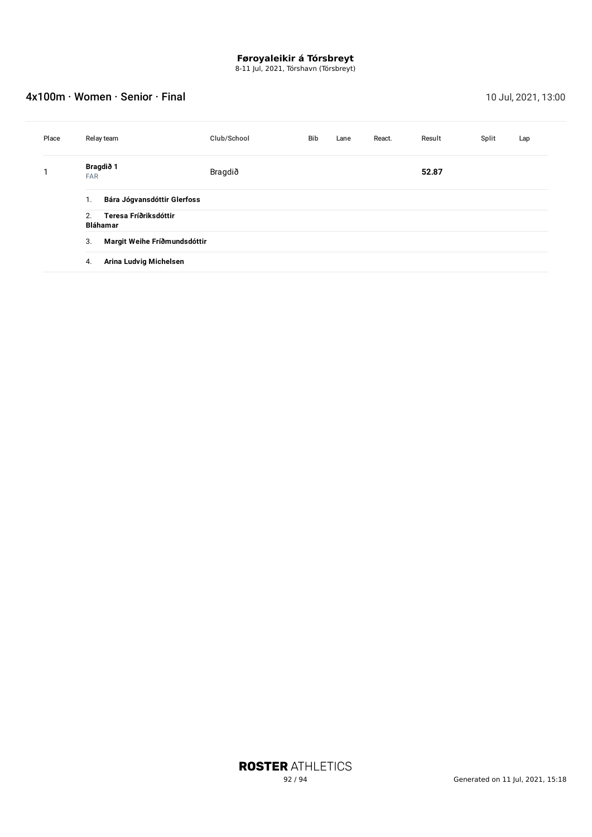8-11 Jul, 2021, Tórshavn (Tórsbreyt)

### Ax100m · Women · Senior · Final 10 Jul, 2021, 13:00

| Place | Relay team                                     | Club/School | Bib | Lane | React. | Result | Split | Lap |
|-------|------------------------------------------------|-------------|-----|------|--------|--------|-------|-----|
|       | Bragdið 1<br><b>FAR</b>                        | Bragdið     |     |      |        | 52.87  |       |     |
|       | Bára Jógvansdóttir Glerfoss<br>1.              |             |     |      |        |        |       |     |
|       | Teresa Fríðriksdóttir<br>2.<br><b>Bláhamar</b> |             |     |      |        |        |       |     |
|       | Margit Weihe Fríðmundsdóttir<br>3.             |             |     |      |        |        |       |     |
|       | Arina Ludvig Michelsen<br>4.                   |             |     |      |        |        |       |     |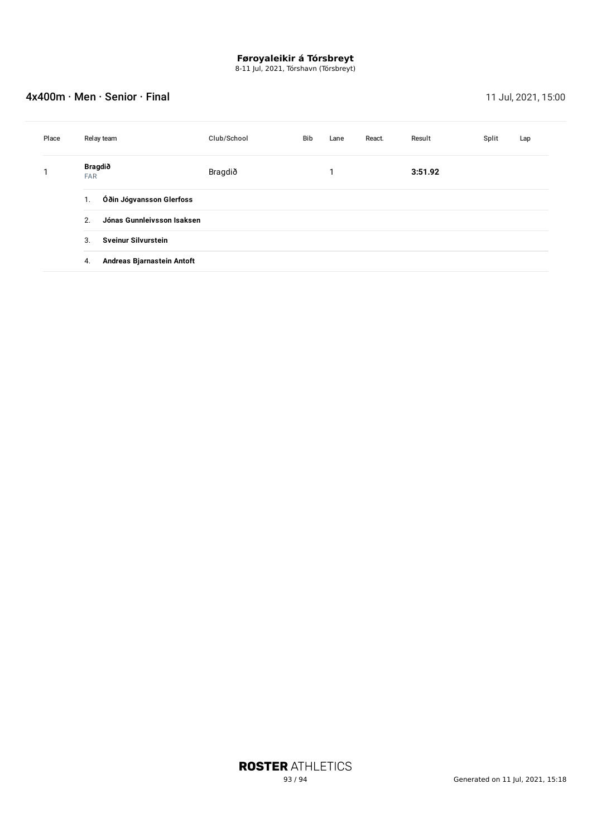8-11 Jul, 2021, Tórshavn (Tórsbreyt)

### **4x400m · Men · Senior · Final 11 July 2021, 15:00**

| Place | Relay team                                 | Club/School | Bib | Lane | React. | Result  | Split | Lap |
|-------|--------------------------------------------|-------------|-----|------|--------|---------|-------|-----|
| 1     | <b>Bragdið</b><br><b>FAR</b>               | Bragdið     |     | ◄    |        | 3:51.92 |       |     |
|       | Óðin Jógvansson Glerfoss<br>$\mathbf{1}$ . |             |     |      |        |         |       |     |
|       | Jónas Gunnleivsson Isaksen<br>2.           |             |     |      |        |         |       |     |
|       | Sveinur Silvurstein<br>3.                  |             |     |      |        |         |       |     |
|       | Andreas Bjarnastein Antoft<br>4.           |             |     |      |        |         |       |     |